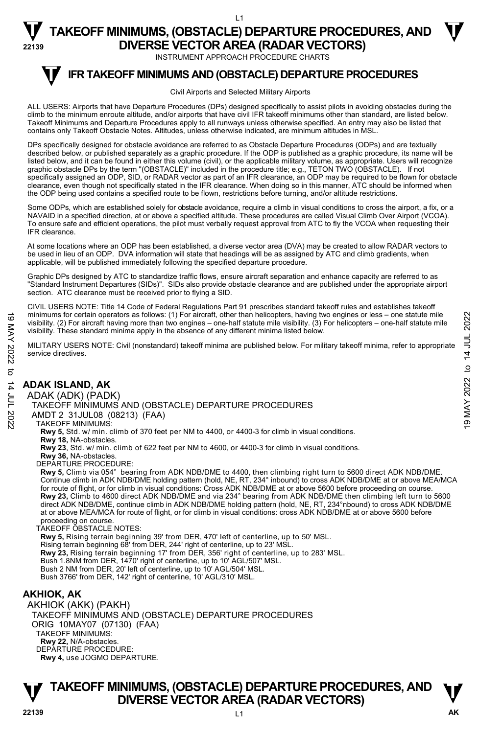INSTRUMENT APPROACH PROCEDURE CHARTS

#### **IFR TAKEOFF MINIMUMS AND (OBSTACLE) DEPARTURE PROCEDURES T**

#### Civil Airports and Selected Military Airports

ALL USERS: Airports that have Departure Procedures (DPs) designed specifically to assist pilots in avoiding obstacles during the climb to the minimum enroute altitude, and/or airports that have civil IFR takeoff minimums other than standard, are listed below. Takeoff Minimums and Departure Procedures apply to all runways unless otherwise specified. An entry may also be listed that contains only Takeoff Obstacle Notes. Altitudes, unless otherwise indicated, are minimum altitudes in MSL.

DPs specifically designed for obstacle avoidance are referred to as Obstacle Departure Procedures (ODPs) and are textually described below, or published separately as a graphic procedure. If the ODP is published as a graphic procedure, its name will be listed below, and it can be found in either this volume (civil), or the applicable military volume, as appropriate. Users will recognize graphic obstacle DPs by the term "(OBSTACLE)" included in the procedure title; e.g., TETON TWO (OBSTACLE). If not specifically assigned an ODP, SID, or RADAR vector as part of an IFR clearance, an ODP may be required to be flown for obstacle clearance, even though not specifically stated in the IFR clearance. When doing so in this manner, ATC should be informed when the ODP being used contains a specified route to be flown, restrictions before turning, and/or altitude restrictions.

Some ODPs, which are established solely for obstacle avoidance, require a climb in visual conditions to cross the airport, a fix, or a NAVAID in a specified direction, at or above a specified altitude. These procedures are called Visual Climb Over Airport (VCOA). To ensure safe and efficient operations, the pilot must verbally request approval from ATC to fly the VCOA when requesting their IFR clearance.

At some locations where an ODP has been established, a diverse vector area (DVA) may be created to allow RADAR vectors to be used in lieu of an ODP. DVA information will state that headings will be as assigned by ATC and climb gradients, when applicable, will be published immediately following the specified departure procedure.

Graphic DPs designed by ATC to standardize traffic flows, ensure aircraft separation and enhance capacity are referred to as "Standard Instrument Departures (SIDs)". SIDs also provide obstacle clearance and are published under the appropriate airport section. ATC clearance must be received prior to flying a SID.

CIVIL USERS NOTE: Title 14 Code of Federal Regulations Part 91 prescribes standard takeoff rules and establishes takeoff minimums for certain operators as follows: (1) For aircraft, other than helicopters, having two engines or less – one statute mile visibility. (2) For aircraft having more than two engines – one-half statute mile visibility. (3) For helicopters – one-half statute mile visibility. These standard minima apply in the absence of any different minima listed below. Minimums for certain operators as follows: (1) For aircraft, other than helicopters, having two engines or less – one statute mile<br>
visibility. (2) For aircraft having more than two engines – one-half statute mile<br>
visib

MILITARY USERS NOTE: Civil (nonstandard) takeoff minima are published below. For military takeoff minima, refer to appropriate service directives.

### **ADAK ISLAND, AK**

#### ADAK (ADK) (PADK)

TAKEOFF MINIMUMS AND (OBSTACLE) DEPARTURE PROCEDURES

AMDT 2 31JUL08 (08213) (FAA)

#### TAKEOFF MINIMUMS:

**Rwy 5,** Std. w/ min. climb of 370 feet per NM to 4400, or 4400-3 for climb in visual conditions.

#### **Rwy 18,** NA-obstacles.

**Rwy 23**, Std. w/ min. climb of 622 feet per NM to 4600, or 4400-3 for climb in visual conditions.

- **Rwy 36,** NA-obstacles.
- DEPARTURE PROCEDURE:

**Rwy 5,** Climb via 054° bearing from ADK NDB/DME to 4400, then climbing right turn to 5600 direct ADK NDB/DME. Continue climb in ADK NDB/DME holding pattern (hold, NE, RT, 234° inbound) to cross ADK NDB/DME at or above MEA/MCA for route of flight, or for climb in visual conditions: Cross ADK NDB/DME at or above 5600 before proceeding on course. **Rwy 23,** Climb to 4600 direct ADK NDB/DME and via 234° bearing from ADK NDB/DME then climbing left turn to 5600 direct ADK NDB/DME, continue climb in ADK NDB/DME holding pattern (hold, NE, RT, 234°nbound) to cross ADK NDB/DME at or above MEA/MCA for route of flight, or for climb in visual conditions: cross ADK NDB/DME at or above 5600 before proceeding on course.

#### TAKEOFF OBSTACLE NOTES:

**Rwy 5,** Rising terrain beginning 39' from DER, 470' left of centerline, up to 50' MSL.

- Rising terrain beginning 68' from DER, 244' right of centerline, up to 23' MSL.<br>**Rwy 23,** Rising terrain beginning 17' from DER, 356' right of centerline, up to 283' MSL.
- 

Bush 1.8NM from DER, 1470' right of centerline, up to 10' AGL/507' MSL.

Bush 2 NM from DER, 20' left of centerline, up to 10' AGL/504' MSL. Bush 3766' from DER, 142' right of centerline, 10' AGL/310' MSL.

### **AKHIOK, AK**

AKHIOK (AKK) (PAKH) TAKEOFF MINIMUMS AND (OBSTACLE) DEPARTURE PROCEDURES ORIG 10MAY07 (07130) (FAA) TAKEOFF MINIMUMS: **Rwy 22,** N/A-obstacles. DEPARTURE PROCEDURE: **Rwy 4,** use JOGMO DEPARTURE.

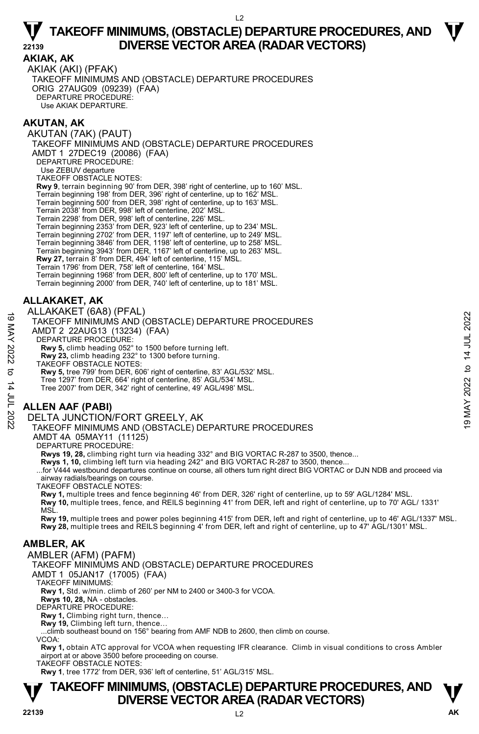#### **AKIAK, AK**

AKIAK (AKI) (PFAK) TAKEOFF MINIMUMS AND (OBSTACLE) DEPARTURE PROCEDURES ORIG 27AUG09 (09239) (FAA) DEPARTURE PROCEDURE: Use AKIAK DEPARTURE.

#### **AKUTAN, AK**

AKUTAN (7AK) (PAUT) TAKEOFF MINIMUMS AND (OBSTACLE) DEPARTURE PROCEDURES AMDT 1 27DEC19 (20086) (FAA) DEPARTURE PROCEDURE: Use ZEBUV departure TAKEOFF OBSTACLE NOTES: **Rwy 9**, terrain beginning 90' from DER, 398' right of centerline, up to 160' MSL. Terrain beginning 198' from DER, 396' right of centerline, up to 162' MSL. Terrain beginning 500' from DER, 398' right of centerline, up to 163' MSL. Terrain 2038' from DER, 998' left of centerline, 202' MSL. Terrain 2298' from DER, 998' left of centerline, 226' MSL. Terrain beginning 2353' from DER, 923' left of centerline, up to 234' MSL. Terrain beginning 2702' from DER, 1197' left of centerline, up to 249' MSL. Terrain beginning 3846' from DER, 1198' left of centerline, up to 258' MSL. Terrain beginning 3943' from DER, 1167' left of centerline, up to 263' MSL. **Rwy 27,** terrain 8' from DER, 494' left of centerline, 115' MSL. Terrain 1796' from DER, 758' left of centerline, 164' MSL. Terrain beginning 1968' from DER, 800' left of centerline, up to 170' MSL. Terrain beginning 2000' from DER, 740' left of centerline, up to 181' MSL.

#### **ALLAKAKET, AK**

ALLAKAKET (6A8) (PFAL)

TAKEOFF MINIMUMS AND (OBSTACLE) DEPARTURE PROCEDURES TAKEOFF MINIMUMS AND (OBSTACLE) DEPARTURE PROCEDURES<br>
MDT 2 22AUG13 (13234) (FAA)<br>
DEPARTURE PROCEDURE:<br>
NW 5, climb heading 052° to 1500 before turning left.<br>
NW 3, climb heading 052° to 1500 before turning.<br>
TAKEOFF OBS

AMDT 2 22AUG13 (13234) (FAA)

DEPARTURE PROCEDURE

**Rwy 5,** climb heading 052° to 1500 before turning left.

**Rwy 23,** climb heading 232° to 1300 before turning.

TAKEOFF OBSTACLE NOTES:

**Rwy 5,** tree 799' from DER, 606' right of centerline, 83' AGL/532' MSL.

Tree 1297' from DER, 664' right of centerline, 85' AGL/534' MSL.

Tree 2007' from DER, 342' right of centerline, 49' AGL/498' MSL.

#### **ALLEN AAF (PABI)**

DELTA JUNCTION/FORT GREELY, AK

TAKEOFF MINIMUMS AND (OBSTACLE) DEPARTURE PROCEDURES

AMDT 4A 05MAY11 (11125)

DEPARTURE PROCEDURE:

**Rwys 19, 28,** climbing right turn via heading 332° and BIG VORTAC R-287 to 3500, thence...

**Rwys 1, 10,** climbing left turn via heading 242° and BIG VORTAC R-287 to 3500, thence...

...for V444 westbound departures continue on course, all others turn right direct BIG VORTAC or DJN NDB and proceed via airway radials/bearings on course.

TAKEOFF OBSTACLE NOTES:

**Rwy 1,** multiple trees and fence beginning 46' from DER, 326' right of centerline, up to 59' AGL/1284' MSL.

**Rwy 10,** multiple trees, fence, and REILS beginning 41' from DER, left and right of centerline, up to 70' AGL/ 1331' MSİ

**Rwy 19,** multiple trees and power poles beginning 415' from DER, left and right of centerline, up to 46' AGL/1337' MSL. **Rwy 28,** multiple trees and REILS beginning 4' from DER, left and right of centerline, up to 47' AGL/1301' MSL.

#### **AMBLER, AK**

AMBLER (AFM) (PAFM)

TAKEOFF MINIMUMS AND (OBSTACLE) DEPARTURE PROCEDURES

AMDT 1 05JAN17 (17005) (FAA)

TAKEOFF MINIMUMS:

**Rwy 1,** Std. w/min. climb of 260' per NM to 2400 or 3400-3 for VCOA.

**Rwys 10, 28,** NA - obstacles.

DEPARTURE PROCEDURE:

**Rwy 1,** Climbing right turn, thence… **Rwy 19,** Climbing left turn, thence…

...climb southeast bound on 156° bearing from AMF NDB to 2600, then climb on course.

VCOA:

**Rwy 1,** obtain ATC approval for VCOA when requesting IFR clearance. Climb in visual conditions to cross Ambler airport at or above 3500 before proceeding on course.

TAKEOFF OBSTACLE NOTES:

**Rwy 1**, tree 1772' from DER, 936' left of centerline, 51' AGL/315' MSL.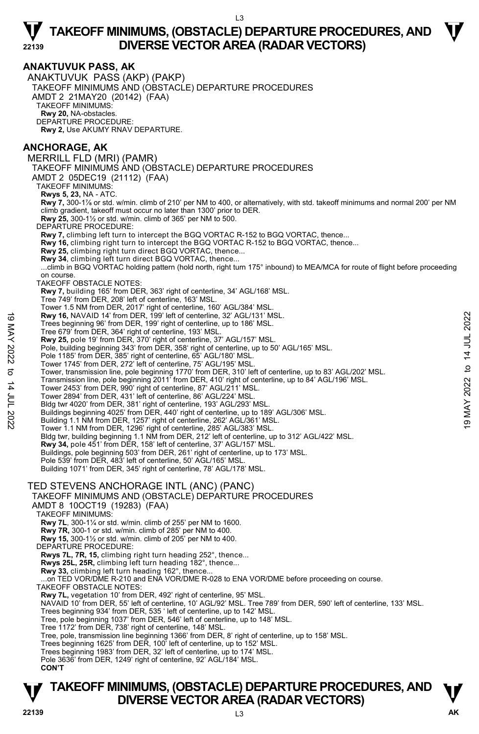#### **ANAKTUVUK PASS, AK**

ANAKTUVUK PASS (AKP) (PAKP) TAKEOFF MINIMUMS AND (OBSTACLE) DEPARTURE PROCEDURES AMDT 2 21MAY20 (20142) (FAA) TAKEOFF MINIMUMS: **Rwy 20,** NA-obstacles. DEPARTURE PROCEDURE: **Rwy 2,** Use AKUMY RNAV DEPARTURE.

#### **ANCHORAGE, AK**

MERRILL FLD (MRI) (PAMR) TAKEOFF MINIMUMS AND (OBSTACLE) DEPARTURE PROCEDURES AMDT 2 05DEC19 (21112) (FAA) TAKEOFF MINIMUMS: **Rwys 5, 23,** NA - ATC. **Rwy 7,** 300-1⅞ or std. w/min. climb of 210' per NM to 400, or alternatively, with std. takeoff minimums and normal 200' per NM climb gradient, takeoff must occur no later than 1300' prior to DER. **Rwy 25,** 300-1½ or std. w/min. climb of 365' per NM to 500. DEPARTURE PROCEDURE: **Rwy 7,** climbing left turn to intercept the BGQ VORTAC R-152 to BGQ VORTAC, thence... **Rwy 16,** climbing right turn to intercept the BGQ VORTAC R-152 to BGQ VORTAC, thence... **Rwy 25,** climbing right turn direct BGQ VORTAC, thence... **Rwy 34**, climbing left turn direct BGQ VORTAC, thence... ...climb in BGQ VORTAC holding pattern (hold north, right turn 175° inbound) to MEA/MCA for route of flight before proceeding on course. TAKEOFF OBSTACLE NOTES: **Rwy 7,** building 165' from DER, 363' right of centerline, 34' AGL/168' MSL. Tree 749' from DER, 208' left of centerline, 163' MSL. Tower 1.5 NM from DER, 2017' right of centerline, 160' AGL/384' MSL. **Rwy 16,** NAVAID 14' from DER, 199' left of centerline, 32' AGL/131' MSL. Trees beginning 96' from DER, 199' right of centerline, up to 186' MSL. Tree 679' from DER, 364' right of centerline, 193' MSL. **Rwy 25,** pole 19' from DER, 370' right of centerline, 37' AGL/157' MSL. Pole, building beginning 343' from DER, 358' right of centerline, up to 50' AGL/165' MSL. Pole 1185' from DER, 385' right of centerline, 65' AGL/180' MSL. Tower 1745' from DER, 272' left of centerline, 75' AGL/195' MSL. Tower, transmission line, pole beginning 1770' from DER, 310' left of centerline, up to 83' AGL/202' MSL. Transmission line, pole beginning 2011' from DER, 410' right of centerline, up to 84' AGL/196' MSL. Tower 2453' from DER, 990' right of centerline, 87' AGL/211' MSL. Tower 2894' from DER, 431' left of centerline, 86' AGL/224' MSL. Bldg twr 4020' from DER, 381' right of centerline, 193' AGL/293' MSL. Revy 16, NAVAID 14' from DER, 199' left of centerline, 32' AGL/131' MSL.<br>
Tree Srginning 96' from DER, 199' right of centerline, up to 186' MSL.<br>
Tree G79' from DER, 36' right of centerline, 193' MSL.<br>
Now 25, pole 19' fr Bldg twr, building beginning 1.1 NM from DER, 212' left of centerline, up to 312' AGL/422' MSL. **Rwy 34,** pole 451' from DER, 158' left of centerline, 37' AGL/157' MSL.<br>Buildings, pole beginning 503' from DER, 261' right of centerline, up to 173' MSL. Pole 539' from DER, 483' left of centerline, 50' AGL/165' MSL. Building 1071' from DER, 345' right of centerline, 78' AGL/178' MSL. TED STEVENS ANCHORAGE INTL (ANC) (PANC) TAKEOFF MINIMUMS AND (OBSTACLE) DEPARTURE PROCEDURES AMDT 8 10OCT19 (19283) (FAA) TAKEOFF MINIMUMS: **Rwy 7L**, 300-1¼ or std. w/min. climb of 255' per NM to 1600. **Rwy 7R,** 300-1 or std. w/min. climb of 285' per NM to 400. **Rwy 15,** 300-1½ or std. w/min. climb of 205' per NM to 400. DEPARTURE PROCEDURE: **Rwys 7L, 7R, 15,** climbing right turn heading 252°, thence... **Rwys 25L, 25R,** climbing left turn heading 182°, thence... **Rwy 33,** climbing left turn heading 162°, thence... ...on TED VOR/DME R-210 and ENA VOR/DME R-028 to ENA VOR/DME before proceeding on course. TAKEOFF OBSTACLE NOTES: **Rwy 7L,** vegetation 10' from DER, 492' right of centerline, 95' MSL. NAVAID 10' from DER, 55' left of centerline, 10' AGL/92' MSL. Tree 789' from DER, 590' left of centerline, 133' MSL.<br>Trees beginning 934' from DER, 535 ' left of centerline, up to 142' MSL. Tree, pole beginning 1037' from DER, 546' left of centerline, up to 148' MSL. Tree 1172' from DER, 738' right of centerline, 148' MSL. Tree, pole, transmission line beginning 1366' from DER, 8' right of centerline, up to 158' MSL. Trees beginning 1625' from DER, 100' left of centerline, up to 152' MSL. Trees beginning 1983' from DER, 32' left of centerline, up to 174' MSL. Pole 3636' from DER, 1249' right of centerline, 92' AGL/184' MSL.

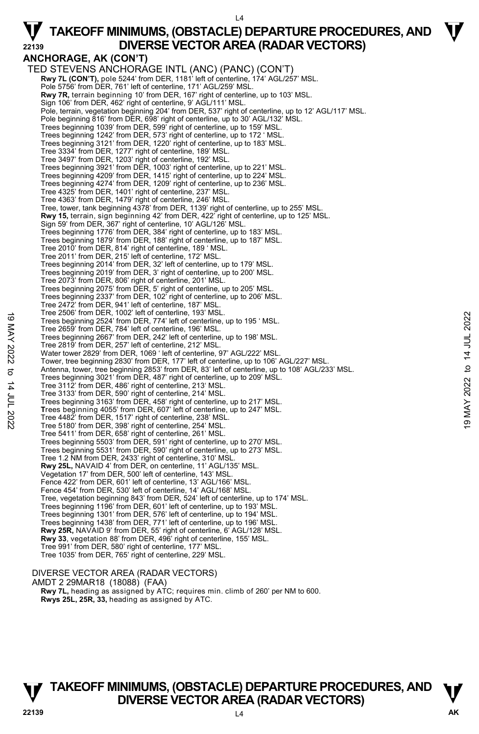### **ANCHORAGE, AK (CON'T)**  TED STEVENS ANCHORAGE INTL (ANC) (PANC) (CON'T)

**Rwy 7L (CON'T),** pole 5244' from DER, 1181' left of centerline, 174' AGL/257' MSL. Pole 5756' from DER, 761' left of centerline, 171' AGL/259' MSL.  **Rwy 7R,** terrain beginning 10' from DER, 167' right of centerline, up to 103' MSL. Sign 106' from DER, 462' right of centerline, 9' AGL/111' MSL. Pole, terrain, vegetation beginning 204' from DER, 537' right of centerline, up to 12' AGL/117' MSL.<br>Pole beginning 816' from DER, 698' right of centerline, up to 30' AGL/132' MSL. Trees beginning 1039' from DER, 599' right of centerline, up to 159' MSL. Trees beginning 1242' from DER, 573' right of centerline, up to 172 ' MSL. Trees beginning 3121' from DER, 1220' right of centerline, up to 183' MSL.<br>Tree 3334' from DER, 1277' right of centerline, 189' MSL.<br>Tree 3497' from DER, 1203' right of centerline, 192' MSL. Trees beginning 3921' from DER, 1003' right of centerline, up to 221' MSL. Trees beginning 4209' from DER, 1415' right of centerline, up to 224' MSL. Trees beginning 4274' from DER, 1209' right of centerline, up to 236' MSL. Tree 4325' from DER, 1401' right of centerline, 237' MSL. Tree 4363' from DER, 1479' right of centerline, 246' MSL. Tree, tower, tank beginning 4378' from DER, 1139' right of centerline, up to 255' MSL. **Rwy 15,** terrain, sign beginning 42' from DER, 422' right of centerline, up to 125' MSL. Sign 59' from DER, 367' right of centerline, 10' AGL/126' MSL. Trees beginning 1776' from DER, 384' right of centerline, up to 183' MSL. Trees beginning 1879' from DER, 188' right of centerline, up to 187' MSL. Tree 2010' from DER, 814' right of centerline, 189 ' MSL. Tree 2011' from DER, 215' left of centerline, 172' MSL. Trees beginning 2014' from DER, 32' left of centerline, up to 179' MSL. Trees beginning 2019' from DER, 3' right of centerline, up to 200' MSL. Tree 2073' from DER, 806' right of centerline, 201' MSL. Trees beginning 2075' from DER, 5' right of centerline, up to 205' MSL. Trees beginning 2337' from DER, 102' right of centerline, up to 206' MSL. Tree 2472' from DER, 941' left of centerline, 187' MSL. Tree 2506' from DER, 1002' left of centerline, 193' MSL. Trees beginning 2524' from DER, 774' left of centerline, up to 195 ' MSL. Tree 2659' from DER, 784' left of centerline, 196' MSL. Trees beginning 2667' from DER, 242' left of centerline, up to 198' MSL. Tree 2819' from DER, 257' left of centerline, 212' MSL. Water tower 2829' from DER, 1069 ' left of centerline, 97' AGL/222' MSL. Tower, tree beginning 2830' from DER, 177' left of centerline, up to 106' AGL/227' MSL. Antenna, tower, tree beginning 2853' from DER, 83' left of centerline, up to 108' AGL/233' MSL. Trees beginning 3021' from DER, 487' right of centerline, up to 209' MSL. Tree 3112' from DER, 486' right of centerline, 213' MSL. Tree 3133' from DER, 590' right of centerline, 214' MSL. Trees beginning 3163' from DER, 458' right of centerline, up to 217' MSL. **T**rees beginning 4055' from DER, 607' left of centerline, up to 247' MSL. Tree 4482' from DER, 1517' right of centerline, 238' MSL. Tree 5180' from DER, 398' right of centerline, 254' MSL. Tree 5411' from DER, 658' right of centerline, 261' MSL. Trees beginning 5503' from DER, 591' right of centerline, up to 270' MSL. Trees beginning 5531' from DER, 590' right of centerline, up to 273' MSL. Tree 1.2 NM from DER, 2433' right of centerline, 310' MSL. **Rwy 25L,** NAVAID 4' from DER, on centerline, 11' AGL/135' MSL. Vegetation 17' from DER, 500' left of centerline, 143' MSL. Fence 422' from DER, 601' left of centerline, 13' AGL/166' MSL. Fence 454' from DER, 530' left of centerline, 14' AGL/168' MSL. Tree, vegetation beginning 843' from DER, 524' left of centerline, up to 174' MSL. Trees beginning 1196' from DER, 601' left of centerline, up to 193' MSL. Trees beginning 1301' from DER, 576' left of centerline, up to 194' MSL. Trees beginning 1438' from DER, 771' left of centerline, up to 196' MSL.<br>**Rwy 25R,** NAVAID 9' from DER, 55' right of centerline, 6' AGL/128' MSL. **Rwy 33**, vegetation 88' from DER, 496' right of centerline, 155' MSL. Tree 991' from DER, 580' right of centerline, 177' MSL. Tree 1035' from DER, 765' right of centerline, 229' MSL. Tree 2019 Transport DEN, 1002 left of centerline, 1998 WISL.<br>
Tree beginning 2524' from DER, 774' left of centerline, up to 195' MSL.<br>
Tree 2659' from DER, 784' left of centerline, 196' MSL.<br>
Tree 2659' from DER, 784' left

#### DIVERSE VECTOR AREA (RADAR VECTORS) AMDT 2 29MAR18 (18088) (FAA) **Rwy 7L,** heading as assigned by ATC; requires min. climb of 260' per NM to 600. **Rwys 25L, 25R, 33,** heading as assigned by ATC.

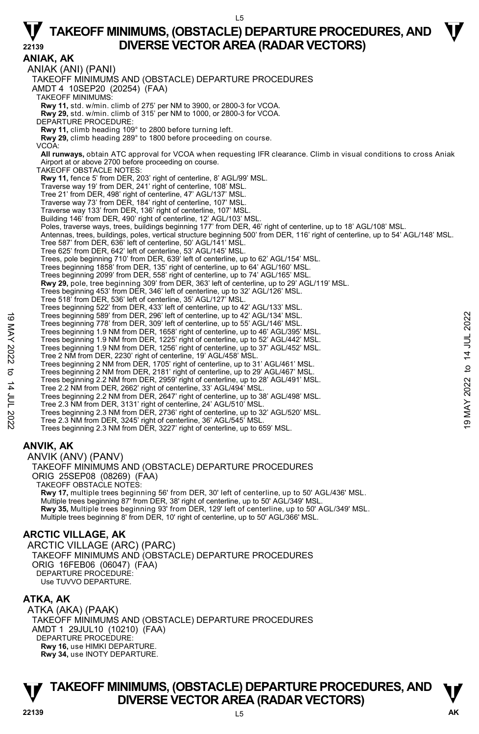#### L5

# **TAKEOFF MINIMUMS, (OBSTACLE) DEPARTURE PROCEDURES, AND**  $\Psi$ **22139 DIVERSE VECTOR AREA (RADAR VECTORS)**

**ANIAK, AK**  ANIAK (ANI) (PANI) TAKEOFF MINIMUMS AND (OBSTACLE) DEPARTURE PROCEDURES AMDT 4 10SEP20 (20254) (FAA) TAKEOFF MINIMUMS: **Rwy 11,** std. w/min. climb of 275' per NM to 3900, or 2800-3 for VCOA. **Rwy 29,** std. w/min. climb of 315' per NM to 1000, or 2800-3 for VCOA. DEPARTURE PROCEDURE: **Rwy 11,** climb heading 109° to 2800 before turning left. **Rwy 29,** climb heading 289° to 1800 before proceeding on course. VCOA: **All runways,** obtain ATC approval for VCOA when requesting IFR clearance. Climb in visual conditions to cross Aniak Airport at or above 2700 before proceeding on course. TAKEOFF OBSTACLE NOTES: **Rwy 11,** fence 5' from DER, 203' right of centerline, 8' AGL/99' MSL. Traverse way 19' from DER, 241' right of centerline, 108' MSL. Tree 21' from DER, 498' right of centerline, 47' AGL/137' MSL. Traverse way 73' from DER, 184' right of centerline, 107' MSL. Traverse way 133' from DER, 136' right of centerline, 107' MSL. Building 146' from DER, 490' right of centerline, 12' AGL/103' MSL. Poles, traverse ways, trees, buildings beginning 177' from DER, 46' right of centerline, up to 18' AGL/108' MSL. Antennas, trees, buildings, poles, vertical structure beginning 500' from DER, 116' right of centerline, up to 54' AGL/148' MSL. Tree 587' from DER, 636' left of centerline, 50' AGL/141' MSL. Tree 625' from DER, 642' left of centerline, 53' AGL/145' MSL. Trees, pole beginning 710' from DER, 639' left of centerline, up to 62' AGL/154' MSL. Trees beginning 1858' from DER, 135' right of centerline, up to 64' AGL/160' MSL. Trees beginning 2099' from DER, 558' right of centerline, up to 74' AGL/165' MSL. **Rwy 29,** pole, tree beginning 309' from DER, 363' left of centerline, up to 29' AGL/119' MSL. Trees beginning 453' from DER, 346' left of centerline, up to 32' AGL/126' MSL. Tree 518' from DER, 536' left of centerline, 35' AGL/127' MSL. Trees beginning 522' from DER, 433' left of centerline, up to 42' AGL/133' MSL. Trees beginning 589' from DER, 296' left of centerline, up to 42' AGL/134' MSL. Trees beginning 778' from DER, 309' left of centerline, up to 55' AGL/146' MSL. Trees beginning 1.9 NM from DER, 1658' right of centerline, up to 46' AGL/395' MSL. Trees beginning 1.9 NM from DER, 1225' right of centerline, up to 52' AGL/442' MSL. Trees beginning 1.9 NM from DER, 1256' right of centerline, up to 37' AGL/452' MSL. Tree 2 NM from DER, 2230' right of centerline, 19' AGL/458' MSL. Trees beginning 2 NM from DER, 1705' right of centerline, up to 31' AGL/461' MSL. Trees beginning 2 NM from DER, 2181' right of centerline, up to 29' AGL/467' MSL. Trees beginning 2.2 NM from DER, 2959' right of centerline, up to 28' AGL/491' MSL. Tree 2.2 NM from DER, 2662' right of centerline, 33' AGL/494' MSL. Trees beginning 2.2 NM from DER, 2647' right of centerline, up to 38' AGL/498' MSL. Tree 2.3 NM from DER, 3131' right of centerline, 24' AGL/510' MSL. Trees beginning 2.3 NM from DER, 2736' right of centerline, up to 32' AGL/520' MSL. Tree 2.3 NM from DER, 3245' right of centerline, 36' AGL/545' MSL. Trees beginning 2.3 NM from DER, 3227' right of centerline, up to 659' MSL. **ANVIK, AK**  ANVIK (ANV) (PANV) TAKEOFF MINIMUMS AND (OBSTACLE) DEPARTURE PROCEDURES ORIG 25SEP08 (08269) (FAA) TAKEOFF OBSTACLE NOTES: **Rwy 17,** multiple trees beginning 56' from DER, 30' left of centerline, up to 50' AGL/436' MSL. Multiple trees beginning 87' from DER, 38' right of centerline, up to 50' AGL/349' MSL.<br>**Rwy 35,** Multiple trees beginning 93' from DER, 129' left of centerline, up to 50' AGL/349' MSL. Multiple trees beginning 8' from DER, 10' right of centerline, up to 50' AGL/366' MSL. Trees beginning 589' from DER, 296' left of centerline, up to 42' AGL/134' MSL.<br>
Trees beginning 7.9' from DER, 1058' right of centerline, up to 49' AGL/46' MSL.<br>
Trees beginning 1.9 NM from DER, 1225' right of centerline,

#### **ARCTIC VILLAGE, AK**

ARCTIC VILLAGE (ARC) (PARC) TAKEOFF MINIMUMS AND (OBSTACLE) DEPARTURE PROCEDURES ORIG 16FEB06 (06047) (FAA) DEPARTURE PROCEDURE: Use TUVVO DEPARTURE.

#### **ATKA, AK**

ATKA (AKA) (PAAK) TAKEOFF MINIMUMS AND (OBSTACLE) DEPARTURE PROCEDURES AMDT 1 29JUL10 (10210) (FAA) DEPARTURE PROCEDURE: **Rwy 16,** use HIMKI DEPARTURE. **Rwy 34,** use INOTY DEPARTURE.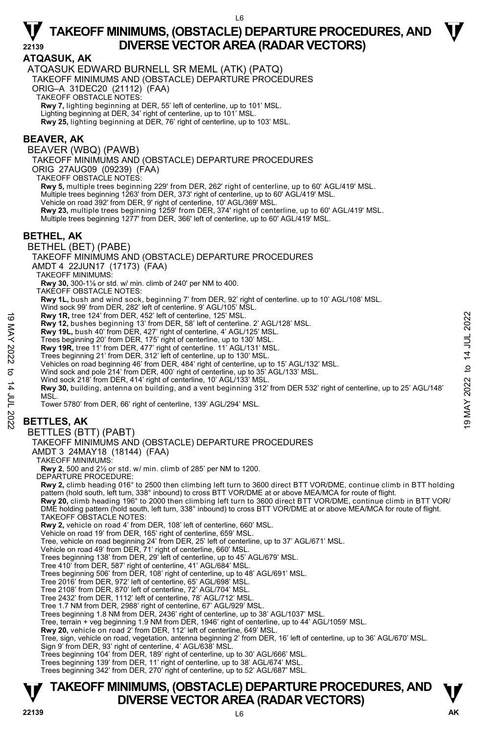#### **ATQASUK, AK**

ATQASUK EDWARD BURNELL SR MEML (ATK) (PATQ) TAKEOFF MINIMUMS AND (OBSTACLE) DEPARTURE PROCEDURES ORIG–A 31DEC20 (21112) (FAA) TAKEOFF OBSTACLE NOTES: **Rwy 7,** lighting beginning at DER, 55' left of centerline, up to 101' MSL. Lighting beginning at DER, 34' right of centerline, up to 101' MSL. **Rwy 25,** lighting beginning at DER, 76' right of centerline, up to 103' MSL.

#### **BEAVER, AK**

BEAVER (WBQ) (PAWB)

TAKEOFF MINIMUMS AND (OBSTACLE) DEPARTURE PROCEDURES

ORIG 27AUG09 (09239) (FAA)

TAKEOFF OBSTACLE NOTES:

**Rwy 5,** multiple trees beginning 229' from DER, 262' right of centerline, up to 60' AGL/419' MSL.

Multiple trees beginning 1263' from DER, 373' right of centerline, up to 60' AGL/419' MSL.

Vehicle on road 392' from DER, 9' right of centerline, 10' AGL/369' MSL.

**Rwy 23,** multiple trees beginning 1259' from DER, 374' right of centerline, up to 60' AGL/419' MSL.

Multiple trees beginning 1277' from DER, 366' left of centerline, up to 60' AGL/419' MSL.

#### **BETHEL, AK**

BETHEL (BET) (PABE)

TAKEOFF MINIMUMS AND (OBSTACLE) DEPARTURE PROCEDURES

AMDT 4 22JUN17 (17173) (FAA)

TAKEOFF MINIMUMS:

**Rwy 30,** 300-1⅛ or std. w/ min. climb of 240' per NM to 400.

TAKEOFF OBSTACLE NOTES:

**Rwy 1L,** bush and wind sock, beginning 7' from DER, 92' right of centerline. up to 10' AGL/108' MSL.

Wind sock 99' from DER, 282' left of centerline. 9' AGL/105' MSL.

**Rwy 1R,** tree 124' from DER, 452' left of centerline, 125' MSL.

**Rwy 12,** bushes beginning 13' from DER, 58' left of centerline. 2' AGL/128' MSL.

**Rwy 19L,** bush 40' from DER, 427' right of centerline, 4' AGL/125' MSL.<br>Trees beginning 20' from DER, 175' right of centerline, up to 130' MSL.

**Rwy 19R,** tree 11' from DER, 477' right of centerline. 11' AGL/131' MSL.

Trees beginning 21' from DER, 312' left of centerline, up to 130' MSL.

Vehicles on road beginning 46' from DER, 484' right of centerline, up to 15' AGL/132' MSL. Wind sock and pole 214' from DER, 400' right of centerline, up to 35' AGL/133' MSL.

Wind sock 218' from DER, 414' right of centerline, 10' AGL/133' MSL.

**Rwy 30,** building, antenna on building, and a vent beginning 312' from DER 532' right of centerline, up to 25' AGL/148'<br>MSL. Now 1R, tree 124' from DER, 452' left of centerline, 125' MSL.<br>
Rwy 18L, bushes beginning 13' from DER, 58' left of centerline. 4' AGL/125' MSL.<br>
Rwy 19L, bushe 10' from DER, 477' right of centerline, 4' AGL/125' MSL.<br>
Tr

Tower 5780' from DER, 66' right of centerline, 139' AGL/294' MSL.

# **BETTLES, AK**

#### BETTLES (BTT) (PABT)

#### TAKEOFF MINIMUMS AND (OBSTACLE) DEPARTURE PROCEDURES

AMDT 3 24MAY18 (18144) (FAA)

TAKEOFF MINIMUMS:

**Rwy 2**, 500 and 2½ or std. w/ min. climb of 285' per NM to 1200. DEPARTURE PROCEDURE:

**Rwy 2,** climb heading 016° to 2500 then climbing left turn to 3600 direct BTT VOR/DME, continue climb in BTT holding

pattern (hold south, left turn, 338° inbound) to cross BTT VOR/DME at or above MEA/MCA for route of flight.<br>**Rwy 20**, climb heading 196° to 2000 then climbing left turn to 3600 direct BTT VOR/DME, continue climb in BTT VOR TAKEOFF OBSTACLE NOTES:

**Rwy 2,** vehicle on road 4' from DER, 108' left of centerline, 660' MSL.

Vehicle on road 19' from DER, 165' right of centerline, 659' MSL.

Tree, vehicle on road beginning 24' from DER, 25' left of centerline, up to 37' AGL/671' MSL.

Vehicle on road 49' from DER, 71' right of centerline, 660' MSL. Trees beginning 138' from DER, 29' left of centerline, up to 45' AGL/679' MSL.

Tree 410' from DER, 587' right of centerline, 41' AGL/684' MSL.

Trees beginning 506' from DER, 108' right of centerline, up to 48' AGL/691' MSL.

Tree 2016' from DER, 972' left of centerline, 65' AGL/698' MSL. Tree 2108' from DER, 870' left of centerline, 72' AGL/704' MSL.

Tree 2432' from DER, 1112' left of centerline, 78' AGL/712' MSL. Tree 1.7 NM from DER, 2988' right of centerline, 67' AGL/929' MSL.

Trees beginning 1.8 NM from DER, 2436' right of centerline, up to 38' AGL/1037' MSL.

Tree, terrain + veg beginning 1.9 NM from DER, 1946' right of centerline, up to 44' AGL/1059' MSL.

**Rwy 20,** vehicle on road 2' from DER, 112' left of centerline, 649' MSL.

Tree, sign, vehicle on road, vegetation, antenna beginning 2' from DER, 16' left of centerline, up to 36' AGL/670' MSL. Sign 9' from DER, 93' right of centerline, 4' AGL/638' MSL.

Trees beginning 104' from DER, 189' right of centerline, up to 30' AGL/666' MSL.

Trees beginning 139' from DER, 11' right of centerline, up to 38' AGL/674' MSL.

Trees beginning 342' from DER, 270' right of centerline, up to 52' AGL/687' MSL.

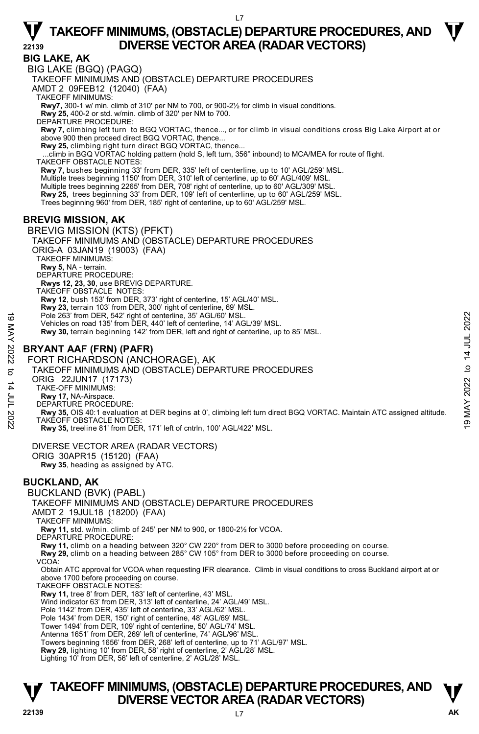**BIG LAKE, AK**  BIG LAKE (BGQ) (PAGQ) TAKEOFF MINIMUMS AND (OBSTACLE) DEPARTURE PROCEDURES AMDT 2 09FEB12 (12040) (FAA) TAKEOFF MINIMUMS: **Rwy7,** 300-1 w/ min. climb of 310' per NM to 700, or 900-2½ for climb in visual conditions. **Rwy 25,** 400-2 or std. w/min. climb of 320' per NM to 700. DEPARTURE PROCEDURE: **Rwy 7,** climbing left turn to BGQ VORTAC, thence..., or for climb in visual conditions cross Big Lake Airport at or above 900 then proceed direct BGQ VORTAC, thence... **Rwy 25,** climbing right turn direct BGQ VORTAC, thence... ...climb in BGQ VORTAC holding pattern (hold S, left turn, 356° inbound) to MCA/MEA for route of flight. TAKEOFF OBSTACLE NOTES: **Rwy 7,** bushes beginning 33' from DER, 335' left of centerline, up to 10' AGL/259' MSL. Multiple trees beginning 1150' from DER, 310' left of centerline, up to 60' AGL/409' MSL. Multiple trees beginning 2265' from DER, 708' right of centerline, up to 60' AGL/309' MSL. **Rwy 25,** trees beginning 33' from DER, 109' left of centerline, up to 60' AGL/259' MSL. Trees beginning 960' from DER, 185' right of centerline, up to 60' AGL/259' MSL. **BREVIG MISSION, AK**  BREVIG MISSION (KTS) (PFKT) TAKEOFF MINIMUMS AND (OBSTACLE) DEPARTURE PROCEDURES ORIG-A 03JAN19 (19003) (FAA) TAKEOFF MINIMUMS: **Rwy 5,** NA - terrain. DEPARTURE PROCEDURE: **Rwys 12, 23, 30**, use BREVIG DEPARTURE. TAKEOFF OBSTACLE NOTES: **Rwy 12**, bush 153' from DER, 373' right of centerline, 15' AGL/40' MSL. **Rwy 23,** terrain 103' from DER, 300' right of centerline, 69' MSL. Pole 263' from DER, 542' right of centerline, 35' AGL/60' MSL. Vehicles on road 135' from DER, 440' left of centerline, 14' AGL/39' MSL. **Rwy 30,** terrain beginning 142' from DER, left and right of centerline, up to 85' MSL. **BRYANT AAF (FRN) (PAFR)**  FORT RICHARDSON (ANCHORAGE), AK TAKEOFF MINIMUMS AND (OBSTACLE) DEPARTURE PROCEDURES ORIG 22JUN17 (17173) TAKE-OFF MINIMUMS: **Rwy 17,** NA-Airspace. DEPARTURE PROCEDURE: Pole 263' from DER, 542' right of centerline, 35' AGL/60' MSL.<br>
Vehicles on road 135' from DER, 44' AGL/30' MSL.<br>
RWY 30, terrain beginning 142' from DER, left and right of centerline, up to 85' MSL.<br>
TAKEOFF MINIMUMS AND **Rwy 35,** treeline 81' from DER, 171' left of cntrln, 100' AGL/422' MSL. DIVERSE VECTOR AREA (RADAR VECTORS) ORIG 30APR15 (15120) (FAA) **Rwy 35**, heading as assigned by ATC. **BUCKLAND, AK**  BUCKLAND (BVK) (PABL) TAKEOFF MINIMUMS AND (OBSTACLE) DEPARTURE PROCEDURES AMDT 2 19JUL18 (18200) (FAA) TAKEOFF MINIMUMS: **Rwy 11,** std. w/min. climb of 245' per NM to 900, or 1800-2½ for VCOA. DEPARTURE PROCEDURE: **Rwy 11,** climb on a heading between 320° CW 220° from DER to 3000 before proceeding on course. **Rwy 29,** climb on a heading between 285° CW 105° from DER to 3000 before proceeding on course. VCOA: Obtain ATC approval for VCOA when requesting IFR clearance. Climb in visual conditions to cross Buckland airport at or above 1700 before proceeding on course. TAKEOFF OBSTACLE NOTES: **Rwy 11,** tree 8' from DER, 183' left of centerline, 43' MSL. Wind indicator 63' from DER, 313' left of centerline, 24' AGL/49' MSL. Pole 1142' from DER, 435' left of centerline, 33' AGL/62' MSL. Pole 1434' from DER, 150' right of centerline, 48' AGL/69' MSL Tower 1494' from DER, 109' right of centerline, 50' AGL/74' MSL. Antenna 1651' from DER, 269' left of centerline, 74' AGL/96' MSL. Towers beginning 1656' from DER, 268' left of centerline, up to 71' AGL/97' MSL. **Rwy 29,** lighting 10' from DER, 58' right of centerline, 2' AGL/28' MSL.<br>Lighting 10' from DER, 56' left of centerline, 2' AGL/28' MSL.

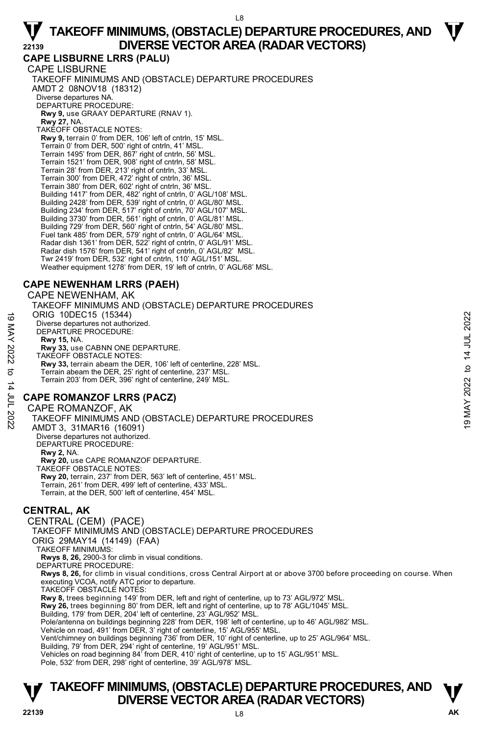**CAPE LISBURNE LRRS (PALU)**  CAPE LISBURNE TAKEOFF MINIMUMS AND (OBSTACLE) DEPARTURE PROCEDURES AMDT 2 08NOV18 (18312) Diverse departures NA. DEPARTURE PROCEDURE: **Rwy 9,** use GRAAY DEPARTURE (RNAV 1). **Rwy 27,** NA. TAKEOFF OBSTACLE NOTES: **Rwy 9,** terrain 0' from DER, 106' left of cntrln, 15' MSL. Terrain 0' from DER, 500' right of cntrln, 41' MSL. Terrain 1495' from DER, 867' right of cntrln, 56' MSL. Terrain 1521' from DER, 908' right of cntrln, 58' MSL. Terrain 28' from DER, 213' right of cntrln, 33' MSL. Terrain 300' from DER, 472' right of cntrln, 36' MSL. Terrain 380' from DER, 602' right of cntrln, 36' MSL. Building 1417' from DER, 482' right of cntrln, 0' AGL/108' MSL. Building 2428' from DER, 539' right of cntrln, 0' AGL/80' MSL. Building 234' from DER, 517' right of cntrln, 70' AGL/107' MSL. Building 3730' from DER, 561' right of cntrln, 0' AGL/81' MSL. Building 729' from DER, 560' right of cntrln, 54' AGL/80' MSL. Fuel tank 485' from DER, 579' right of cntrln, 0' AGL/64' MSL. Radar dish 1361' from DER, 522' right of cntrln, 0' AGL/91' MSL. Radar dish 1576' from DER, 541' right of cntrln, 0' AGL/82' MSL. Twr 2419' from DER, 532' right of cntrln, 110' AGL/151' MSL. Weather equipment 1278' from DER, 19' left of cntrln, 0' AGL/68' MSL.

#### **CAPE NEWENHAM LRRS (PAEH)**

CAPE NEWENHAM, AK

TAKEOFF MINIMUMS AND (OBSTACLE) DEPARTURE PROCEDURES ORIG 10DEC15 (15344) Diverse departures not authorized. DEPARTURE PROCEDURE: **Rwy 15,** NA. **Rwy 33,** use CABNN ONE DEPARTURE. TAKEOFF OBSTACLE NOTES: **Rwy 33,** terrain abeam the DER, 106' left of centerline, 228' MSL. Terrain abeam the DER, 25' right of centerline, 237' MSI Terrain 203' from DER, 396' right of centerline, 249' MSL. ORIG 10DEC15 (15344)<br>
Diverse departures not authorized.<br>
DEPARTURE PROCEDURE:<br>
Rwy 13, Na.<br>
Rwy 33, terrain abeam the DER, 106' left of centerline, 228' MSL.<br>
TAKEOFF OBSTACLE NOTES:<br>
Rwy 33, terrain abeam the DER, 25'

### **CAPE ROMANZOF LRRS (PACZ)**

CAPE ROMANZOF, AK

TAKEOFF MINIMUMS AND (OBSTACLE) DEPARTURE PROCEDURES AMDT 3, 31MAR16 (16091) Diverse departures not authorized. DEPARTURE PROCEDURE: **Rwy 2,** NA.

**Rwy 20,** use CAPE ROMANZOF DEPARTURE. TAKEOFF OBSTACLE NOTES: **Rwy 20,** terrain, 237' from DER, 563' left of centerline, 451' MSL. Terrain, 261' from DER, 499' left of centerline, 433' MSL. Terrain, at the DER, 500' left of centerline, 454' MSL.

### **CENTRAL, AK**

CENTRAL (CEM) (PACE) TAKEOFF MINIMUMS AND (OBSTACLE) DEPARTURE PROCEDURES ORIG 29MAY14 (14149) (FAA) TAKEOFF MINIMUMS: **Rwys 8, 26,** 2900-3 for climb in visual conditions. DEPARTURE PROCEDURE: **Rwys 8, 26,** for climb in visual conditions, cross Central Airport at or above 3700 before proceeding on course. When executing VCOA, notify ATC prior to departure. TAKEOFF OBSTACLE NOTES: **Rwy 8,** trees beginning 149' from DER, left and right of centerline, up to 73' AGL/972' MSL. **726,** trees beginning 80' from DER, left and right of centerline, up to 78' AGL/1045' MSL. Building, 179' from DER, 204' left of centerline, 23' AGL/952' MSL. Pole/antenna on buildings beginning 228' from DER, 198' left of centerline, up to 46' AGL/982' MSL. Vehicle on road, 491' from DER, 3' right of centerline, 15' AGL/955' MSL. Vent/chimney on buildings beginning 736' from DER, 10' right of centerline, up to 25' AGL/964' MSL.<br>Building, 79' from DER, 294' right of centerline, 19' AGL/951' MSL.<br>Vehicles on road beginning 84' from DER, 410' right of Pole, 532' from DER, 298' right of centerline, 39' AGL/978' MSL.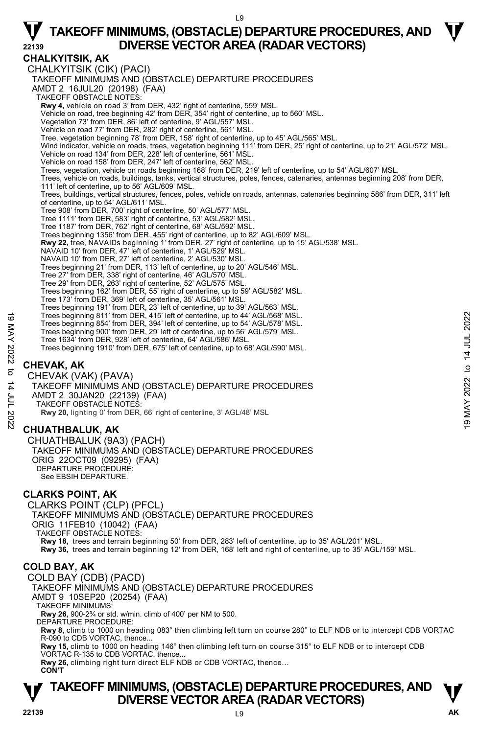**CHALKYITSIK, AK**  CHALKYITSIK (CIK) (PACI) TAKEOFF MINIMUMS AND (OBSTACLE) DEPARTURE PROCEDURES AMDT 2 16JUL20 (20198) (FAA) TAKEOFF OBSTACLE NOTES: **Rwy 4,** vehicle on road 3' from DER, 432' right of centerline, 559' MSL. Vehicle on road, tree beginning 42' from DER, 354' right of centerline, up to 560' MSL. Vegetation 73' from DER, 86' left of centerline, 9' AGL/557' MSL. Vehicle on road 77' from DER, 282' right of centerline, 561' MSL. Tree, vegetation beginning 78' from DER, 158' right of centerline, up to 45' AGL/565' MSL. Wind indicator, vehicle on roads, trees, vegetation beginning 111' from DER, 25' right of centerline, up to 21' AGL/572' MSL. Vehicle on road 134' from DER, 228' left of centerline, 561' MSL. Vehicle on road 158' from DER, 247' left of centerline, 562' MSL. Trees, vegetation, vehicle on roads beginning 168' from DER, 219' left of centerline, up to 54' AGL/607' MSL. Trees, vehicle on roads, buildings, tanks, vertical structures, poles, fences, catenaries, antennas beginning 208' from DER, 111' left of centerline, up to 56' AGL/609' MSL. Trees, buildings, vertical structures, fences, poles, vehicle on roads, antennas, catenaries beginning 586' from DER, 311' left of centerline, up to 54' AGL/611' MSL. Tree 908' from DER, 700' right of centerline, 50' AGL/577' MSL. Tree 1111' from DER, 583' right of centerline, 53' AGL/582' MSL. Tree 1187' from DER, 762' right of centerline, 68' AGL/592' MSL. Trees beginning 1356' from DER, 455' right of centerline, up to 82' AGL/609' MSL. **Rwy 22,** tree, NAVAIDs beginning 1' from DER, 27' right of centerline, up to 15' AGL/538' MSL. NAVAID 10' from DER, 47' left of centerline, 1' AGL/529' MSL. NAVAID 10' from DER, 27' left of centerline, 2' AGL/530' MSL. Trees beginning 21' from DER, 113' left of centerline, up to 20' AGL/546' MSL. Tree 27' from DER, 338' right of centerline, 46' AGL/570' MSL. Tree 29' from DER, 263' right of centerline, 52' AGL/575' MSL. Trees beginning 162' from DER, 55' right of centerline, up to 59' AGL/582' MSL. Tree 173' from DER, 369' left of centerline, 35' AGL/561' MSL. Trees beginning 191' from DER, 23' left of centerline, up to 39' AGL/563' MSL. Trees beginning 811' from DER, 415' left of centerline, up to 44' AGL/568' MSL. Trees beginning 854' from DER, 394' left of centerline, up to 54' AGL/578' MSL. Trees beginning 900' from DER, 29' left of centerline, up to 56' AGL/579' MSL. Tree 1634' from DER, 928' left of centerline, 64' AGL/586' MSL. Trees beginning 1910' from DER, 675' left of centerline, up to 68' AGL/590' MSL. **CHEVAK, AK**  CHEVAK (VAK) (PAVA) TAKEOFF MINIMUMS AND (OBSTACLE) DEPARTURE PROCEDURES AMDT 2 30JAN20 (22139) (FAA) TAKEOFF OBSTACLE NOTES: **Rwy 20,** lighting 0' from DER, 66' right of centerline, 3' AGL/48' MSL **CHUATHBALUK, AK**  CHUATHBALUK (9A3) (PACH) TAKEOFF MINIMUMS AND (OBSTACLE) DEPARTURE PROCEDURES ORIG 22OCT09 (09295) (FAA) DEPARTURE PROCEDURÉ: See EBSIH DEPARTURE. **CLARKS POINT, AK**  CLARKS POINT (CLP) (PFCL) TAKEOFF MINIMUMS AND (OBSTACLE) DEPARTURE PROCEDURES ORIG 11FEB10 (10042) (FAA) TAKEOFF OBSTACLE NOTES: **Rwy 18,** trees and terrain beginning 50' from DER, 283' left of centerline, up to 35' AGL/201' MSL. **Rwy 36,** trees and terrain beginning 12' from DER, 168' left and right of centerline, up to 35' AGL/159' MSL. **COLD BAY, AK**  COLD BAY (CDB) (PACD) TAKEOFF MINIMUMS AND (OBSTACLE) DEPARTURE PROCEDURES AMDT 9 10SEP20 (20254) (FAA) TAKEOFF MINIMUMS: **Rwy 26,** 900-2¾ or std. w/min. climb of 400' per NM to 500. DEPARTURE PROCEDURE: **Rwy 8,** climb to 1000 on heading 083° then climbing left turn on course 280° to ELF NDB or to intercept CDB VORTAC R-090 to CDB VORTAC, thence. **Rwy 15,** climb to 1000 on heading 146° then climbing left turn on course 315° to ELF NDB or to intercept CDB VORTAC R-135 to CDB VORTAC, thence. **Rwy 26,** climbing right turn direct ELF NDB or CDB VORTAC, thence…  **CON'T**  Trees beginning 811' from DER, 415' left of centerline, up to 44' AGL/568' MSL.<br>
Trees beginning 800' from DER, 39' left of centerline, up to 56' AGL/579' MSL.<br>
Tree 1634' from DER, 928' left of centerline, up to 56' AGL/5

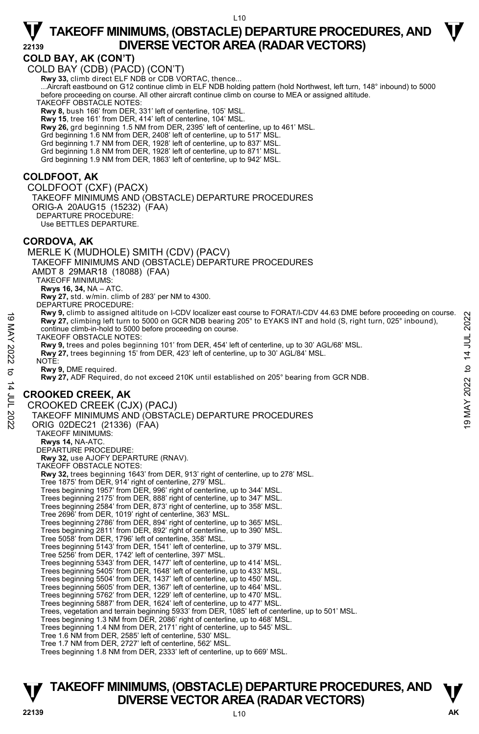#### **COLD BAY, AK (CON'T)**

COLD BAY (CDB) (PACD) (CON'T)  **Rwy 33,** climb direct ELF NDB or CDB VORTAC, thence... ...Aircraft eastbound on G12 continue climb in ELF NDB holding pattern (hold Northwest, left turn, 148° inbound) to 5000 before proceeding on course. All other aircraft continue climb on course to MEA or assigned altitude. TAKEOFF OBSTACLE NOTES: **Rwy 8,** bush 166' from DER, 331' left of centerline, 105' MSL. **Rwy 15**, tree 161' from DER, 414' left of centerline, 104' MSL. **Rwy 26,** grd beginning 1.5 NM from DER, 2395' left of centerline, up to 461' MSL. Grd beginning 1.6 NM from DER, 2408' left of centerline, up to 517' MSL. Grd beginning 1.7 NM from DER, 1928' left of centerline, up to 837' MSL. Grd beginning 1.8 NM from DER, 1928' left of centerline, up to 871' MSL. Grd beginning 1.9 NM from DER, 1863' left of centerline, up to 942' MSL. **COLDFOOT, AK**  COLDFOOT (CXF) (PACX) TAKEOFF MINIMUMS AND (OBSTACLE) DEPARTURE PROCEDURES ORIG-A 20AUG15 (15232) (FAA) DEPARTURE PROCEDURE: Use BETTLES DEPARTURE. **CORDOVA, AK**  MERLE K (MUDHOLE) SMITH (CDV) (PACV) TAKEOFF MINIMUMS AND (OBSTACLE) DEPARTURE PROCEDURES AMDT 8 29MAR18 (18088) (FAA) TAKEOFF MINIMUMS: **Rwys 16, 34,** NA – ATC. **Rwy 27,** std. w/min. climb of 283' per NM to 4300. DEPARTURE PROCEDURE: **Rwy 9,** climb to assigned altitude on I-CDV localizer east course to FORAT/I-CDV 44.63 DME before proceeding on course. **Rwy 27,** climbing left turn to 5000 on GCR NDB bearing 205° to EYAKS INT and hold (S, right turn, 025° inbound), continue climb-in-hold to 5000 before proceeding on course. TAKEOFF OBSTACLE NOTES: **Rwy 9,** trees and poles beginning 101' from DER, 454' left of centerline, up to 30' AGL/68' MSL. **Rwy 27,** trees beginning 15' from DER, 423' left of centerline, up to 30' AGL/84' MSL. NOTE: **Rwy 9,** DME required. **Rwy 27,** ADF Required, do not exceed 210K until established on 205° bearing from GCR NDB. **CROOKED CREEK, AK**  CROOKED CREEK (CJX) (PACJ) TAKEOFF MINIMUMS AND (OBSTACLE) DEPARTURE PROCEDURES ORIG 02DEC21 (21336) (FAA) TAKEOFF MINIMUMS: **Rwys 14,** NA-ATC. DEPARTURE PROCEDURE: **Rwy 32,** use AJOFY DEPARTURE (RNAV). TAKEOFF OBSTACLE NOTES: **Rwy 32,** trees beginning 1643' from DER, 913' right of centerline, up to 278' MSL. Tree 1875' from DER, 914' right of centerline, 279' MSL. Trees beginning 1957' from DER, 996' right of centerline, up to 344' MSL. Trees beginning 2175' from DER, 888' right of centerline, up to 347' MSL. Trees beginning 2584' from DER, 873' right of centerline, up to 358' MSL. Tree 2696' from DER, 1019' right of centerline, 363' MSL. Trees beginning 2786' from DER, 894' right of centerline, up to 365' MSL. Trees beginning 2811' from DER, 892' right of centerline, up to 390' MSL. Tree 5058' from DER, 1796' left of centerline, 358' MSL. Trees beginning 5143' from DER, 1541' left of centerline, up to 379' MSL. Tree 5256' from DER, 1742' left of centerline, 397' MSL. Trees beginning 5343' from DER, 1477' left of centerline, up to 414' MSL. Trees beginning 5405' from DER, 1648' left of centerline, up to 433' MSL. Trees beginning 5504' from DER, 1437' left of centerline, up to 450' MSL. Trees beginning 5605' from DER, 1367' left of centerline, up to 464' MSL. Trees beginning 5762' from DER, 1229' left of centerline, up to 470' MSL. Trees beginning 5887' from DER, 1624' left of centerline, up to 477' MSL. Trees, vegetation and terrain beginning 5933' from DER, 1085' left of centerline, up to 501' MSL. Trees beginning 1.3 NM from DER, 2086' right of centerline, up to 468' MSL. Trees beginning 1.4 NM from DER, 2171' right of centerline, up to 545' MSL. Tree 1.6 NM from DER, 2585' left of centerline, 530' MSL. Tree 1.7 NM from DER, 2727' left of centerline, 562' MSL. Trees beginning 1.8 NM from DER, 2333' left of centerline, up to 669' MSL. 19 May 9, Climbing left turn to 5000 on GCR NDB bearing 205° to EYAKS INT and hold (S, right turn, 025° inbound),<br>
TAKEOFF OBSTACLE NOTE:<br>
TAKEOFF OBSTACLE NOTE:<br>
TAKEOFF OBSTACLE NOTE:<br>
TAKEOFF OBSTACLE NOTE:<br>
TAW 9, tre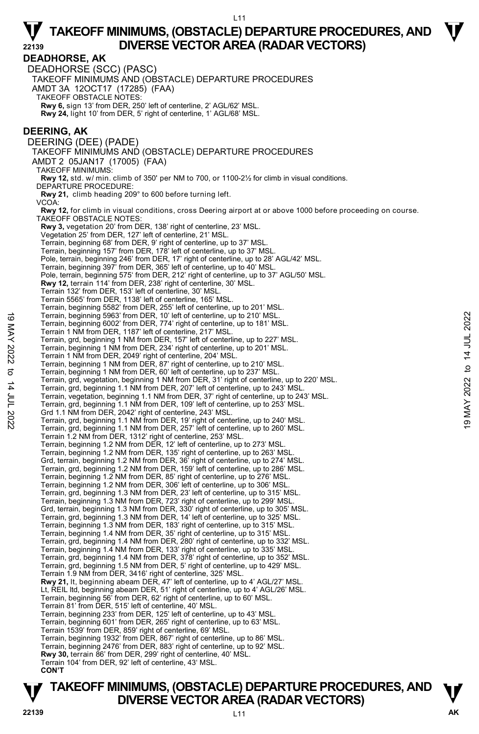**DEADHORSE, AK**  DEADHORSE (SCC) (PASC) TAKEOFF MINIMUMS AND (OBSTACLE) DEPARTURE PROCEDURES AMDT 3A 12OCT17 (17285) (FAA) TAKEOFF OBSTACLE NOTES: **Rwy 6,** sign 13' from DER, 250' left of centerline, 2' AGL/62' MSL. **Rwy 24,** light 10' from DER, 5' right of centerline, 1' AGL/68' MSL. **DEERING, AK**  DEERING (DEE) (PADE) TAKEOFF MINIMUMS AND (OBSTACLE) DEPARTURE PROCEDURES AMDT 2 05JAN17 (17005) (FAA) TAKEOFF MINIMUMS: **Rwy 12,** std. w/ min. climb of 350' per NM to 700, or 1100-2½ for climb in visual conditions. DEPARTURE PROCEDURE: **Rwy 21,** climb heading 209° to 600 before turning left. V<sub>CO</sub> **Rwy 12,** for climb in visual conditions, cross Deering airport at or above 1000 before proceeding on course. TAKEOFF OBSTACLE NOTES: **Rwy 3,** vegetation 20' from DER, 138' right of centerline, 23' MSL. Vegetation 25' from DER, 127' left of centerline, 21' MSL. Terrain, beginning 68' from DER, 9' right of centerline, up to 37' MSL. Terrain, beginning 157' from DER, 178' left of centerline, up to 37' MSL. Pole, terrain, beginning 246' from DER, 17' right of centerline, up to 28' AGL/42' MSL. Terrain, beginning 397' from DER, 365' left of centerline, up to 40' MSL. Pole, terrain, beginning 575' from DER, 212' right of centerline, up to 37' AGL/50' MSL. **Rwy 12,** terrain 114' from DER, 238' right of centerline, 30' MSL. Terrain 132' from DER, 153' left of centerline, 30' MSL. Terrain 5565' from DER, 1138' left of centerline, 165' MSL. Terrain, beginning 5582' from DER, 255' left of centerline, up to 201' MSL. Terrain, beginning 5963' from DER, 10' left of centerline, up to 210' MSL. Terrain, beginning 6002' from DER, 774' right of centerline, up to 181' MSL. Terrain 1 NM from DER, 1187' left of centerline, 217' MSL. Terrain, grd, beginning 1 NM from DER, 157' left of centerline, up to 227' MSL. Terrain, beginning 1 NM from DER, 234' right of centerline, up to 201' MSL. Terrain 1 NM from DER, 2049' right of centerline, 204' MSL. Terrain, beginning 1 NM from DER, 87' right of centerline, up to 210' MSL. Terrain, beginning 1 NM from DER, 60' left of centerline, up to 237' MSL. Terrain, grd, vegetation, beginning 1 NM from DER, 31' right of centerline, up to 220' MSL. Terrain, grd, beginning 1.1 NM from DER, 207' left of centerline, up to 243' MSL. Terrain, vegetation, beginning 1.1 NM from DER, 37' right of centerline, up to 243' MSL. Terrain, grd, beginning 1.1 NM from DER, 109' left of centerline, up to 253' MSL. Grd 1.1 NM from DER, 2042' right of centerline, 243' MSL. Terrain, grd, beginning 1.1 NM from DER, 19' right of centerline, up to 240' MSL. Terrain, grd, beginning 1.1 NM from DER, 257' left of centerline, up to 260' MSL. Terrain 1.2 NM from DER, 1312' right of centerline, 253' MSL. Terrain, beginning 1.2 NM from DER, 12' left of centerline, up to 273' MSL. Terrain, beginning 1.2 NM from DER, 135' right of centerline, up to 263' MSL. Grd, terrain, beginning 1.2 NM from DER, 36' right of centerline, up to 274' MSL. Terrain, grd, beginning 1.2 NM from DER, 159' left of centerline, up to 286' MSL. Terrain, beginning 1.2 NM from DER, 85' right of centerline, up to 276' MSL. Terrain, beginning 1.2 NM from DER, 306' left of centerline, up to 306' MSL. Terrain, grd, beginning 1.3 NM from DER, 23' left of centerline, up to 315' MSL. Terrain, beginning 1.3 NM from DER, 723' right of centerline, up to 299' MSL. Grd, terrain, beginning 1.3 NM from DER, 330' right of centerline, up to 305' MSL. Terrain, grd, beginning 1.3 NM from DER, 14' left of centerline, up to 325' MSL. Terrain, beginning 1.3 NM from DER, 183' right of centerline, up to 315' MSL. Terrain, beginning 1.4 NM from DER, 35' right of centerline, up to 315' MSL. Terrain, grd, beginning 1.4 NM from DER, 280' right of centerline, up to 332' MSL. Terrain, beginning 1.4 NM from DER, 133' right of centerline, up to 335' MSL. Terrain, grd, beginning 1.4 NM from DER, 378' right of centerline, up to 352' MSL. Terrain, grd, beginning 1.5 NM from DER, 5' right of centerline, up to 429' MSL. Terrain 1.9 NM from DER, 3416' right of centerline, 325' MSL. **Rwy 21,** lt, beginning abeam DER, 47' left of centerline, up to 4' AGL/27' MSL. Lt, REIL ltd, beginning abeam DER, 51' right of centerline, up to 4' AGL/26' MSL. Terrain, beginning 56' from DER, 62' right of centerline, up to 60' MSL. Terrain 81' from DER, 515' left of centerline, 40' MSL Terrain, beginning 233' from DER, 125' left of centerline, up to 43' MSL. Terrain, beginning 601' from DER, 265' right of centerline, up to 63' MSL. Terrain 1539' from DER, 859' right of centerline, 69' MSL. Terrain, beginning 1932' from DER, 867' right of centerline, up to 86' MSL. Terrain, beginning 2476' from DER, 883' right of centerline, up to 92' MSL. **Rwy 30,** terrain 86' from DER, 299' right of centerline, 40' MSL. Terrain 104' from DER, 92' left of centerline, 43' MSL.  **CON'T**  19 Terrain, beginning 5963' from DER, 10' left of centerline, up to 210' MSL.<br>
Terrain 1 NM from DER, 174' right of centerline, up to 181' MSL.<br>
Terrain 1 NM from DER, 1187' left of centerline, 217' MSL.<br>
Terrain, beginni



# **TAKEOFF MINIMUMS, (OBSTACLE) DEPARTURE PROCEDURES, AND <b>W**<br>DIVERSE VECTOR AREA (RADAR VECTORS)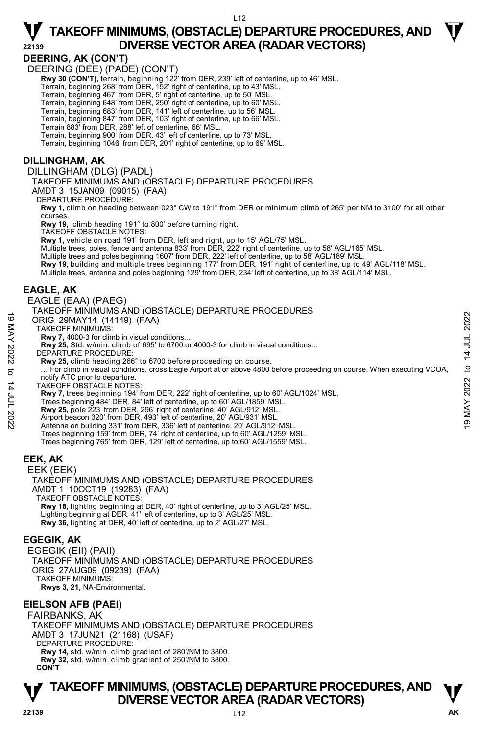#### **DEERING, AK (CON'T)**

DEERING (DEE) (PADE) (CON'T)

- Rwy 30 (CON'T), terrain, beginning 122' from DER, 239' left of centerline, up to 46' MSL.
- Terrain, beginning 268' from DER, 152' right of centerline, up to 43' MSL.
- Terrain, beginning 467' from DER, 5' right of centerline, up to 50' MSL.
- 
- Terrain, beginning 648' from DER, 250' right of centerline, up to 60' MSL.<br>Terrain, beginning 683' from DER, 141' left of centerline, up to 56' MSL.<br>Terrain, beginning 847' from DER, 103' right of centerline, up to 66' MSL
- 
- Terrain 883' from DER, 288' left of centerline, 66' MSL.
- Terrain, beginning 900' from DER, 43' left of centerline, up to 73' MSL.

Terrain, beginning 1046' from DER, 201' right of centerline, up to 69' MSL.

#### **DILLINGHAM, AK**

DILLINGHAM (DLG) (PADL) TAKEOFF MINIMUMS AND (OBSTACLE) DEPARTURE PROCEDURES

AMDT 3 15JAN09 (09015) (FAA)

DEPARTURE PROCEDURE:

**Rwy 1,** climb on heading between 023° CW to 191° from DER or minimum climb of 265' per NM to 3100' for all other courses.

**Rwy 19,** climb heading 191° to 800' before turning right.

TAKEOFF OBSTACLE NOTES:

**Rwy 1,** vehicle on road 191' from DER, left and right, up to 15' AGL/75' MSL.

Multiple trees, poles, fence and antenna 833' from DER, 222' right of centerline, up to 58' AGL/165' MSL.

- Multiple trees and poles beginning 1607' from DER, 222' left of centerline, up to 58' AGL/189' MSL.
- 

**Rwy 19,** building and multiple trees beginning 177' from DER, 191' right of centerline, up to 49' AGL/118' MSL.<br>Multiple trees, antenna and poles beginning 129' from DER, 234' left of centerline, up to 38' AGL/114' MSL.

#### **EAGLE, AK**

EAGLE (EAA) (PAEG)

#### TAKEOFF MINIMUMS AND (OBSTACLE) DEPARTURE PROCEDURES

ORIG 29MAY14 (14149) (FAA)

TAKEOFF MINIMUMS:

- **Rwy 7,** 4000-3 for climb in visual conditions...
- **Rwy 25,** Std. w/min. climb of 695' to 6700 or 4000-3 for climb in visual conditions...
- DEPARTURE PROCEDURE:
	- **Rwy 25,** climb heading 266° to 6700 before proceeding on course.

 … For climb in visual conditions, cross Eagle Airport at or above 4800 before proceeding on course. When executing VCOA, notify ATC prior to departure. 19 MAY 2022 to 14 JUL 202219 MAY 2022 to 14 JUL 2022

TAKEOFF OBSTACLE NOTES:

**Rwy 7,** trees beginning 194' from DER, 222' right of centerline, up to 60' AGL/1024' MSL.

- Trees beginning 484' DER, 84' left of centerline, up to 60' AGL/1859' MSL.
- **Rwy 25,** pole 223' from DER, 296' right of centerline, 40' AGL/912' MSL.
- Airport beacon 320' from DER, 493' left of centerline, 20' AGL/931' MSL.
- Antenna on building 331' from DER, 336' left of centerline, 20' AGL/912' MSL.
- Trees beginning 159' from DER, 74' right of centerline, up to 60' AGL/1259' MSL.
- Trees beginning 765' from DER, 129' left of centerline, up to 60' AGL/1559' MSL.

#### **EEK, AK**

EEK (EEK) TAKEOFF MINIMUMS AND (OBSTACLE) DEPARTURE PROCEDURES AMDT 1 10OCT19 (19283) (FAA) TAKEOFF OBSTACLE NOTES: **Rwy 18,** lighting beginning at DER, 40' right of centerline, up to 3' AGL/25' MSL. Lighting beginning at DER, 41' left of centerline, up to 3' AGL/25' MSL. **Rwy 36,** lighting at DER, 40' left of centerline, up to 2' AGL/27' MSL.

#### **EGEGIK, AK**

EGEGIK (EII) (PAII) TAKEOFF MINIMUMS AND (OBSTACLE) DEPARTURE PROCEDURES ORIG 27AUG09 (09239) (FAA) TAKEOFF MINIMUMS: **Rwys 3, 21,** NA-Environmental.

#### **EIELSON AFB (PAEI)**

FAIRBANKS, AK TAKEOFF MINIMUMS AND (OBSTACLE) DEPARTURE PROCEDURES AMDT 3 17JUN21 (21168) (USAF) DEPARTURE PROCEDURE: **Rwy 14,** std. w/min. climb gradient of 280'/NM to 3800. **Rwy 32,** std. w/min. climb gradient of 250'/NM to 3800. **CON'T**



**TAKEOFF MINIMUMS, (OBSTACLE) DEPARTURE PROCEDURES, AND <b>W**<br>DIVERSE VECTOR AREA (RADAR VECTORS) **DIVERSE VECTOR AREA (RADAR VECTORS)**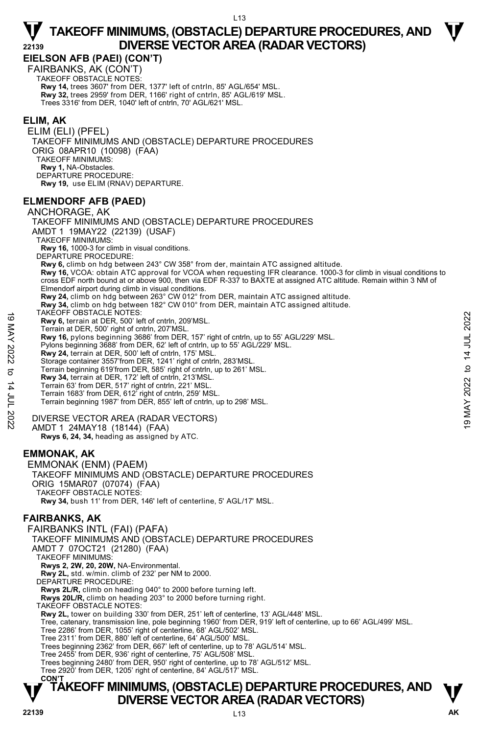**EIELSON AFB (PAEI) (CON'T)** 

FAIRBANKS, AK (CON'T) TAKEOFF OBSTACLE NOTES: **Rwy 14,** trees 3607' from DER, 1377' left of cntrln, 85' AGL/654' MSL. **Rwy 32,** trees 2959' from DER, 1166' right of cntrln, 85' AGL/619' MSL. Trees 3316' from DER, 1040' left of cntrln, 70' AGL/621' MSL.

#### **ELIM, AK**

ELIM (ELI) (PFEL) TAKEOFF MINIMUMS AND (OBSTACLE) DEPARTURE PROCEDURES ORIG 08APR10 (10098) (FAA) TAKEOFF MINIMUMS: **Rwy 1,** NA-Obstacles. DEPARTURE PROCEDURE: **Rwy 19,** use ELIM (RNAV) DEPARTURE.

#### **ELMENDORF AFB (PAED)**

ANCHORAGE, AK TAKEOFF MINIMUMS AND (OBSTACLE) DEPARTURE PROCEDURES AMDT 1 19MAY22 (22139) (USAF) TAKEOFF MINIMUMS: **Rwy 16,** 1000-3 for climb in visual conditions. DEPARTURE PROCEDURE: **Rwy 6,** climb on hdg between 243° CW 358° from der, maintain ATC assigned altitude. **Rwy 16,** VCOA: obtain ATC approval for VCOA when requesting IFR clearance. 1000-3 for climb in visual conditions to cross EDF north bound at or above 900, then via EDF R-337 to BAXTE at assigned ATC altitude. Remain within 3 NM of Elmendorf airport during climb in visual conditions. **Rwy 24,** climb on hdg between 263° CW 012° from DER, maintain ATC assigned altitude. **Rwy 34,** climb on hdg between 182° CW 010° from DER, maintain ATC assigned altitude. TAKEOFF OBSTACLE NOTES: **Rwy 6,** terrain at DER, 500' left of cntrln, 209'MSL. Terrain at DER, 500' right of cntrln, 207'MSL. **Rwy 16,** pylons beginning 3686' from DER, 157' right of cntrln, up to 55' AGL/229' MSL. Pylons beginning 3688' from DER, 62' left of cntrln, up to 55' AGL/229' MSL. **Rwy 24,** terrain at DER, 500' left of cntrln, 175' MSL. Storage container 3557'from DER, 1241' right of cntrln, 283'MSL. Terrain beginning 619'from DER, 585' right of cntrln, up to 261' MSL. **Rwy 34,** terrain at DER, 172' left of cntrln, 213'MSL. Terrain 63' from DER, 517' right of cntrln, 221' MSL. Terrain 1683' from DER, 612' right of cntrln, 259' MSL. Terrain beginning 1987' from DER, 855' left of cntrln, up to 298' MSL. DIVERSE VECTOR AREA (RADAR VECTORS) AMDT 1 24MAY18 (18144) (FAA) **Rwys 6, 24, 34,** heading as assigned by ATC. **EMMONAK, AK**  EMMONAK (ENM) (PAEM) TAKEOFF MINIMUMS AND (OBSTACLE) DEPARTURE PROCEDURES ORIG 15MAR07 (07074) (FAA) TAKEOFF OBSTACLE NOTES: **Rwy 34,** bush 11' from DER, 146' left of centerline, 5' AGL/17' MSL. **FAIRBANKS, AK**  FAIRBANKS INTL (FAI) (PAFA) TAKEOFF MINIMUMS AND (OBSTACLE) DEPARTURE PROCEDURES AMDT 7 07OCT21 (21280) (FAA) TAKEOFF MINIMUMS: **Rwys 2, 2W, 20, 20W,** NA-Environmental. **Rwy 2L,** std. w/min. climb of 232' per NM to 2000. DEPARTURE PROCEDURE **Rwys 2L/R,** climb on heading 040° to 2000 before turning left. **Rwys 20L/R,** climb on heading 203° to 2000 before turning right. TAKEOFF OBSTACLE NOTES: **EXACUTE OBSTACLE NOTES:**<br> **EXACUTE AND CONTROVER SOUTHERT AND AVAILE THE SOUTHERT AND RESPONSE.**<br> **EVALUATION SECTION CONTROVER SOUTHERT AND AVAILABLE TO USE AND SURFALL AND THOSE SURFALL PUODS Beginning 3688' from DER,** 

**Rwy 2L,** tower on building 330' from DER, 251' left of centerline, 13' AGL/448' MSL.

Tree, catenary, transmission line, pole beginning 1960' from DER, 919' left of centerline, up to 66' AGL/499' MSL.

Tree 2286' from DER, 1055' right of centerline, 68' AGL/502' MSL.

Tree 2311' from DER, 880' left of centerline, 64' AGL/500' MSL. Trees beginning 2362' from DER, 667' left of centerline, up to 78' AGL/514' MSL.

Tree 2455' from DER, 936' right of centerline, 75' AGL/508' MSL.

Trees beginning 2480' from DER, 950' right of centerline, up to 78' AGL/512' MSL. Tree 2920' from DER, 1205' right of centerline, 84' AGL/517' MSL.

#### **T T TAKEOFF MINIMUMS, (OBSTACLE) DEPARTURE PROCEDURES, AND DIVERSE VECTOR AREA (RADAR VECTORS) CON'T**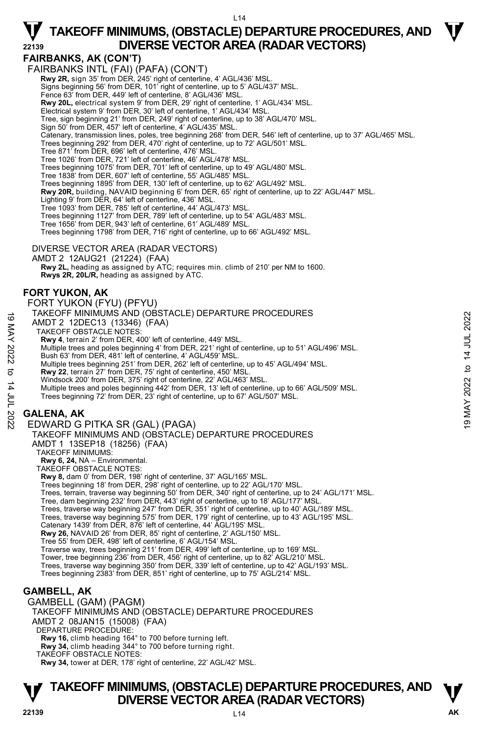#### **FAIRBANKS, AK (CON'T)**

FAIRBANKS INTL (FAI) (PAFA) (CON'T)  **Rwy 2R,** sign 35' from DER, 245' right of centerline, 4' AGL/436' MSL. Signs beginning 56' from DER, 101' right of centerline, up to 5' AGL/437' MSL. Fence 63' from DER, 449' left of centerline, 8' AGL/436' MSL. **Rwy 20L,** electrical system 9' from DER, 29' right of centerline, 1' AGL/434' MSL.<br>Electrical system 9' from DER, 30' left of centerline, 1' AGL/434' MSL. Tree, sign beginning 21' from DER, 249' right of centerline, up to 38' AGL/470' MSL. Sign 50' from DER, 457' left of centerline, 4' AGL/435' MSL. Catenary, transmission lines, poles, tree beginning 268' from DER, 546' left of centerline, up to 37' AGL/465' MSL. Trees beginning 292' from DER, 470' right of centerline, up to 72' AGL/501' MSL. Tree 871' from DER, 696' left of centerline, 476' MSL. Tree 1026' from DER, 721' left of centerline, 46' AGL/478' MSL. Trees beginning 1075' from DER, 701' left of centerline, up to 49' AGL/480' MSL. Tree 1838' from DER, 607' left of centerline, 55' AGL/485' MSL. Trees beginning 1895' from DER, 130' left of centerline, up to 62' AGL/492' MSL. **Rwy 20R,** building, NAVAID beginning 6' from DER, 65' right of centerline, up to 22' AGL/447' MSL.<br>Lighting 9' from DER, 64' left of centerline, 436' MSL. Tree 1093' from DER, 785' left of centerline, 44' AGL/473' MSL. Trees beginning 1127' from DER, 789' left of centerline, up to 54' AGL/483' MSL. Tree 1656' from DER, 943' left of centerline, 61' AGL/489' MSL. Trees beginning 1798' from DER, 716' right of centerline, up to 66' AGL/492' MSL. DIVERSE VECTOR AREA (RADAR VECTORS) AMDT 2 12AUG21 (21224) (FAA) **Rwy 2L,** heading as assigned by ATC; requires min. climb of 210' per NM to 1600. **Rwys 2R, 20L/R,** heading as assigned by ATC. **FORT YUKON, AK**  FORT YUKON (FYU) (PFYU) TAKEOFF MINIMUMS AND (OBSTACLE) DEPARTURE PROCEDURES AMDT 2 12DEC13 (13346) (FAA) TAKEOFF OBSTACLE NOTES: **Rwy 4**, terrain 2' from DER, 400' left of centerline, 449' MSL. Multiple trees and poles beginning 4' from DER, 221' right of centerline, up to 51' AGL/496' MSL. Bush 63' from DER, 481' left of centerline, 4' AGL/459' MSL. Multiple trees beginning 251' from DER, 262' left of centerline, up to 45' AGL/494' MSL.<br>**Rwy 22,** terrain 27' from DER, 75' right of centerline, 450' MSL. Windsock 200' from DER, 375' right of centerline, 22' AGL/463' MSL. Multiple trees and poles beginning 442' from DER, 13' left of centerline, up to 66' AGL/509' MSL.<br>Trees beginning 72' from DER, 23' right of centerline, up to 67' AGL/507' MSL. **GALENA, AK**  EDWARD G PITKA SR (GAL) (PAGA) TAKEOFF MINIMUMS AND (OBSTACLE) DEPARTURE PROCEDURES AMDT 1 13SEP18 (18256) (FAA) TAKEOFF MINIMUMS: **Rwy 6, 24,** NA – Environmental. TAKEOFF OBSTACLE NOTES: **Rwy 8,** dam 0' from DER, 198' right of centerline, 37' AGL/165' MSL. Trees beginning 18' from DER, 298' right of centerline, up to 22' AGL/170' MSL. Trees, terrain, traverse way beginning 50' from DER, 340' right of centerline, up to 24' AGL/171' MSL. Tree, dam beginning 232' from DER, 443' right of centerline, up to 18' AGL/177' MSL.<br>Trees, traverse way beginning 247' from DER, 351' right of centerline, up to 40' AGL/189' MSL. Trees, traverse way beginning 575' from DER, 179' right of centerline, up to 43' AGL/195' MSL. Catenary 1439' from DER, 876' left of centerline, 44' AGL/195' MSL. **Rwy 26,** NAVAID 26' from DER, 85' right of centerline, 2' AGL/150' MSL. Tree 55' from DER, 498' left of centerline, 6' AGL/154' MSL. Traverse way, trees beginning 211' from DER, 499' left of centerline, up to 169' MSL. Tower, tree beginning 236' from DER, 456' right of centerline, up to 82' AGL/210' MSL Trees, traverse way beginning 350' from DER, 339' left of centerline, up to 42' AGL/193' MSL. Trees beginning 2383' from DER, 851' right of centerline, up to 75' AGL/214' MSL. **GAMBELL, AK**  GAMBELL (GAM) (PAGM) TAKEOFF MINIMUMS AND (OBSTACLE) DEPARTURE PROCEDURES AMDT 2 08JAN15 (15008) (FAA) DEPARTURE PROCEDURE: **Rwy 16,** climb heading 164° to 700 before turning left. **Rwy 34,** climb heading 344° to 700 before turning right. TAKEOFF OBSTACLE NOTES: **Rwy 34,** tower at DER, 178' right of centerline, 22' AGL/42' MSL. 1AKEUFF MINIMUMS AND (UBSTACLE) DEPARTURE PROCEDURES<br>
AMDT 2 12DEC13 (13346) (FAA)<br>
TAKEOFF OBSTACLE NOTES:<br>
TAKEOFF OBSTACLE NOTES:<br>
Nultiple trees and poles beginning 4<sup>1</sup> from DER, 22<sup>1</sup> right of centerline, up to 51'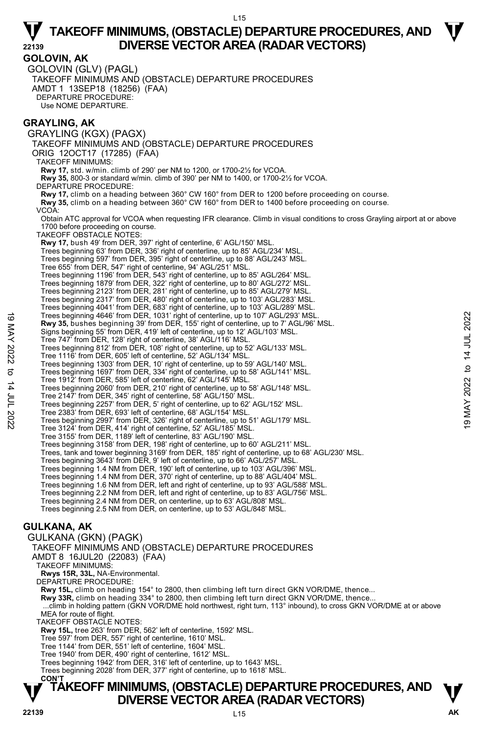**GOLOVIN, AK**  GOLOVIN (GLV) (PAGL) TAKEOFF MINIMUMS AND (OBSTACLE) DEPARTURE PROCEDURES AMDT 1 13SEP18 (18256) (FAA) DEPARTURE PROCEDURE: Use NOME DEPARTURE.

#### **GRAYLING, AK**

GRAYLING (KGX) (PAGX) TAKEOFF MINIMUMS AND (OBSTACLE) DEPARTURE PROCEDURES ORIG 12OCT17 (17285) (FAA) TAKEOFF MINIMUMS: **Rwy 17,** std. w/min. climb of 290' per NM to 1200, or 1700-2½ for VCOA. **Rwy 35,** 800-3 or standard w/min. climb of 390' per NM to 1400, or 1700-2½ for VCOA. DEPARTURE PROCEDURE: **Rwy 17,** climb on a heading between 360° CW 160° from DER to 1200 before proceeding on course. **Rwy 35,** climb on a heading between 360° CW 160° from DER to 1400 before proceeding on course. VCOA: Obtain ATC approval for VCOA when requesting IFR clearance. Climb in visual conditions to cross Grayling airport at or above 1700 before proceeding on course. TAKEOFF OBSTACLE NOTES: **Rwy 17,** bush 49' from DER, 397' right of centerline, 6' AGL/150' MSL. Trees beginning 63' from DER, 336' right of centerline, up to 85' AGL/234' MSL Trees beginning 597' from DER, 395' right of centerline, up to 88' AGL/243' MSL. Tree 655' from DER, 547' right of centerline, 94' AGL/251' MSL. Trees beginning 1196' from DER, 543' right of centerline, up to 85' AGL/264' MSL. Trees beginning 1879' from DER, 322' right of centerline, up to 80' AGL/272' MSL. Trees beginning 2123' from DER, 281' right of centerline, up to 85' AGL/279' MSL. Trees beginning 2317' from DER, 480' right of centerline, up to 103' AGL/283' MSL.<br>Trees beginning 4041' from DER, 683' right of centerline, up to 103' AGL/289' MSL.<br>Trees beginning 4646' from DER, 1031' right of centerlin **Rwy 35,** bushes beginning 39' from DER, 155' right of centerline, up to 7' AGL/96' MSL. Signs beginning 55' from DER, 419' left of centerline, up to 12' AGL/103' MSL. Tree 747' from DER, 128' right of centerline, 38' AGL/116' MSL. Trees beginning 812' from DER, 108' right of centerline, up to 52' AGL/133' MSL. Tree 1116' from DER, 605' left of centerline, 52' AGL/134' MSL. Trees beginning 1303' from DER, 10' right of centerline, up to 59' AGL/140' MSL. Trees beginning 1697' from DER, 334' right of centerline, up to 58' AGL/141' MSL. Tree 1912' from DER, 585' left of centerline, 62' AGL/145' MSL. Trees beginning 2060' from DER, 210' right of centerline, up to 58' AGL/148' MSL. Tree 2147' from DER, 345' right of centerline, 58' AGL/150' MSL. Trees beginning 2257' from DER, 5' right of centerline, up to 62' AGL/152' MSL. Tree 2383' from DER, 693' left of centerline, 68' AGL/154' MSL. Trees beginning 2997' from DER, 326' right of centerline, up to 51' AGL/179' MSL. Tree 3124' from DER, 414' right of centerline, 52' AGL/185' MSL. Tree 3155' from DER, 1189' left of centerline, 83' AGL/190' MSL. Trees beginning 3158' from DER, 198' right of centerline, up to 60' AGL/211' MSL.<br>Trees, tank and tower beginning 3169' from DER, 185' right of centerline, up to 68' AGL/230' MSL. Trees beginning 3643' from DER, 9' left of centerline, up to 66' AGL/257' MSL. Trees beginning 1.4 NM from DER, 190' left of centerline, up to 103' AGL/396' MSI Trees beginning 1.4 NM from DER, 370' right of centerline, up to 88' AGL/404' MSL. Trees beginning 1.6 NM from DER, left and right of centerline, up to 93' AGL/588' MSL. Trees beginning 2.2 NM from DER, left and right of centerline, up to 83' AGL/756' MSL. Trees beginning 2.4 NM from DER, on centerline, up to 63' AGL/808' MSL. Trees beginning 2.5 NM from DER, on centerline, up to 53' AGL/848' MSL. **GULKANA, AK**  GULKANA (GKN) (PAGK) TAKEOFF MINIMUMS AND (OBSTACLE) DEPARTURE PROCEDURES AMDT 8 16JUL20 (22083) (FAA) TAKEOFF MINIMUMS: **Rwys 15R, 33L,** NA-Environmental. Trees beginning 4646' from DER, 1031' right of centerline, up to 107' AGL/293' MSL.<br>
Rwy 35, bushes beginning 39' from DER, 155' right of centerline, up to 12' AGL/90' MSL.<br>
Signs beginning 55' from DER, 149' left of cente

DEPARTURE PROCEDURE:

**Rwy 15L,** climb on heading 154° to 2800, then climbing left turn direct GKN VOR/DME, thence...

**Rwy 33R,** climb on heading 334° to 2800, then climbing left turn direct GKN VOR/DME, thence...

 ...climb in holding pattern (GKN VOR/DME hold northwest, right turn, 113° inbound), to cross GKN VOR/DME at or above MEA for route of flight.

TAKEOFF OBSTACLE NOTES:

**Rwy 15L,** tree 263' from DER, 562' left of centerline, 1592' MSL.

Tree 597' from DER, 557' right of centerline, 1610' MSL. Tree 1144' from DER, 551' left of centerline, 1604' MSL.

Tree 1940' from DER, 490' right of centerline, 1612' MSL.

Trees beginning 1942' from DER, 316' left of centerline, up to 1643' MSL.

Trees beginning 2028' from DER, 377' right of centerline, up to 1618' MSL.

#### **T T TAKEOFF MINIMUMS, (OBSTACLE) DEPARTURE PROCEDURES, AND DIVERSE VECTOR AREA (RADAR VECTORS) CON'T**

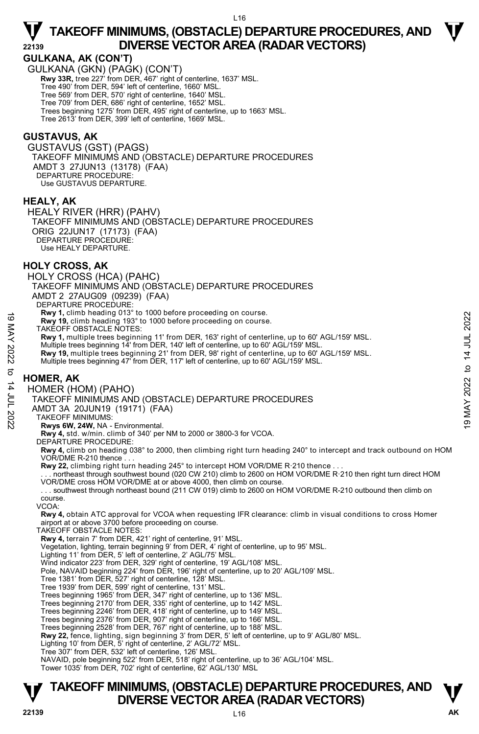#### **GULKANA, AK (CON'T)**

GULKANA (GKN) (PAGK) (CON'T)  **Rwy 33R,** tree 227' from DER, 467' right of centerline, 1637' MSL. Tree 490' from DER, 594' left of centerline, 1660' MSL. Tree 569' from DER, 570' right of centerline, 1640' MSL. Tree 709' from DER, 686' right of centerline, 1652' MSL. Trees beginning 1275' from DER, 495' right of centerline, up to 1663' MSL. Tree 2613' from DER, 399' left of centerline, 1669' MSL.

#### **GUSTAVUS, AK**

GUSTAVUS (GST) (PAGS) TAKEOFF MINIMUMS AND (OBSTACLE) DEPARTURE PROCEDURES AMDT 3 27JUN13 (13178) (FAA) DEPARTURE PROCEDURE: Use GUSTAVUS DEPARTURE.

#### **HEALY, AK**

HEALY RIVER (HRR) (PAHV) TAKEOFF MINIMUMS AND (OBSTACLE) DEPARTURE PROCEDURES ORIG 22JUN17 (17173) (FAA) DEPARTURE PROCEDURE: Use HEALY DEPARTURE.

#### **HOLY CROSS, AK**

HOLY CROSS (HCA) (PAHC)

TAKEOFF MINIMUMS AND (OBSTACLE) DEPARTURE PROCEDURES

AMDT 2 27AUG09 (09239) (FAA)

DEPARTURE PROCEDURE

**Rwy 1,** climb heading 013° to 1000 before proceeding on course.

**Rwy 19,** climb heading 193° to 1000 before proceeding on course.

TAKEOFF OBSTACLE NOTES:

**Rwy 1,** multiple trees beginning 11' from DER, 163' right of centerline, up to 60' AGL/159' MSL. 19 May 1, climb heading 193° to 1000 before proceeding on course.<br>
TAKEOFF OBSTACLE NOTES:<br>
TAKEOFF OBSTACLE NOTES:<br>
TAKEOFF OBSTACLE NOTES:<br>
Nultiple trees beginning 11' from DER, 140' left of centerline, up to 60' AGL/1

Multiple trees beginning 14' from DER, 140' left of centerline, up to 60' AGL/159' MSL.

**Rwy 19,** multiple trees beginning 21' from DER, 98' right of centerline, up to 60' AGL/159' MSL.

Multiple trees beginning 47' from DER, 117' left of centerline, up to 60' AGL/159' MSL.

#### **HOMER, AK**

HOMER (HOM) (PAHO)

TAKEOFF MINIMUMS AND (OBSTACLE) DEPARTURE PROCEDURES

AMDT 3A 20JUN19 (19171) (FAA)

TAKEOFF MINIMUMS:

**Rwys 6W, 24W,** NA - Environmental. **Rwy 4,** std. w/min. climb of 340' per NM to 2000 or 3800-3 for VCOA.

DEPARTURE PROCEDURE:

**Rwy 4,** climb on heading 038° to 2000, then climbing right turn heading 240° to intercept and track outbound on HOM VOR/DME R-210 thence...

Rwy 22, climbing right turn heading 245° to intercept HOM VOR/DME R·210 thence

. . . northeast through southwest bound (020 CW 210) climb to 2600 on HOM VOR/DME R·210 then right turn direct HOM VOR/DME cross HOM VOR/DME at or above 4000, then climb on course.

. . . southwest through northeast bound (211 CW 019) climb to 2600 on HOM VOR/DME R-210 outbound then climb on course.

VCOA:

**Rwy 4,** obtain ATC approval for VCOA when requesting IFR clearance: climb in visual conditions to cross Homer airport at or above 3700 before proceeding on course.

TAKEOFF OBSTACLE NOTES:

**Rwy 4,** terrain 7' from DER, 421' right of centerline, 91' MSL.

Vegetation, lighting, terrain beginning 9' from DER, 4' right of centerline, up to 95' MSL.

Lighting 11' from DER, 5' left of centerline, 2' AGL/75' MSL.

Wind indicator 223' from DER, 329' right of centerline, 19' AGL/108' MSL.

Pole, NAVAID beginning 224' from DER, 196' right of centerline, up to 20' AGL/109' MSL.

Tree 1381' from DER, 527' right of centerline, 128' MSL. Tree 1939' from DER, 599' right of centerline, 131' MSL.

Trees beginning 1965' from DER, 347' right of centerline, up to 136' MSL.

Trees beginning 2170' from DER, 335' right of centerline, up to 142' MSL. Trees beginning 2246' from DER, 418' right of centerline, up to 149' MSL.

Trees beginning 2376' from DER, 907' right of centerline, up to 166' MSL.

Trees beginning 2528' from DER, 767' right of centerline, up to 188' MSL.

**Rwy 22,** fence, lighting, sign beginning 3' from DER, 5' left of centerline, up to 9' AGL/80' MSL.<br>Lighting 10' from DER, 5' right of centerline, 2' AGL/72' MSL.

Tree 307' from DER, 532' left of centerline, 126' MSL.

NAVAID, pole beginning 522' from DER, 518' right of centerline, up to 36' AGL/104' MSL. Tower 1035' from DER, 702' right of centerline, 62' AGL/130' MSL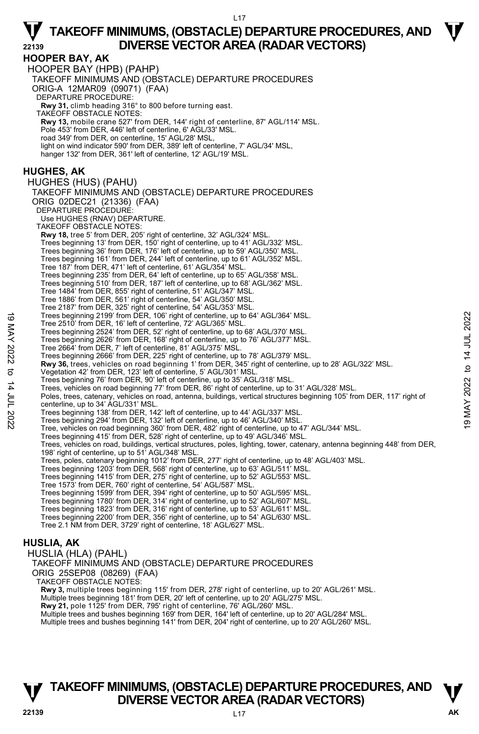**HOOPER BAY, AK**  HOOPER BAY (HPB) (PAHP) TAKEOFF MINIMUMS AND (OBSTACLE) DEPARTURE PROCEDURES ORIG-A 12MAR09 (09071) (FAA) DEPARTURE PROCEDURE: **Rwy 31,** climb heading 316° to 800 before turning east. TAKEOFF OBSTACLE NOTES: **Rwy 13,** mobile crane 527' from DER, 144' right of centerline, 87' AGL/114' MSL. Pole 453' from DER, 446' left of centerline, 6' AGL/33' MSL. road 349' from DER, on centerline, 15' AGL/28' MSL, light on wind indicator 590' from DER, 389' left of centerline, 7' AGL/34' MSL, hanger 132' from DER, 361' left of centerline, 12' AGL/19' MSL. **HUGHES, AK**  HUGHES (HUS) (PAHU) TAKEOFF MINIMUMS AND (OBSTACLE) DEPARTURE PROCEDURES ORIG 02DEC21 (21336) (FAA) DEPARTURE PROCEDURE Use HUGHES (RNAV) DEPARTURE. TAKEOFF OBSTACLE NOTES: **Rwy 18,** tree 5' from DER, 205' right of centerline, 32' AGL/324' MSL. Trees beginning 13' from DER, 150' right of centerline, up to 41' AGL/332' MSL. Trees beginning 36' from DER, 176' left of centerline, up to 59' AGL/350' MSL. Trees beginning 161' from DER, 244' left of centerline, up to 61' AGL/352' MSL. Tree 187' from DER, 471' left of centerline, 61' AGL/354' MSL. Trees beginning 235' from DER, 64' left of centerline, up to 65' AGL/358' MSL. Trees beginning 510' from DER, 187' left of centerline, up to 68' AGL/362' MSL. Tree 1484' from DER, 855' right of centerline, 51' AGL/347' MSL. Tree 1886' from DER, 561' right of centerline, 54' AGL/350' MSL. Tree 2187' from DER, 325' right of centerline, 54' AGL/353' MSL. Trees beginning 2199' from DER, 106' right of centerline, up to 64' AGL/364' MSL. Tree 2510' from DER, 16' left of centerline, 72' AGL/365' MSL. Trees beginning 2524' from DER, 52' right of centerline, up to 68' AGL/370' MSL. Trees beginning 2626' from DER, 168' right of centerline, up to 76' AGL/377' MSL. Tree 2664' from DER, 7' left of centerline, 81' AGL/375' MSL. Trees beginning 2666' from DER, 225' right of centerline, up to 78' AGL/379' MSL. **Rwy 36,** trees, vehicles on road beginning 1' from DER, 345' right of centerline, up to 28' AGL/322' MSL.<br>Vegetation 42' from DER, 123' left of centerline, 5' AGL/301' MSL. Trees beginning 76' from DER, 90' left of centerline, up to 35' AGL/318' MSL. Trees, vehicles on road beginning 77' from DER, 86' right of centerline, up to 31' AGL/328' MSL. Poles, trees, catenary, vehicles on road, antenna, buildings, vertical structures beginning 105' from DER, 117' right of centerline, up to 34' AGL/331' MSL. Trees beginning 138' from DER, 142' left of centerline, up to 44' AGL/337' MSL. Trees beginning 294' from DER, 132' left of centerline, up to 46' AGL/340' MSL. Tree, vehicles on road beginning 360' from DER, 482' right of centerline, up to 47' AGL/344' MSL. Trees beginning 415' from DER, 528' right of centerline, up to 49' AGL/346' MSL. Trees, vehicles on road, buildings, vertical structures, poles, lighting, tower, catenary, antenna beginning 448' from DER,<br>198' right of centerline, up to 51' AGL/348' MSL. Trees, poles, catenary beginning 1012' from DER, 277' right of centerline, up to 48' AGL/403' MSL.<br>Trees beginning 1203' from DER, 568' right of centerline, up to 63' AGL/511' MSL.<br>Trees beginning 1415' from DER, 275' righ Tree 1573' from DER, 760' right of centerline, 54' AGL/587' MSL. Trees beginning 1599' from DER, 394' right of centerline, up to 50' AGL/595' MSL. Trees beginning 1780' from DER, 314' right of centerline, up to 52' AGL/607' MSL. Trees beginning 1823' from DER, 316' right of centerline, up to 53' AGL/611' MSL. Trees beginning 2200' from DER, 356' right of centerline, up to 54' AGL/630' MSL. Tree 2.1 NM from DER, 3729' right of centerline, 18' AGL/627' MSL. **HUSLIA, AK**  Trees beginning 2199' from DER, 106' right of centerline, up to 64' AGL/364' MSL.<br>
Tree 2510' from DER, 16' left of centerline, *P*2' AGL/365' MSL.<br>
Trees beginning 2626' from DER, 16' right of centerline, up to 68' AGL/37

#### HUSLIA (HLA) (PAHL) TAKEOFF MINIMUMS AND (OBSTACLE) DEPARTURE PROCEDURES ORIG 25SEP08 (08269) (FAA) TAKEOFF OBSTACLE NOTES: **Rwy 3,** multiple trees beginning 115' from DER, 278' right of centerline, up to 20' AGL/261' MSL. Multiple trees beginning 181' from DER, 20' left of centerline, up to 20' AGL/275' MSL. **Rwy 21,** pole 1125' from DER, 795' right of centerline, 76' AGL/260' MSL.<br>Multiple trees and bushes beginning 169' from DER, 164' left of centerline, up to 20' AGL/284' MSL. Multiple trees and bushes beginning 141' from DER, 204' right of centerline, up to 20' AGL/260' MSL.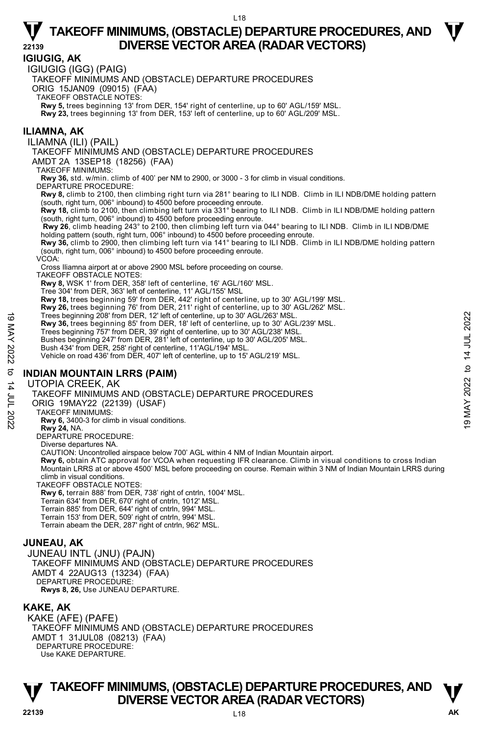### **IGIUGIG, AK**

IGIUGIG (IGG) (PAIG)

TAKEOFF MINIMUMS AND (OBSTACLE) DEPARTURE PROCEDURES

ORIG 15JAN09 (09015) (FAA)

TAKEOFF OBSTACLE NOTES:

**Rwy 5,** trees beginning 13' from DER, 154' right of centerline, up to 60' AGL/159' MSL. **Rwy 23,** trees beginning 13' from DER, 153' left of centerline, up to 60' AGL/209' MSL.

#### **ILIAMNA, AK**

ILIAMNA (ILI) (PAIL)

TAKEOFF MINIMUMS AND (OBSTACLE) DEPARTURE PROCEDURES

AMDT 2A 13SEP18 (18256) (FAA)

TAKEOFF MINIMUMS:

**Rwy 36,** std. w/min. climb of 400' per NM to 2900, or 3000 - 3 for climb in visual conditions. DEPARTURE PROCEDURE:

**Rwy 8,** climb to 2100, then climbing right turn via 281° bearing to ILI NDB. Climb in ILI NDB/DME holding pattern (south, right turn, 006° inbound) to 4500 before proceeding enroute.

**Rwy 18,** climb to 2100, then climbing left turn via 331° bearing to ILI NDB. Climb in ILI NDB/DME holding pattern (south, right turn, 006° inbound) to 4500 before proceeding enroute.

**Rwy 26**, climb heading 243° to 2100, then climbing left turn via 044° bearing to ILI NDB. Climb in ILI NDB/DME holding pattern (south, right turn, 006° inbound) to 4500 before proceeding enroute.

**Rwy 36,** climb to 2900, then climbing left turn via 141° bearing to ILI NDB. Climb in ILI NDB/DME holding pattern (south, right turn, 006° inbound) to 4500 before proceeding enroute.

VCOA:

Cross Iliamna airport at or above 2900 MSL before proceeding on course.

TAKEOFF OBSTACLE NOTES:

**Rwy 8,** WSK 1' from DER, 358' left of centerline, 16' AGL/160' MSL.

Tree 304' from DER, 363' left of centerline, 11' AGL/155' MSL

**Rwy 18,** trees beginning 59' from DER, 442' right of centerline, up to 30' AGL/199' MSL. **Rwy 26,** trees beginning 76' from DER, 211' right of centerline, up to 30' AGL/262' MSL.

Trees beginning 208' from DER, 12' left of centerline, up to 30' AGL/263' MSL.

**Rwy 36,** trees beginning 85' from DER, 18' left of centerline, up to 30' AGL/239' MSL.

Trees beginning 757' from DER, 39' right of centerline, up to 30' AGL/238' MSL. Bushes beginning 247' from DER, 281' left of centerline, up to 30' AGL/205' MSL.

Bush 434' from DER, 258' right of centerline, 11'AGL/194' MSL.

Vehicle on road 436' from DER, 407' left of centerline, up to 15' AGL/219' MSL.

#### **INDIAN MOUNTAIN LRRS (PAIM)**

#### UTOPIA CREEK, AK

TAKEOFF MINIMUMS AND (OBSTACLE) DEPARTURE PROCEDURES Trees beginning 208' from DER, 12' left of centerline, up to 30' AGL/263' MSL.<br>
Rwy 36, trees beginning 757' from DER, 39' right of centerline, up to 30' AGL/239' MSL.<br>
Trees beginning 757' from DER, 281' left of centerli

ORIG 19MAY22 (22139) (USAF)

TAKEOFF MINIMUMS:

**Rwy 6,** 3400-3 for climb in visual conditions.

**Rwy 24,** NA.

DEPARTURE PROCEDURE:

Diverse departures NA.

CAUTION: Uncontrolled airspace below 700' AGL within 4 NM of Indian Mountain airport.

 **Rwy 6,** obtain ATC approval for VCOA when requesting IFR clearance. Climb in visual conditions to cross Indian Mountain LRRS at or above 4500' MSL before proceeding on course. Remain within 3 NM of Indian Mountain LRRS during climb in visual conditions.

TAKEOFF OBSTACLE NOTES:

**Rwy 6,** terrain 888' from DER, 738' right of cntrln, 1004' MSL.

Terrain 634' from DER, 670' right of cntrln, 1012' MSL.

Terrain 885' from DER, 644' right of cntrln, 994' MSL.

Terrain 153' from DER, 509' right of cntrln, 994' MSL. Terrain abeam the DER, 287' right of cntrln, 962' MSL.

#### **JUNEAU, AK**

JUNEAU INTL (JNU) (PAJN) TAKEOFF MINIMUMS AND (OBSTACLE) DEPARTURE PROCEDURES AMDT 4 22AUG13 (13234) (FAA) DEPARTURE PROCEDURE **Rwys 8, 26,** Use JUNEAU DEPARTURE.

#### **KAKE, AK**

KAKE (AFE) (PAFE) TAKEOFF MINIMUMS AND (OBSTACLE) DEPARTURE PROCEDURES AMDT 1 31JUL08 (08213) (FAA) DEPARTURE PROCEDURE: Use KAKE DEPARTURE.

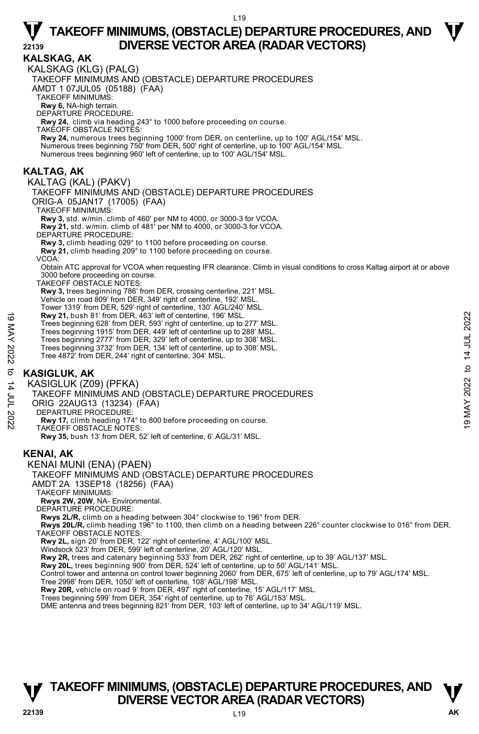**KALSKAG, AK**  KALSKAG (KLG) (PALG) TAKEOFF MINIMUMS AND (OBSTACLE) DEPARTURE PROCEDURES AMDT 1 07JUL05 (05188) (FAA) TAKEOFF MINIMUMS: **Rwy 6,** NA-high terrain. DEPARTURE PROCEDURE: **Rwy 24,** climb via heading 243° to 1000 before proceeding on course. TAKEOFF OBSTACLE NOTES: **Rwy 24,** numerous trees beginning 1000' from DER, on centerline, up to 100' AGL/154' MSL.<br>Numerous trees beginning 750' from DER, 500' right of centerline, up to 100' AGL/154' MSL. Numerous trees beginning 960' left of centerline, up to 100' AGL/154' MSL. **KALTAG, AK**  KALTAG (KAL) (PAKV) TAKEOFF MINIMUMS AND (OBSTACLE) DEPARTURE PROCEDURES ORIG-A 05JAN17 (17005) (FAA) TAKEOFF MINIMUMS: **Rwy 3,** std. w/min. climb of 460' per NM to 4000, or 3000-3 for VCOA. **Rwy 21,** std. w/min. climb of 481' per NM to 4000, or 3000-3 for VCOA. DEPARTURE PROCEDURE **Rwy 3,** climb heading 029° to 1100 before proceeding on course. **Rwy 21,** climb heading 209° to 1100 before proceeding on course. VCOA: Obtain ATC approval for VCOA when requesting IFR clearance. Climb in visual conditions to cross Kaltag airport at or above 3000 before proceeding on course. TAKEOFF OBSTACLE NOTES: **Rwy 3,** trees beginning 786' from DER, crossing centerline, 221' MSL. Vehicle on road 809' from DER, 349' right of centerline, 192' MSL. Tower 1319' from DER, 529' right of centerline, 130' AGL/240' MSL. **Rwy 21,** bush 81' from DER, 463' left of centerline, 196' MSL. Trees beginning 628' from DER, 593' right of centerline, up to 277' MSL. Trees beginning 1915' from DER, 449' left of centerline up to 288' MSL. Trees beginning 2777' from DER, 329' left of centerline, up to 308' MSL. Trees beginning 3732' from DER, 134' left of centerline, up to 308' MSL. Tree 4872' from DER, 244' right of centerline, 304' MSL. **KASIGLUK, AK**  KASIGLUK (Z09) (PFKA) TAKEOFF MINIMUMS AND (OBSTACLE) DEPARTURE PROCEDURES ORIG 22AUG13 (13234) (FAA) DEPARTURE PROCEDURE: **Rwy 17,** climb heading 174° to 800 before proceeding on course. TAKEOFF OBSTACLE NOTES: **Rwy 35,** bush 13' from DER, 52' left of centerline, 6' AGL/31' MSL. **KENAI, AK**  KENAI MUNI (ENA) (PAEN) TAKEOFF MINIMUMS AND (OBSTACLE) DEPARTURE PROCEDURES AMDT 2A 13SEP18 (18256) (FAA) TAKEOFF MINIMUMS: **Rwys 2W, 20W**, NA- Environmental. DEPARTURE PROCEDURE: **Rwys 2L/R,** climb on a heading between 304° clockwise to 196° from DER. **Rwys 20L/R,** climb heading 196° to 1100, then climb on a heading between 226° counter clockwise to 016° from DER. TAKEOFF OBSTACLE NOTES: **Rwy 2L,** sign 20' from DER, 122' right of centerline, 4' AGL/100' MSL. Windsock 523' from DER, 599' left of centerline, 20' AGL/120' MSL. **Rwy 2R,** trees and catenary beginning 533' from DER, 262' right of centerline, up to 39' AGL/137' MSL. Rwy 20L, trees beginning 900' from DER, 524' left of centerline, up to 50' AGL/141' MSL. Control tower and antenna on control tower beginning 2060' from DER, 675' left of centerline, up to 79' AGL/174' MSL. Tree 2998' from DER, 1050' left of centerline, 108' AGL/198' MSL.<br>**Rwy 20R,** vehicle on road 9' from DER, 497' right of centerline, 15' AGL/117' MSL. Trees beginning 599' from DER, 354' right of centerline, up to 76' AGL/153' MSL. DME antenna and trees beginning 821' from DER, 103' left of centerline, up to 34' AGL/119' MSL. **Rwy 21,** bush 81' from DER, 463' left of centerline, 196' MSL.<br>
Trees beginning 828' from DER, 593' right of centerline, up to 277' MSL.<br>
Trees beginning 3777' from DER, 449' left of centerline, up to 288' MSL.<br>
Trees be

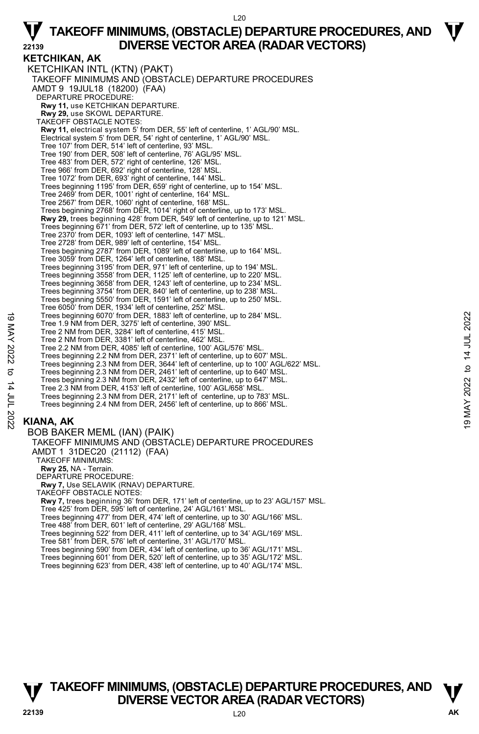**KETCHIKAN, AK**  KETCHIKAN INTL (KTN) (PAKT) TAKEOFF MINIMUMS AND (OBSTACLE) DEPARTURE PROCEDURES AMDT 9 19JUL18 (18200) (FAA) DEPARTURE PROCEDURE: **Rwy 11,** use KETCHIKAN DEPARTURE. **Rwy 29,** use SKOWL DEPARTURE. TAKEOFF OBSTACLE NOTES: **Rwy 11,** electrical system 5' from DER, 55' left of centerline, 1' AGL/90' MSL. Electrical system 5' from DER, 54' right of centerline, 1' AGL/90' MSL. Tree 107' from DER, 514' left of centerline, 93' MSL. Tree 190' from DER, 508' left of centerline, 76' AGL/95' MSL. Tree 483' from DER, 572' right of centerline, 126' MSL. Tree 966' from DER, 692' right of centerline, 128' MSL. Tree 1072' from DER, 693' right of centerline, 144' MSL. Trees beginning 1195' from DER, 659' right of centerline, up to 154' MSL. Tree 2469' from DER, 1001' right of centerline, 164' MSL. Tree 2567' from DER, 1060' right of centerline, 168' MSL. Trees beginning 2768' from DER, 1014' right of centerline, up to 173' MSL. **Rwy 29,** trees beginning 428' from DER, 549' left of centerline, up to 121' MSL. Trees beginning 671' from DER, 572' left of centerline, up to 135' MSL. Tree 2370' from DER, 1093' left of centerline, 147' MSL. Tree 2728' from DER, 989' left of centerline, 154' MSL. Trees beginning 2787' from DER, 1089' left of centerline, up to 164' MSL. Tree 3059' from DER, 1264' left of centerline, 188' MSL. Trees beginning 3195' from DER, 971' left of centerline, up to 194' MSL. Trees beginning 3558' from DER, 1125' left of centerline, up to 220' MSL. Trees beginning 3658' from DER, 1243' left of centerline, up to 234' MSL. Trees beginning 3754' from DER, 840' left of centerline, up to 238' MSL. Trees beginning 5550' from DER, 1591' left of centerline, up to 250' MSL. Tree 6050' from DER, 1934' left of centerline, 252' MSL. Trees beginning 6070' from DER, 1883' left of centerline, up to 284' MSL. Tree 1.9 NM from DER, 3275' left of centerline, 390' MSL. Tree 2 NM from DER, 3284' left of centerline, 415' MSL. Tree 2 NM from DER, 3381' left of centerline, 462' MSL. Tree 2.2 NM from DER, 4085' left of centerline, 100' AGL/576' MSL. Trees beginning 2.2 NM from DER, 2371' left of centerline, up to 607' MSL. Trees beginning 2.3 NM from DER, 3644' left of centerline, up to 100' AGL/622' MSL.<br>Trees beginning 2.3 NM from DER, 2461' left of centerline, up to 640' MSL.<br>Trees beginning 2.3 NM from DER, 2432' left of centerline, up t Tree 2.3 NM from DER, 4153' left of centerline, 100' AGL/658' MSL. Trees beginning 2.3 NM from DER, 2171' left of centerline, up to 783' MSL. Trees beginning 2.4 NM from DER, 2456' left of centerline, up to 866' MSL. BOB BAKER MEML (IAN) (PAIK) TAKEOFF MINIMUMS AND (OBSTACLE) DEPARTURE PROCEDURES AMDT 1 31DEC20 (21112) (FAA) TAKEOFF MINIMUMS: **Rwy 25,** NA - Terrain. DEPARTURE PROCEDURE: **Rwy 7,** Use SELAWIK (RNAV) DEPARTURE. TAKEOFF OBSTACLE NOTES: **Rwy 7,** trees beginning 36' from DER, 171' left of centerline, up to 23' AGL/157' MSL.<br>Tree 425' from DER, 595' left of centerline, 24' AGL/161' MSL. Trees beginning 477' from DER, 474' left of centerline, up to 30' AGL/166' MSL. Trees beginning 6070' from DER, 1883' left of centerline, up to 284' MSL.<br>
Tree 2 NM from DER, 327' left of centerline, 45' MSL.<br>
Tree 2 NM from DER, 3284' left of centerline, 415' MSL.<br>
Trees 2 NM from DER, 4082' left of

### **KIANA, AK**

Tree 488' from DER, 601' left of centerline, 29' AGL/168' MSL. Trees beginning 522' from DER, 411' left of centerline, up to 34' AGL/169' MSL. Tree 581' from DER, 576' left of centerline, 31' AGL/170' MSL. Trees beginning 590' from DER, 434' left of centerline, up to 36' AGL/171' MSL. Trees beginning 601' from DER, 520' left of centerline, up to 35' AGL/172' MSL. Trees beginning 623' from DER, 438' left of centerline, up to 40' AGL/174' MSL.

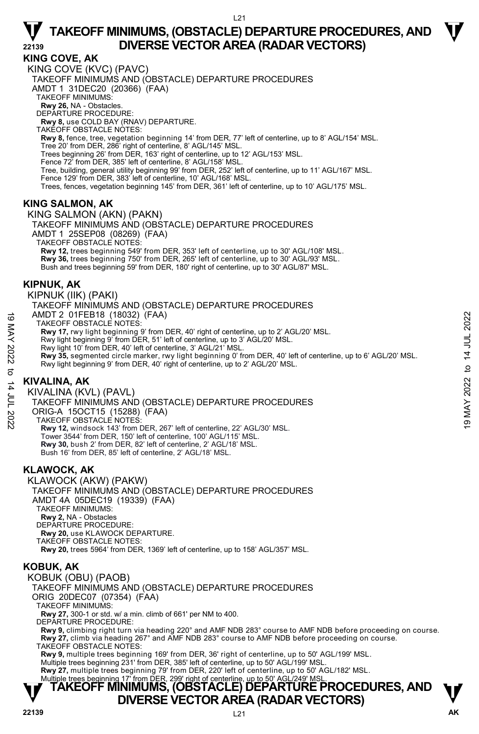**KING COVE, AK** 

KING COVE (KVC) (PAVC) TAKEOFF MINIMUMS AND (OBSTACLE) DEPARTURE PROCEDURES AMDT 1 31DEC20 (20366) (FAA) TAKEOFF MINIMUMS: **Rwy 26,** NA - Obstacles. DEPARTURE PROCEDURE: **Rwy 8,** use COLD BAY (RNAV) DEPARTURE. TAKEOFF OBSTACLE NOTES: **Rwy 8,** fence, tree, vegetation beginning 14' from DER, 77' left of centerline, up to 8' AGL/154' MSL.<br>Tree 20' from DER, 286' right of centerline, 8' AGL/145' MSL. Trees beginning 26' from DER, 163' right of centerline, up to 12' AGL/153' MSL. Fence 72' from DER, 385' left of centerline, 8' AGL/158' MSL. Tree, building, general utility beginning 99' from DER, 252' left of centerline, up to 11' AGL/167' MSL. Fence 129' from DER, 383' left of centerline, 10' AGL/168' MSL. Trees, fences, vegetation beginning 145' from DER, 361' left of centerline, up to 10' AGL/175' MSL.

#### **KING SALMON, AK**

KING SALMON (AKN) (PAKN) TAKEOFF MINIMUMS AND (OBSTACLE) DEPARTURE PROCEDURES AMDT 1 25SEP08 (08269) (FAA) TAKEOFF OBSTACLE NOTES: **Rwy 12,** trees beginning 549' from DER, 353' left of centerline, up to 30' AGL/108' MSL.<br>**Rwy 36,** trees beginning 750' from DER, 265' left of centerline, up to 30' AGL/93' MSL. Bush and trees beginning 59' from DER, 180' right of centerline, up to 30' AGL/87' MSL.

#### **KIPNUK, AK**

KIPNUK (IIK) (PAKI)

TAKEOFF MINIMUMS AND (OBSTACLE) DEPARTURE PROCEDURES

AMDT 2 01FEB18 (18032) (FAA)

TAKEOFF OBSTACLE NOTES:

**Rwy 17,** rwy light beginning 9' from DER, 40' right of centerline, up to 2' AGL/20' MSL.

Rwy light beginning 9' from DER, 51' left of centerline, up to 3' AGL/20' MSL.

Rwy light 10' from DER, 40' left of centerline, 3' AGL/21' MSL.

**Rwy 35,** segmented circle marker, rwy light beginning 0' from DER, 40' left of centerline, up to 6' AGL/20' MSL. Rwy light beginning 9' from DER, 40' right of centerline, up to 2' AGL/20' MSL. AMDT 2 01FEB18 (18032) (FAA)<br>
TAKEOFF OBSTACLE NOTES:<br>
TAW 17, rwy light beginning 9' from DER, 40' right of centerline, up to 2' AGL/20' MSL.<br>
Rwy 17, rwy light beginning 9' from DER, 51' left of centerline, up to 3' AGL

#### **KIVALINA, AK**

KIVALINA (KVL) (PAVL)

TAKEOFF MINIMUMS AND (OBSTACLE) DEPARTURE PROCEDURES

ORIG-A 15OCT15 (15288) (FAA)

TAKEOFF OBSTACLE NOTES:

**Rwy 12,** windsock 143' from DER, 267' left of centerline, 22' AGL/30' MSL. Tower 3544' from DER, 150' left of centerline, 100' AGL/115' MSL. **Rwy 30,** bush 2' from DER, 82' left of centerline, 2' AGL/18' MSL. Bush 16' from DER, 85' left of centerline, 2' AGL/18' MSL.

#### **KLAWOCK, AK**

KLAWOCK (AKW) (PAKW) TAKEOFF MINIMUMS AND (OBSTACLE) DEPARTURE PROCEDURES AMDT 4A 05DEC19 (19339) (FAA) TAKEOFF MINIMUMS: **Rwy 2,** NA - Obstacles DEPARTURE PROCEDURE: **Rwy 20,** use KLAWOCK DEPARTURE. TAKEOFF OBSTACLE NOTES: **Rwy 20,** trees 5964' from DER, 1369' left of centerline, up to 158' AGL/357' MSL.

#### **KOBUK, AK**

KOBUK (OBU) (PAOB)

TAKEOFF MINIMUMS AND (OBSTACLE) DEPARTURE PROCEDURES

ORIG 20DEC07 (07354) (FAA)

TAKEOFF MINIMUMS:

**Rwy 27,** 300-1 or std. w/ a min. climb of 661' per NM to 400.

DEPARTURE PROCEDURE:

**Rwy 9,** climbing right turn via heading 220° and AMF NDB 283° course to AMF NDB before proceeding on course. **Rwy 27,** climb via heading 267° and AMF NDB 283° course to AMF NDB before proceeding on course. TAKEOFF OBSTACLE NOTES:

**Rwy 9,** multiple trees beginning 169' from DER, 36' right of centerline, up to 50' AGL/199' MSL. Multiple trees beginning 231' from DER, 385' left of centerline, up to 50' AGL/199' MSL.

**Rwy 27,** multiple trees beginning 79' from DER, 220' left of centerline, up to 50' AGL/182' MSL.<br>Multiple trees beginning 17' from DER, 299' right of centerline, up to 50' AGL/249' MSL.

### **TAKEOFF MINIMUMS, (OBSTACLE) DEPARTURE PROCEDURES, AND**  $\Psi$ **DIVERSE VECTOR AREA (RADAR VECTORS)**

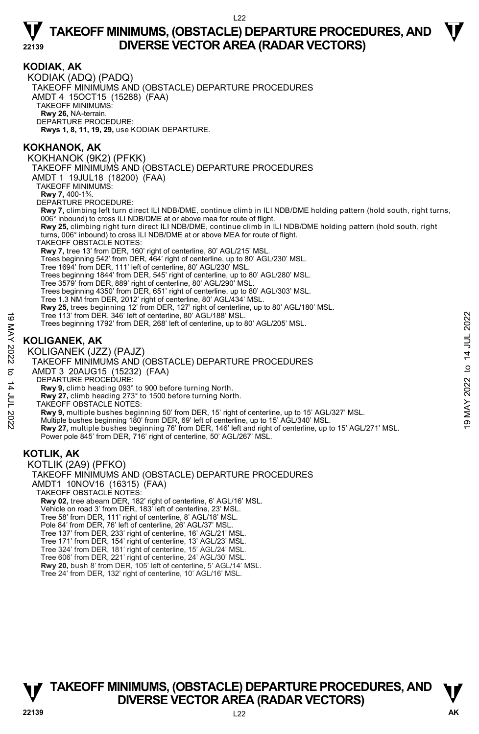#### **KODIAK**, **AK**  KODIAK (ADQ) (PADQ) TAKEOFF MINIMUMS AND (OBSTACLE) DEPARTURE PROCEDURES AMDT 4 15OCT15 (15288) (FAA) TAKEOFF MINIMUMS: **Rwy 26,** NA-terrain. DEPARTURE PROCEDURE: **Rwys 1, 8, 11, 19, 29,** use KODIAK DEPARTURE. **KOKHANOK, AK**  KOKHANOK (9K2) (PFKK) TAKEOFF MINIMUMS AND (OBSTACLE) DEPARTURE PROCEDURES AMDT 1 19JUL18 (18200) (FAA) TAKEOFF MINIMUMS: **Rwy 7,** 400-1¾. DEPARTURE PROCEDURE: **Rwy 7,** climbing left turn direct ILI NDB/DME, continue climb in ILI NDB/DME holding pattern (hold south, right turns, 006° inbound) to cross ILI NDB/DME at or above mea for route of flight. **Rwy 25,** climbing right turn direct ILI NDB/DME, continue climb in ILI NDB/DME holding pattern (hold south, right turns, 006° inbound) to cross ILI NDB/DME at or above MEA for route of flight. TAKEOFF OBSTACLE NOTES: **Rwy 7,** tree 13' from DER, 160' right of centerline, 80' AGL/215' MSL. Trees beginning 542' from DER, 464' right of centerline, up to 80' AGL/230' MSL. Tree 1694' from DER, 111' left of centerline, 80' AGL/230' MSL. Trees beginning 1844' from DER, 545' right of centerline, up to 80' AGL/280' MSL. Tree 3579' from DER, 889' right of centerline, 80' AGL/290' MSL. Trees beginning 4350' from DER, 651' right of centerline, up to 80' AGL/303' MSL. Tree 1.3 NM from DER, 2012' right of centerline, 80' AGL/434' MSL. **Rwy 25,** trees beginning 12' from DER, 127' right of centerline, up to 80' AGL/180' MSL.<br>Tree 113' from DER, 346' left of centerline, 80' AGL/188' MSL. Trees beginning 1792' from DER, 268' left of centerline, up to 80' AGL/205' MSL. **KOLIGANEK, AK**  KOLIGANEK (JZZ) (PAJZ) TAKEOFF MINIMUMS AND (OBSTACLE) DEPARTURE PROCEDURES AMDT 3 20AUG15 (15232) (FAA) DEPARTURE PROCEDURE: **Rwy 9,** climb heading 093° to 900 before turning North. **Rwy 27,** climb heading 273° to 1500 before turning North. TAKEOFF OBSTACLE NOTES: **Rwy 9,** multiple bushes beginning 50' from DER, 15' right of centerline, up to 15' AGL/327' MSL. Multiple bushes beginning 180' from DER, 69' left of centerline, up to 15' AGL/340' MSL. **Rwy 27,** multiple bushes beginning 76' from DER, 146' left and right of centerline, up to 15' AGL/271' MSL. Power pole 845' from DER, 716' right of centerline, 50' AGL/267' MSL. **KOTLIK, AK**  KOTLIK (2A9) (PFKO) TAKEOFF MINIMUMS AND (OBSTACLE) DEPARTURE PROCEDURES AMDT1 10NOV16 (16315) (FAA) TAKEOFF OBSTACLE NOTES: **Rwy 02,** tree abeam DER, 182' right of centerline, 6' AGL/16' MSL. Vehicle on road 3' from DER, 183' left of centerline, 23' MSL. Tree 58' from DER, 111' right of centerline, 8' AGL/18' MSL. Pole 84' from DER, 76' left of centerline, 26' AGL/37' MSL. Tree 137' from DER, 233' right of centerline, 16' AGL/21' MSL. Tree 171' from DER, 154' right of centerline, 13' AGL/23' MSL. 19 MAY 2022 to 14 JUL 202219 MAY 2022 to 14 JUL 2022

- Tree 324' from DER, 181' right of centerline, 15' AGL/24' MSL. Tree 606' from DER, 221' right of centerline, 24' AGL/30' MSL.
- 
- **Rwy 20,** bush 8' from DER, 105' left of centerline, 5' AGL/14' MSL.
- Tree 24' from DER, 132' right of centerline, 10' AGL/16' MSL.

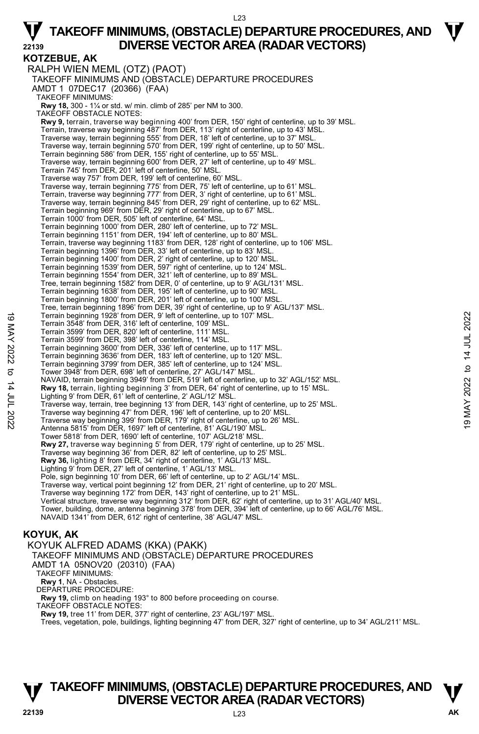#### L23

# **TAKEOFF MINIMUMS, (OBSTACLE) DEPARTURE PROCEDURES, AND**  $\Psi$ **22139 DIVERSE VECTOR AREA (RADAR VECTORS)**

**KOTZEBUE, AK**  RALPH WIEN MEML (OTZ) (PAOT) TAKEOFF MINIMUMS AND (OBSTACLE) DEPARTURE PROCEDURES AMDT 1 07DEC17 (20366) (FAA) TAKEOFF MINIMUMS: **Rwy 18,** 300 - 1¼ or std. w/ min. climb of 285' per NM to 300. TAKEOFF OBSTACLE NOTES: **Rwy 9,** terrain, traverse way beginning 400' from DER, 150' right of centerline, up to 39' MSL. Terrain, traverse way beginning 487' from DER, 113' right of centerline, up to 43' MSL. Traverse way, terrain beginning 555' from DER, 18' left of centerline, up to 37' MSL.<br>Traverse way, terrain beginning 570' from DER, 199' right of centerline, up to 50' MSL. Terrain beginning 586' from DER, 155' right of centerline, up to 55' MSL. Traverse way, terrain beginning 600' from DER, 27' left of centerline, up to 49' MSL. Terrain 745' from DER, 201' left of centerline, 50' MSL. Traverse way 757' from DER, 199' left of centerline, 60' MSL. Traverse way, terrain beginning 775' from DER, 75' left of centerline, up to 61' MSL.<br>Terrain, traverse way beginning 777' from DER, 3' right of centerline, up to 61' MSL.<br>Traverse way, terrain beginning 845' from DER, 29' Terrain beginning 969' from DER, 29' right of centerline, up to 67' MSL. Terrain 1000' from DER, 505' left of centerline, 64' MSL. Terrain beginning 1000' from DER, 280' left of centerline, up to 72' MSL. Terrain beginning 1151' from DER, 194' left of centerline, up to 80' MSL. Terrain, traverse way beginning 1183' from DER, 128' right of centerline, up to 106' MSL. Terrain beginning 1396' from DER, 33' left of centerline, up to 83' MSL. Terrain beginning 1400' from DER, 2' right of centerline, up to 120' MSL. Terrain beginning 1539' from DER, 597' right of centerline, up to 124' MSL. Terrain beginning 1554' from DER, 321' left of centerline, up to 89' MSL. Tree, terrain beginning 1582' from DER, 0' of centerline, up to 9' AGL/131' MSL. Terrain beginning 1638' from DER, 195' left of centerline, up to 90' MSL. Terrain beginning 1800' from DER, 201' left of centerline, up to 100' MSL. Tree, terrain beginning 1896' from DER, 39' right of centerline, up to 9' AGL/137' MSL. Terrain beginning 1928' from DER, 9' left of centerline, up to 107' MSL. Terrain 3548' from DER, 316' left of centerline, 109' MSL. Terrain 3599' from DER, 820' left of centerline, 111' MSL. Terrain 3599' from DER, 398' left of centerline, 114' MSL. Terrain beginning 3600' from DER, 336' left of centerline, up to 117' MSL. Terrain beginning 3636' from DER, 183' left of centerline, up to 120' MSL. Terrain beginning 3799' from DER, 385' left of centerline, up to 124' MSL. Tower 3948' from DER, 698' left of centerline, 27' AGL/147' MSL. NAVAID, terrain beginning 3949' from DER, 519' left of centerline, up to 32' AGL/152' MSL. **Rwy 18,** terrain, lighting beginning 3' from DER, 64' right of centerline, up to 15' MSL.<br>Lighting 9' from DER, 61' left of centerline, 2' AGL/12' MSL. Traverse way, terrain, tree beginning 13' from DER, 143' right of centerline, up to 25' MSL. Traverse way beginning 47' from DER, 196' left of centerline, up to 20' MSL. Traverse way beginning 399' from DER, 179' right of centerline, up to 26' MSL. Antenna 5815' from DER, 1697' left of centerline, 81' AGL/190' MSL. Tower 5818' from DER, 1690' left of centerline, 107' AGL/218' MSL. **Rwy 27,** traverse way beginning 5' from DER, 179' right of centerline, up to 25' MSL.<br>Traverse way beginning 36' from DER, 82' left of centerline, up to 25' MSL. **Rwy 36,** lighting 8' from DER, 34' right of centerline, 1' AGL/13' MSL. Lighting 9' from DER, 27' left of centerline, 1' AGL/13' MSL. Pole, sign beginning 10' from DER, 66' left of centerline, up to 2' AGL/14' MSL. Traverse way, vertical point beginning 12' from DER, 21' right of centerline, up to 20' MSL. Traverse way beginning 172' from DER, 143' right of centerline, up to 21' MSL. Vertical structure, traverse way beginning 312' from DER, 62' right of centerline, up to 31' AGL/40' MSL. Tower, building, dome, antenna beginning 378' from DER, 394' left of centerline, up to 66' AGL/76' MSL. NAVAID 1341' from DER, 612' right of centerline, 38' AGL/47' MSL. **KOYUK, AK**  KOYUK ALFRED ADAMS (KKA) (PAKK) TAKEOFF MINIMUMS AND (OBSTACLE) DEPARTURE PROCEDURES 19 Terrain beginning 1928' from DER, 9' left of centerline, up to 107' MSL.<br>
Terrain 3549' from DER, 362' left of centerline, 111' MSL.<br>
19 Marchines (19 Marchines (19 Marchines (19 Marchines 19 Marchines 19 Marchines 19

#### AMDT 1A 05NOV20 (20310) (FAA)

TAKEOFF MINIMUMS:

**Rwy 1**, NA - Obstacles. DEPARTURE PROCEDURE:

**Rwy 19,** climb on heading 193° to 800 before proceeding on course.

TAKEOFF OBSTACLE NOTES:

**Rwy 19,** tree 11' from DER, 377' right of centerline, 23' AGL/197' MSL.

Trees, vegetation, pole, buildings, lighting beginning 47' from DER, 327' right of centerline, up to 34' AGL/211' MSL.

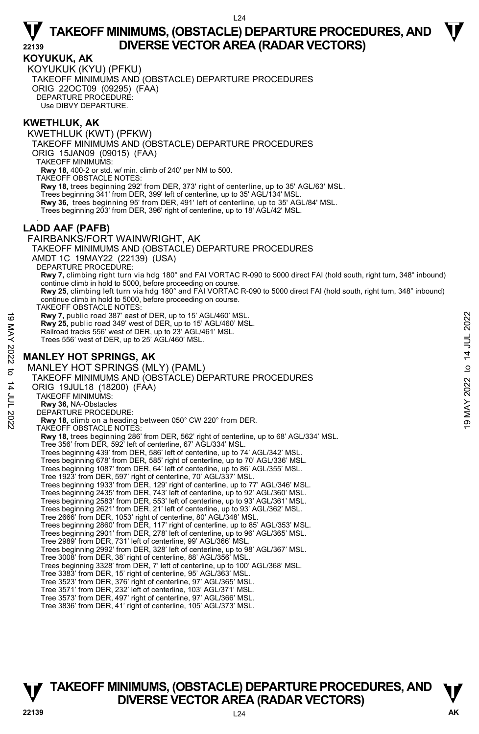#### **KOYUKUK, AK**

KOYUKUK (KYU) (PFKU) TAKEOFF MINIMUMS AND (OBSTACLE) DEPARTURE PROCEDURES ORIG 22OCT09 (09295) (FAA) DEPARTURE PROCEDURE: Use DIBVY DEPARTURE.

#### **KWETHLUK, AK**

KWETHLUK (KWT) (PFKW) TAKEOFF MINIMUMS AND (OBSTACLE) DEPARTURE PROCEDURES ORIG 15JAN09 (09015) (FAA) TAKEOFF MINIMUMS: **Rwy 18,** 400-2 or std. w/ min. climb of 240' per NM to 500. TAKEOFF OBSTACLE NOTES: **Rwy 18,** trees beginning 292' from DER, 373' right of centerline, up to 35' AGL/63' MSL. Trees beginning 341' from DER, 399' left of centerline, up to 35' AGL/134' MSL. **Rwy 36,** trees beginning 95' from DER, 491' left of centerline, up to 35' AGL/84' MSL. Trees beginning 203' from DER, 396' right of centerline, up to 18' AGL/42' MSL. . **LADD AAF (PAFB)**  FAIRBANKS/FORT WAINWRIGHT, AK TAKEOFF MINIMUMS AND (OBSTACLE) DEPARTURE PROCEDURES AMDT 1C 19MAY22 (22139) (USA) DEPARTURE PROCEDURE: **Rwy 7,** climbing right turn via hdg 180° and FAI VORTAC R-090 to 5000 direct FAI (hold south, right turn, 348° inbound) continue climb in hold to 5000, before proceeding on course. **Rwy 25**, climbing left turn via hdg 180° and FAI VORTAC R-090 to 5000 direct FAI (hold south, right turn, 348° inbound) continue climb in hold to 5000, before proceeding on course. TAKEOFF OBSTACLE NOTES: **Rwy 7,** public road 387' east of DER, up to 15' AGL/460' MSL. **Rwy 25,** public road 349' west of DER, up to 15' AGL/460' MSL. Railroad tracks 556' west of DER, up to 23' AGL/461' MSL. Trees 556' west of DER, up to 25' AGL/460' MSL. **MANLEY HOT SPRINGS, AK**  MANLEY HOT SPRINGS (MLY) (PAML) TAKEOFF MINIMUMS AND (OBSTACLE) DEPARTURE PROCEDURES ORIG 19JUL18 (18200) (FAA) TAKEOFF MINIMUMS: **Rwy 36,** NA-Obstacles DEPARTURE PROCEDURE: **Rwy 18,** climb on a heading between 050° CW 220° from DER. TAKEOFF OBSTACLE NOTES: **Rwy 18,** trees beginning 286' from DER, 562' right of centerline, up to 68' AGL/334' MSL. Tree 356' from DER, 592' left of centerline, 67' AGL/334' MSL. Trees beginning 439' from DER, 586' left of centerline, up to 74' AGL/342' MSL. Trees beginning 678' from DER, 585' right of centerline, up to 70' AGL/336' MSL. Trees beginning 1087' from DER, 64' left of centerline, up to 86' AGL/355' MSL. Tree 1923' from DER, 597' right of centerline, 70' AGL/337' MSL. Trees beginning 1933' from DER, 129' right of centerline, up to 77' AGL/346' MSL. Trees beginning 2435' from DER, 743' left of centerline, up to 92' AGL/360' MSL. Trees beginning 2583' from DER, 553' left of centerline, up to 93' AGL/361' MSL. Trees beginning 2621' from DER, 21' left of centerline, up to 93' AGL/362' MSL. Tree 2666' from DER, 1053' right of centerline, 80' AGL/348' MSL. Trees beginning 2860' from DER, 117' right of centerline, up to 85' AGL/353' MSL. Trees beginning 2901' from DER, 278' left of centerline, up to 96' AGL/365' MSL. Tree 2989' from DER, 731' left of centerline, 99' AGL/366' MSL. Trees beginning 2992' from DER, 328' left of centerline, up to 98' AGL/367' MSL. Tree 3008' from DER, 38' right of centerline, 88' AGL/356' MSL. Trees beginning 3328' from DER, 7' left of centerline, up to 100' AGL/368' MSL. Tree 3383' from DER, 15' right of centerline, 95' AGL/363' MSL. Tree 3523' from DER, 376' right of centerline, 97' AGL/365' MSL. Tree 3571' from DER, 232' left of centerline, 103' AGL/371' MSL. Tree 3573' from DER, 497' right of centerline, 97' AGL/366' MSL. Tree 3836' from DER, 41' right of centerline, 105' AGL/373' MSL. New 7, public road 387' east of DER, up to 15' AGL/460' MSL.<br>
Railroad tracks 556' west of DER, up to 23' AGL/460' MSL.<br>
Railroad tracks 556' west of DER, up to 23' AGL/460' MSL.<br>
Trees 556' west of DER, up to 23' AGL/460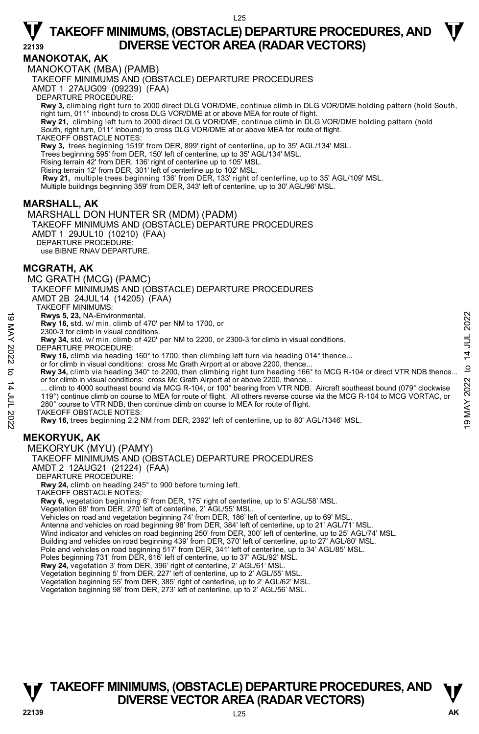#### **MANOKOTAK, AK**

MANOKOTAK (MBA) (PAMB)

TAKEOFF MINIMUMS AND (OBSTACLE) DEPARTURE PROCEDURES

AMDT 1 27AUG09 (09239) (FAA)

DEPARTURE PROCEDURE:

- **Rwy 3,** climbing right turn to 2000 direct DLG VOR/DME, continue climb in DLG VOR/DME holding pattern (hold South, right turn, 011° inbound) to cross DLG VOR/DME at or above MEA for route of flight.
- **Rwy 21,** climbing left turn to 2000 direct DLG VOR/DME, continue climb in DLG VOR/DME holding pattern (hold South, right turn, 011° inbound) to cross DLG VOR/DME at or above MEA for route of flight.

TAKEOFF OBSTACLE NOTES:

**Rwy 3,** trees beginning 1519' from DER, 899' right of centerline, up to 35' AGL/134' MSL.

Trees beginning 595' from DER, 150' left of centerline, up to 35' AGL/134' MSL.

Rising terrain 42' from DER, 136' right of centerline up to 105' MSL.

Rising terrain 12' from DER, 301' left of centerline up to 102' MSL.

**Rwy 21,** multiple trees beginning 136' from DER, 133' right of centerline, up to 35' AGL/109' MSL.

Multiple buildings beginning 359' from DER, 343' left of centerline, up to 30' AGL/96' MSL.

#### **MARSHALL, AK**

MARSHALL DON HUNTER SR (MDM) (PADM) TAKEOFF MINIMUMS AND (OBSTACLE) DEPARTURE PROCEDURES AMDT 1 29JUL10 (10210) (FAA) DEPARTURE PROCEDURE: use BIBNE RNAV DEPARTURE.

**MCGRATH, AK** 

MC GRATH (MCG) (PAMC)

TAKEOFF MINIMUMS AND (OBSTACLE) DEPARTURE PROCEDURES

AMDT 2B 24JUL14 (14205) (FAA)

TAKEOFF MINIMUMS:

**Rwys 5, 23,** NA-Environmental.

**Rwy 16,** std. w/ min. climb of 470' per NM to 1700, or

 2300-3 for climb in visual conditions. **Rwy 34,** std. w/ min. climb of 420' per NM to 2200, or 2300-3 for climb in visual conditions.

DEPARTURE PROCEDURE:

**Rwy 16,** climb via heading 160° to 1700, then climbing left turn via heading 014° thence...

or for climb in visual conditions: cross Mc Grath Airport at or above 2200, thence **Rwy 34,** climb via heading 340° to 2200, then climbing right turn heading 166° to MCG R-104 or direct VTR NDB thence... or for climb in visual conditions: cross Mc Grath Airport at or above 2200, thence.

climb to 4000 southeast bound via MCG R-104, or 100° bearing from VTR NDB. Aircraft southeast bound (079° clockwise 119°) continue climb on course to MEA for route of flight. All others reverse course via the MCG R-104 to MCG VORTAC, or 280° course to VTR NDB, then continue climb on course to MEA for route of flight. **Rwys 5, 23, NA-Environmental.**<br> **19 May 16, std.** w/ min. climb of 470' per NM to 1700, or<br>
2300-3 for climb in visual conditions.<br>
2300-3 for climb in visual conditions.<br> **19 May 34, std.** w/ min. climb of 420' per NM t

TAKEOFF OBSTACLE NOTES:

**Rwy 16,** trees beginning 2.2 NM from DER, 2392' left of centerline, up to 80' AGL/1346' MSL.

#### **MEKORYUK, AK**

MEKORYUK (MYU) (PAMY)

TAKEOFF MINIMUMS AND (OBSTACLE) DEPARTURE PROCEDURES

AMDT 2 12AUG21 (21224) (FAA)

DEPARTURE PROCEDURE:

**Rwy 24,** climb on heading 245° to 900 before turning left.

TAKEOFF OBSTACLE NOTES:

**Rwy 6,** vegetation beginning 6' from DER, 175' right of centerline, up to 5' AGL/58' MSL.<br>Vegetation 68' from DER, 270' left of centerline, 2' AGL/55' MSL.

Vehicles on road and vegetation beginning 74' from DER, 186' left of centerline, up to 69' MSL.

Antenna and vehicles on road beginning 98' from DER, 384' left of centerline, up to 21' AGL/71' MSL

Wind indicator and vehicles on road beginning 250' from DER, 300' left of centerline, up to 25' AGL/74' MSL.

Building and vehicles on road beginning 439' from DER, 370' left of centerline, up to 27' AGL/80' MSL.

Pole and vehicles on road beginning 517' from DER, 341' left of centerline, up to 34' AGL/85' MSL.<br>Poles beginning 731' from DER, 616' left of centerline, up to 37' AGL/92' MSL.

**Rwy 24,** vegetation 3' from DER, 396' right of centerline, 2' AGL/61' MSL.

Vegetation beginning 5' from DER, 227' left of centerline, up to 2' AGL/55' MSL.

Vegetation beginning 55' from DER, 385' right of centerline, up to 2' AGL/62' MSL. Vegetation beginning 98' from DER, 273' left of centerline, up to 2' AGL/56' MSL.

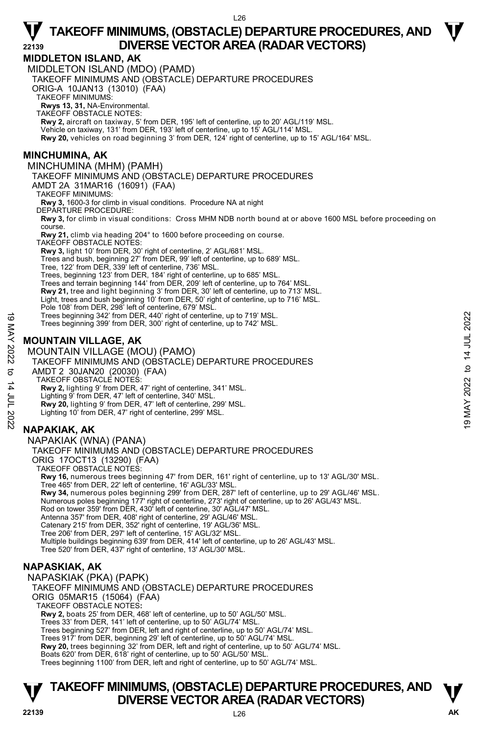### **MIDDLETON ISLAND, AK**

MIDDLETON ISLAND (MDO) (PAMD)

TAKEOFF MINIMUMS AND (OBSTACLE) DEPARTURE PROCEDURES

ORIG-A 10JAN13 (13010) (FAA)

TAKEOFF MINIMUMS:

**Rwys 13, 31,** NA-Environmental. TAKEOFF OBSTACLE NOTES:

**Rwy 2,** aircraft on taxiway, 5' from DER, 195' left of centerline, up to 20' AGL/119' MSL.

Vehicle on taxiway, 131' from DER, 193' left of centerline, up to 15' AGL/114' MSL.

**Rwy 20,** vehicles on road beginning 3' from DER, 124' right of centerline, up to 15' AGL/164' MSL.

#### **MINCHUMINA, AK**

MINCHUMINA (MHM) (PAMH) TAKEOFF MINIMUMS AND (OBSTACLE) DEPARTURE PROCEDURES AMDT 2A 31MAR16 (16091) (FAA) TAKEOFF MINIMUMS: **Rwy 3,** 1600-3 for climb in visual conditions. Procedure NA at night DEPARTURE PROCEDURE: **Rwy 3,** for climb in visual conditions: Cross MHM NDB north bound at or above 1600 MSL before proceeding on course. **Rwy 21,** climb via heading 204° to 1600 before proceeding on course. TAKEOFF OBSTACLE NOTES: **Rwy 3,** light 10' from DER, 30' right of centerline, 2' AGL/681' MSL. Trees and bush, beginning 27' from DER, 99' left of centerline, up to 689' MSL. Tree, 122' from DER, 339' left of centerline, 736' MSL. Trees, beginning 123' from DER, 184' right of centerline, up to 685' MSL. Trees and terrain beginning 144' from DER, 209' left of centerline, up to 764' MSL. **Rwy 21,** tree and light beginning 3' from DER, 30' left of centerline, up to 713' MSL. Light, trees and bush beginning 10' from DER, 50' right of centerline, up to 716' MSL. Pole 108' from DER, 298' left of centerline, 679' MSL. Trees beginning 342' from DER, 440' right of centerline, up to 719' MSL. Trees beginning 399' from DER, 300' right of centerline, up to 742' MSL. **MOUNTAIN VILLAGE, AK**  MOUNTAIN VILLAGE (MOU) (PAMO) TAKEOFF MINIMUMS AND (OBSTACLE) DEPARTURE PROCEDURES AMDT 2 30JAN20 (20030) (FAA) TAKEOFF OBSTACLE NOTES: **Rwy 2,** lighting 9' from DER, 47' right of centerline, 341' MSL. Lighting 9' from DER, 47' left of centerline, 340' MSL. **Rwy 20,** lighting 9' from DER, 47' left of centerline, 299' MSL. Lighting 10' from DER, 47' right of centerline, 299' MSL. **NAPAKIAK, AK**  NAPAKIAK (WNA) (PANA) TAKEOFF MINIMUMS AND (OBSTACLE) DEPARTURE PROCEDURES ORIG 17OCT13 (13290) (FAA) TAKEOFF OBSTACLE NOTES: **Rwy 16,** numerous trees beginning 47' from DER, 161' right of centerline, up to 13' AGL/30' MSL. Tree 465' from DER, 22' left of centerline, 16' AGL/33' MSL. **Rwy 34,** numerous poles beginning 299' from DER, 287' left of centerline, up to 29' AGL/46' MSL. Numerous poles beginning 177' right of centerline, 273' right of centerline, up to 26' AGL/43' MSL. Rod on tower 359' from DER, 430' left of centerline, 30' AGL/47' MSL. Antenna 357' from DER, 408' right of centerline, 29' AGL/46' MSL. Catenary 215' from DER, 352' right of centerline, 19' AGL/36' MSL. Tree 206' from DER, 297' left of centerline, 15' AGL/32' MSL. Multiple buildings beginning 639' from DER, 414' left of centerline, up to 26' AGL/43' MSL. Tree 520' from DER, 437' right of centerline, 13' AGL/30' MSL. **NAPASKIAK, AK**  NAPASKIAK (PKA) (PAPK) Trees beginning 342' from DER, 440' right of centerline, up to 719' MSL.<br>
Trees beginning 399' from DER, 300' right of centerline, up to 742' MSL.<br>
NOUNTAIN VILLAGE, AK<br>
MOUNTAIN VILLAGE (MOU) (PAMO)<br>
TAKEOFF MINIMUMS AND

### **22139** L26 **AK TAKEOFF MINIMUMS, (OBSTACLE) DEPARTURE PROCEDURES, AND <b>W**<br>DIVERSE VECTOR AREA (RADAR VECTORS) **DIVERSE VECTOR AREA (RADAR VECTORS)**

TAKEOFF MINIMUMS AND (OBSTACLE) DEPARTURE PROCEDURES

**Rwy 20,** trees beginning 32' from DER, left and right of centerline, up to 50' AGL/74' MSL.

Trees beginning 1100' from DER, left and right of centerline, up to 50' AGL/74' MSL.

**Rwy 2,** boats 25' from DER, 468' left of centerline, up to 50' AGL/50' MSL. Trees 33' from DER, 141' left of centerline, up to 50' AGL/74' MSL. Trees beginning 527' from DER, left and right of centerline, up to 50' AGL/74' MSL. Trees 917' from DER, beginning 29' left of centerline, up to 50' AGL/74' MSL.

Boats 620' from DER, 618' right of centerline, up to 50' AGL/50' MSL.

ORIG 05MAR15 (15064) (FAA) TAKEOFF OBSTACLE NOTES**:** 

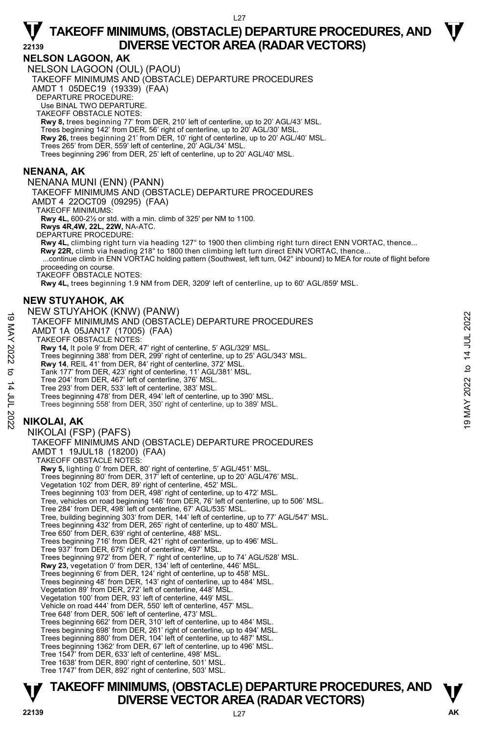#### **NELSON LAGOON, AK**

NELSON LAGOON (OUL) (PAOU) TAKEOFF MINIMUMS AND (OBSTACLE) DEPARTURE PROCEDURES AMDT 1 05DEC19 (19339) (FAA)

DEPARTURE PROCEDURE:

Use BINAL TWO DEPARTURE

TAKEOFF OBSTACLE NOTES: **Rwy 8,** trees beginning 77' from DER, 210' left of centerline, up to 20' AGL/43' MSL.

Trees beginning 142' from DER, 56' right of centerline, up to 20' AGL/30' MSL.

**Rwy 26,** trees beginning 21' from DER, 10' right of centerline, up to 20' AGL/40' MSL.<br>Trees 265' from DER, 559' left of centerline, 20' AGL/34' MSL.

Trees beginning 296' from DER, 25' left of centerline, up to 20' AGL/40' MSL.

#### **NENANA, AK**

NENANA MUNI (ENN) (PANN) TAKEOFF MINIMUMS AND (OBSTACLE) DEPARTURE PROCEDURES AMDT 4 22OCT09 (09295) (FAA) TAKEOFF MINIMUMS: **Rwy 4L,** 600-2½ or std. with a min. climb of 325' per NM to 1100. **Rwys 4R,4W, 22L, 22W,** NA-ATC. DEPARTURE PROCEDURE:

**Rwy 4L,** climbing right turn via heading 127° to 1900 then climbing right turn direct ENN VORTAC, thence...  **Rwy 22R,** climb via heading 218° to 1800 then climbing left turn direct ENN VORTAC, thence... ...continue climb in ENN VORTAC holding pattern (Southwest, left turn, 042° inbound) to MEA for route of flight before proceeding on course.

TAKEOFF OBSTACLE NOTES:

**Rwy 4L,** trees beginning 1.9 NM from DER, 3209' left of centerline, up to 60' AGL/859' MSL.

#### **NEW STUYAHOK, AK**

NEW STUYAHOK (KNW) (PANW)

- TAKEOFF MINIMUMS AND (OBSTACLE) DEPARTURE PROCEDURES 19 MENT TO TAN ION (NEWTY) (F ATTY OF THE PROCEDURES<br>
AMDT 1A 05JAN17 (17005) (FAA)<br>
TAKEOFF OBSTACLE NOTES:<br>
RWY 14, It piese in DER, 299' right of centerline, 5' AGL/329' MSL.<br>
Trees beginning 388' from DER, 299' right
	- AMDT 1A 05JAN17 (17005) (FAA)

TAKEOFF OBSTACLE NOTES:

- **Rwy 14,** lt pole 9' from DER, 47' right of centerline, 5' AGL/329' MSL.
- Trees beginning 388' from DER, 299' right of centerline, up to 25' AGL/343' MSL.
- **Rwy 14**, REIL 41' from DER, 84' right of centerline, 372' MSL.
- Tank 177' from DER, 423' right of centerline, 11' AGL/381' MSL.
- Tree 204' from DER, 467' left of centerline, 376' MSL.
- Tree 293' from DER, 533' left of centerline, 383' MSL.
- Trees beginning 478' from DER, 494' left of centerline, up to 390' MSL.
- Trees beginning 558' from DER, 350' right of centerline, up to 389' MSL.

### **NIKOLAI, AK**

NIKOLAI (FSP) (PAFS) TAKEOFF MINIMUMS AND (OBSTACLE) DEPARTURE PROCEDURES AMDT 1 19JUL18 (18200) (FAA) TAKEOFF OBSTACLE NOTES: **Rwy 5,** lighting 0' from DER, 80' right of centerline, 5' AGL/451' MSL.<br>Trees beginning 80' from DER, 317' left of centerline, up to 20' AGL/476' MSL. Vegetation 102' from DER, 89' right of centerline, 452' MSL. Trees beginning 103' from DER, 498' right of centerline, up to 472' MSL. Tree, vehicles on road beginning 146' from DER, 76' left of centerline, up to 506' MSL. Tree 284' from DER, 498' left of centerline, 67' AGL/535' MSL. Tree, building beginning 303' from DER, 144' left of centerline, up to 77' AGL/547' MSL. Trees beginning 432' from DER, 265' right of centerline, up to 480' MSL. Tree 650' from DER, 639' right of centerline, 488' MSL. Trees beginning 716' from DER, 421' right of centerline, up to 496' MSL. Tree 937' from DER, 675' right of centerline, 497' MSL. Trees beginning 972' from DER, 7' right of centerline, up to 74' AGL/528' MSL. **Rwy 23,** vegetation 0' from DER, 134' left of centerline, 446' MSL. Trees beginning 6' from DER, 124' right of centerline, up to 458' MSL. Trees beginning 48' from DER, 143' right of centerline, up to 484' MSL. Vegetation 89' from DER, 272' left of centerline, 448' MSL. Vegetation 100' from DER, 93' left of centerline, 449' MSL. Vehicle on road 444' from DER, 550' left of centerline, 457' MSL. Tree 648' from DER, 506' left of centerline, 473' MSL. Trees beginning 662' from DER, 310' left of centerline, up to 484' MSL. Trees beginning 698' from DER, 261' right of centerline, up to 494' MSL. Trees beginning 880' from DER, 104' left of centerline, up to 487' MSL. Trees beginning 1362' from DER, 67' left of centerline, up to 496' MSL. Tree 1547' from DER, 633' left of centerline, 498' MSL. Tree 1638' from DER, 890' right of centerline, 501' MSL. Tree 1747' from DER, 892' right of centerline, 503' MSL.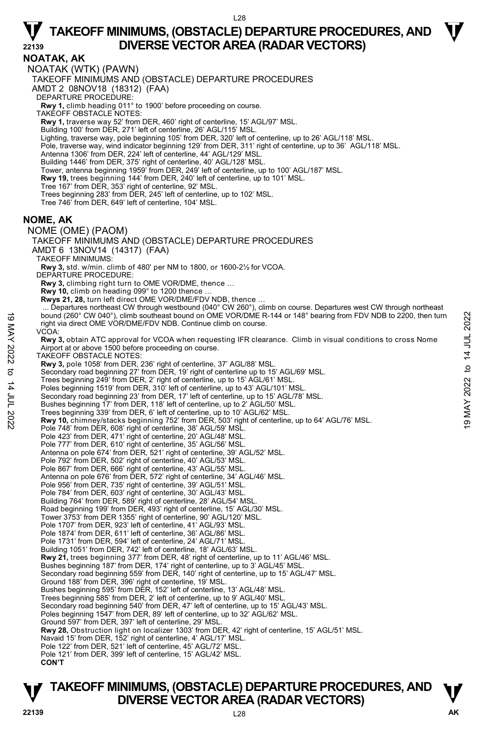**NOATAK, AK**  NOATAK (WTK) (PAWN) TAKEOFF MINIMUMS AND (OBSTACLE) DEPARTURE PROCEDURES AMDT 2 08NOV18 (18312) (FAA) DEPARTURE PROCEDURE: **Rwy 1,** climb heading 011° to 1900' before proceeding on course. TAKEOFF OBSTACLE NOTES: **Rwy 1,** traverse way 52' from DER, 460' right of centerline, 15' AGL/97' MSL. Building 100' from DER, 271' left of centerline, 26' AGL/115' MSL. Lighting, traverse way, pole beginning 105' from DER, 320' left of centerline, up to 26' AGL/118' MSL. Pole, traverse way, wind indicator beginning 129' from DER, 311' right of centerline, up to 36' AGL/118' MSL. Antenna 1306' from DER, 224' left of centerline, 44' AGL/129' MSL. Building 1446' from DER, 375' right of centerline, 40' AGL/128' MSL. Tower, antenna beginning 1959' from DER, 249' left of centerline, up to 100' AGL/187' MSL. **Rwy 19,** trees beginning 144' from DER, 240' left of centerline, up to 101' MSL. Tree 167' from DER, 353' right of centerline, 92' MSL. Trees beginning 283' from DER, 245' left of centerline, up to 102' MSL. Tree 746' from DER, 649' left of centerline, 104' MSL. **NOME, AK**  NOME (OME) (PAOM) TAKEOFF MINIMUMS AND (OBSTACLE) DEPARTURE PROCEDURES AMDT 6 13NOV14 (14317) (FAA) TAKEOFF MINIMUMS: **Rwy 3,** std. w/min. climb of 480' per NM to 1800, or 1600-2½ for VCOA. DEPARTURE PROCEDURE: **Rwy 3,** climbing right turn to OME VOR/DME, thence … **Rwy 10,** climb on heading 099° to 1200 thence … **Rwys 21, 28,** turn left direct OME VOR/DME/FDV NDB, thence … Departures northeast CW through westbound (040° CW 260°), climb on course. Departures west CW through northeast bound (260° CW 040°), climb southeast bound on OME VOR/DME R-144 or 148° bearing from FDV NDB to 2200, then turn right via direct OME VOR/DME/FDV NDB. Continue climb on course. VCOA: **Rwy 3,** obtain ATC approval for VCOA when requesting IFR clearance. Climb in visual conditions to cross Nome Airport at or above 1500 before proceeding on course. TAKEOFF OBSTACLE NOTES: **Rwy 3,** pole 1058' from DER, 236' right of centerline, 37' AGL/88' MSL.<br>Secondary road beginning 27' from DER, 19' right of centerline up to 15' AGL/69' MSL. Trees beginning 249' from DER, 2' right of centerline, up to 15' AGL/61' MSL. Poles beginning 1519' from DER, 310' left of centerline, up to 43' AGL/101' MSI Secondary road beginning 23' from DER, 17' left of centerline, up to 15' AGL/78' MSL. Bushes beginning 17' from DER, 118' left of centerline, up to 2' AGL/50' MSL. bound (260° CW 040°), climb southeast bound on OME VOR/DME R-144 or 148° bearing from FDV NDB to 2200, then turn<br>
right via direct OME VOR/DME/FDV NDB. Continue climb on course.<br>
VCOA:<br>
Newy 3, obtain ATC approval for VCO Pole 748' from DER, 608' right of centerline, 38' AGL/59' MSL. Pole 423' from DER, 471' right of centerline, 20' AGL/48' MSL. Pole 777' from DER, 610' right of centerline, 35' AGL/56' MSL. Antenna on pole 674' from DER, 521' right of centerline, 39' AGL/52' MSL. Pole 792' from DER, 502' right of centerline, 40' AGL/53' MSL. Pole 867' from DER, 666' right of centerline, 43' AGL/55' MSL Antenna on pole 676' from DER, 572' right of centerline, 34' AGL/46' MSL. Pole 956' from DER, 735' right of centerline, 39' AGL/51' MSL. Pole 784' from DER, 603' right of centerline, 30' AGL/43' MSL Building 764' from DER, 589' right of centerline, 28' AGL/54' MSL. Road beginning 199' from DER, 493' right of centerline, 15' AGL/30' MSL. Tower 3753' from DER 1355' right of centerline, 90' AGL/120' MSL. Pole 1707' from DER, 923' left of centerline, 41' AGL/93' MSL. Pole 1874' from DER, 611' left of centerline, 36' AGL/86' MSL. Pole 1731' from DER, 594' left of centerline, 24' AGL/71' MSL. Building 1051' from DER, 742' left of centerline, 18' AGL/63' MSL.<br>**Rwy 21,** trees beginning 377' from DER, 48' right of centerline, up to 11' AGL/46' MSL. Bushes beginning 187' from DER, 174' right of centerline, up to 3' AGL/45' MSL. Secondary road beginning 559' from DER, 140' right of centerline, up to 15' AGL/47' MSL. Ground 188' from DER, 396' right of centerline, 19' MSL. Bushes beginning 595' from DER, 152' left of centerline, 13' AGL/48' MSL. Trees beginning 585' from DER, 2' left of centerline, up to 9' AGL/40' MSL. Secondary road beginning 540' from DER, 47' left of centerline, up to 15' AGL/43' MSL. Poles beginning 1547' from DER, 89' left of centerline, up to 32' AGL/62' MSL. Ground 597' from DER, 397' left of centerline, 29' MSL. **Rwy 28,** Obstruction light on localizer 1303' from DER, 42' right of centerline, 15' AGL/51' MSL. Navaid 15' from DER, 152' right of centerline, 4' AGL/17' MSL. Pole 122' from DER, 521' left of centerline, 45' AGL/72' MSL. Pole 121' from DER, 399' left of centerline, 15' AGL/42' MSL. **CON'T**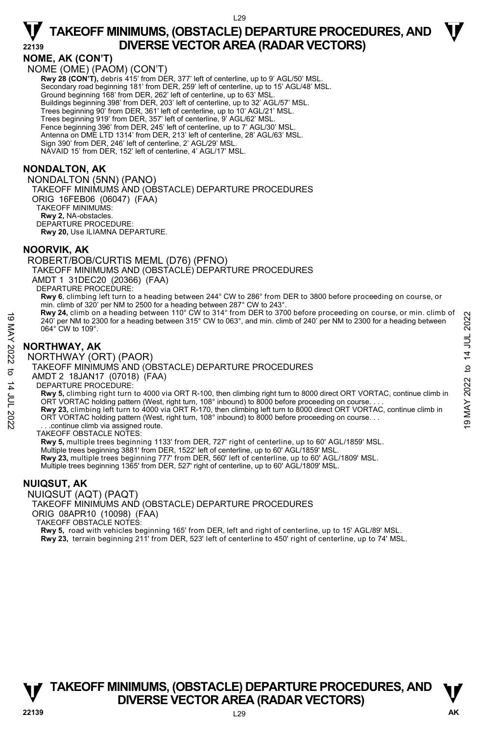#### **NOME, AK (CON'T)**

NOME (OME) (PAOM) (CON'T) **Rwy 28 (CON'T), debris 415' from DER, 377' left of centerline, up to 9' AGL/50' MSL** Secondary road beginning 181' from DER, 259' left of centerline, up to 15' AGL/48' MSL. Ground beginning 168' from DER, 262' left of centerline, up to 63' MSL. Buildings beginning 398' from DER, 203' left of centerline, up to 32' AGL/57' MSL.<br>Trees beginning 90' from DER, 361' left of centerline, up to 10' AGL/21' MSL.<br>Trees beginning 919' from DER, 357' left of centerline, 9' AG Fence beginning 396' from DER, 245' left of centerline, up to 7' AGL/30' MSL. Antenna on DME LTD 1314' from DER, 213' left of centerline, 28' AGL/63' MSL. Sign 390' from DER, 246' left of centerline, 2' AGL/29' MSL. NAVAID 15' from DER, 152' left of centerline, 4' AGL/17' MSL.

#### **NONDALTON, AK**

NONDALTON (5NN) (PANO) TAKEOFF MINIMUMS AND (OBSTACLE) DEPARTURE PROCEDURES ORIG 16FEB06 (06047) (FAA) TAKEOFF MINIMUMS: **Rwy 2,** NA-obstacles. DEPARTURE PROCEDURE: **Rwy 20,** Use ILIAMNA DEPARTURE.

#### **NOORVIK, AK**

ROBERT/BOB/CURTIS MEML (D76) (PFNO) TAKEOFF MINIMUMS AND (OBSTACLE) DEPARTURE PROCEDURES AMDT 1 31DEC20 (20366) (FAA) DEPARTURE PROCEDURE: **Rwy 6**, climbing left turn to a heading between 244° CW to 286° from DER to 3800 before proceeding on course, or min. climb of 320' per NM to 2500 for a heading between 287° CW to 243°. **Rwy 24,** climb on a heading between 110° CW to 314° from DER to 3700 before proceeding on course, or min. climb of

240' per NM to 2300 for a heading between 315° CW to 063°, and min. climb of 240' per NM to 2300 for a heading between 064° CW to 109°. 19 MAY 24, climb of a heading between TID" CW to 314" from DER to 3700 before proceeding on course, or min. climb of<br>
240" per NM to 2300 for a heading between 315° CW to 063°, and min. climb of 240" per NM to 2300 for a

### **NORTHWAY, AK**

NORTHWAY (ORT) (PAOR)

TAKEOFF MINIMUMS AND (OBSTACLE) DEPARTURE PROCEDURES

AMDT 2 18JAN17 (07018) (FAA)

DEPARTURE PROCEDURE:

**Rwy 5,** climbing right turn to 4000 via ORT R-100, then climbing right turn to 8000 direct ORT VORTAC, continue climb in ORT VORTAC holding pattern (West, right turn, 108° inbound) to 8000 before proceeding on course. .

**Rwy 23,** climbing left turn to 4000 via ORT R-170, then climbing left turn to 8000 direct ORT VORTAC, continue climb in ORT VORTAC holding pattern (West, right turn, 108° inbound) to 8000 before proceeding on course. . .

. . .continue climb via assigned route.

TAKEOFF OBSTACLE NOTES:

**Rwy 5,** multiple trees beginning 1133' from DER, 727' right of centerline, up to 60' AGL/1859' MSL.

Multiple trees beginning 3881' from DER, 1522' left of centerline, up to 60' AGL/1859' MSL. **Rwy 23,** multiple trees beginning 777' from DER, 560' left of centerline, up to 60' AGL/1809' MSL.

Multiple trees beginning 1365' from DER, 527' right of centerline, up to 60' AGL/1809' MSL.

#### **NUIQSUT, AK**

NUIQSUT (AQT) (PAQT)

TAKEOFF MINIMUMS AND (OBSTACLE) DEPARTURE PROCEDURES ORIG 08APR10 (10098) (FAA) TAKEOFF OBSTACLE NOTES:

**Rwy 5,** road with vehicles beginning 165' from DER, left and right of centerline, up to 15' AGL/89' MSL. **Rwy 23,** terrain beginning 211' from DER, 523' left of centerline to 450' right of centerline, up to 74' MSL.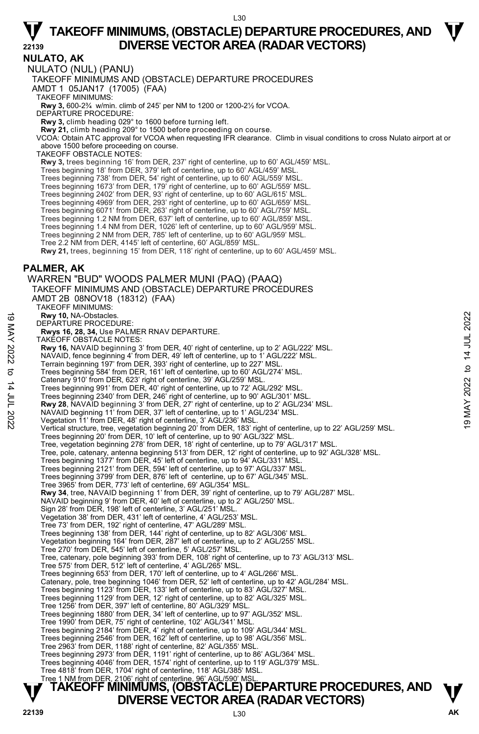**NULATO, AK**  NULATO (NUL) (PANU) TAKEOFF MINIMUMS AND (OBSTACLE) DEPARTURE PROCEDURES AMDT 1 05JAN17 (17005) (FAA) TAKEOFF MINIMUMS: **Rwy 3,** 600-2¾ w/min. climb of 245' per NM to 1200 or 1200-2½ for VCOA. DEPARTURE PROCEDURE: **Rwy 3,** climb heading 029° to 1600 before turning left. **Rwy 21,** climb heading 209° to 1500 before proceeding on course. VCOA: Obtain ATC approval for VCOA when requesting IFR clearance. Climb in visual conditions to cross Nulato airport at or above 1500 before proceeding on course. TAKEOFF OBSTACLE NOTES: **Rwy 3,** trees beginning 16' from DER, 237' right of centerline, up to 60' AGL/459' MSL. Trees beginning 18' from DER, 379' left of centerline, up to 60' AGL/459' MSL. Trees beginning 738' from DER, 54' right of centerline, up to 60' AGL/559' MSL. Trees beginning 1673' from DER, 179' right of centerline, up to 60' AGL/559' MSL.<br>Trees beginning 2402' from DER, 93' right of centerline, up to 60' AGL/615' MSL.<br>Trees beginning 4969' from DER, 293' right of centerline, u Trees beginning 6071' from DER, 263' right of centerline, up to 60' AGL/759' MSL. Trees beginning 1.2 NM from DER, 637' left of centerline, up to 60' AGL/859' MSL. Trees beginning 1.4 NM from DER, 1026' left of centerline, up to 60' AGL/959' MSL. Trees beginning 2 NM from DER, 785' left of centerline, up to 60' AGL/959' MSL. Tree 2.2 NM from DER, 4145' left of centerline, 60' AGL/859' MSL. **Rwy 21,** trees, beginning 15' from DER, 118' right of centerline, up to 60' AGL/459' MSL. **PALMER, AK**  WARREN "BUD" WOODS PALMER MUNI (PAQ) (PAAQ) TAKEOFF MINIMUMS AND (OBSTACLE) DEPARTURE PROCEDURES AMDT 2B 08NOV18 (18312) (FAA) TAKEOFF MINIMUMS: **Rwy 10,** NA-Obstacles. DEPARTURE PROCEDURE: **Rwys 16, 28, 34,** Use PALMER RNAV DEPARTURE. TAKEOFF OBSTACLE NOTES: **Rwy 16,** NAVAID beginning 3' from DER, 40' right of centerline, up to 2' AGL/222' MSL. NAVAID, fence beginning 4' from DER, 49' left of centerline, up to 1' AGL/222' MSL. Terrain beginning 197' from DER, 393' right of centerline, up to 227' MSL. Trees beginning 584' from DER, 161' left of centerline, up to 60' AGL/274' MSL. Catenary 910' from DER, 623' right of centerline, 39' AGL/259' MSL. Trees beginning 991' from DER, 40' right of centerline, up to 72' AGL/292' MSL. Trees beginning 2340' from DER, 246' right of centerline, up to 90' AGL/301' MSL. **Rwy 28**, NAVAID beginning 3' from DER, 27' right of centerline, up to 2' AGL/234' MSL. NAVAID beginning 11' from DER, 37' left of centerline, up to 1' AGL/234' MSL. Vegetation 11' from DER, 48' right of centerline, 3' AGL/236' MSL. Vertical structure, tree, vegetation beginning 20' from DER, 183' right of centerline, up to 22' AGL/259' MSL. Trees beginning 20' from DER, 10' left of centerline, up to 90' AGL/322' MSL. Tree, vegetation beginning 278' from DER, 18' right of centerline, up to 79' AGL/317' MSL. Tree, pole, catenary, antenna beginning 513' from DER, 12' right of centerline, up to 92' AGL/328' MSL. Trees beginning 1377' from DER, 45' left of centerline, up to 94' AGL/331' MSL. Trees beginning 2121' from DER, 594' left of centerline, up to 97' AGL/337' MSL. Trees beginning 3799' from DER, 876' left of centerline, up to 67' AGL/345' MSL. Tree 3965' from DER, 773' left of centerline, 69' AGL/354' MSL. **Rwy 34**, tree, NAVAID beginning 1' from DER, 39' right of centerline, up to 79' AGL/287' MSL. NAVAID beginning 9' from DER, 40' left of centerline, up to 2' AGL/250' MSL. Sign 28' from DER, 198' left of centerline, 3' AGL/251' MSL. Vegetation 38' from DER, 431' left of centerline, 4' AGL/253' MSL. Tree 73' from DER, 192' right of centerline, 47' AGL/289' MSL. Trees beginning 138' from DER, 144' right of centerline, up to 82' AGL/306' MSL. Vegetation beginning 164' from DER, 287' left of centerline, up to 2' AGL/255' MSL. Tree 270' from DER, 545' left of centerline, 5' AGL/257' MSL. Tree, catenary, pole beginning 393' from DER, 108' right of centerline, up to 73' AGL/313' MSL. Tree 575' from DER, 512' left of centerline, 4' AGL/265' MSL. Trees beginning 653' from DER, 170' left of centerline, up to 4' AGL/266' MSL. Catenary, pole, tree beginning 1046' from DER, 52' left of centerline, up to 42' AGL/284' MSL.<br>Trees beginning 1123' from DER, 133' left of centerline, up to 83' AGL/327' MSL. Trees beginning 1129' from DER, 12' right of centerline, up to 82' AGL/325' MSL. Tree 1256' from DER, 397' left of centerline, 80' AGL/329' MSL. Trees beginning 1880' from DER, 34' left of centerline, up to 97' AGL/352' MSL. Tree 1990' from DER, 75' right of centerline, 102' AGL/341' MSL. Trees beginning 2184' from DER, 4' right of centerline, up to 109' AGL/344' MSL. Trees beginning 2546' from DER, 162' left of centerline, up to 98' AGL/356' MSL. Tree 2963' from DER, 1188' right of centerline, 82' AGL/355' MSL. Trees beginning 2973' from DER, 1191' right of centerline, up to 86' AGL/364' MSL. Trees beginning 4046' from DER, 1574' right of centerline, up to 119' AGL/379' MSL. Tree 4818' from DER, 1704' right of centerline, 118' AGL/385' MSL. Tree 1 NM from DER, 2106' right of centerline, 96' AGL/590' MSL. News 10, NA-Obstacles.<br>
DEPARTURE PROCEDURE:<br>
News 16, 28, 34, Use PALMER RNAV DEPARTURE.<br>
TAKEOFF OBSTACLE NOTES:<br>
News 16, 28, 34, Use PALMER RNAV DEPARTURE.<br>
News 16, 28, 34, Use PALMER RNAV DEPARTURE.<br>
NAVAID, fence b

### **TAKEOFF MINIMUMS, (OBSTACLE) DEPARTURE PROCEDURES, AND**  $\Psi$ **DIVERSE VECTOR AREA (RADAR VECTORS)**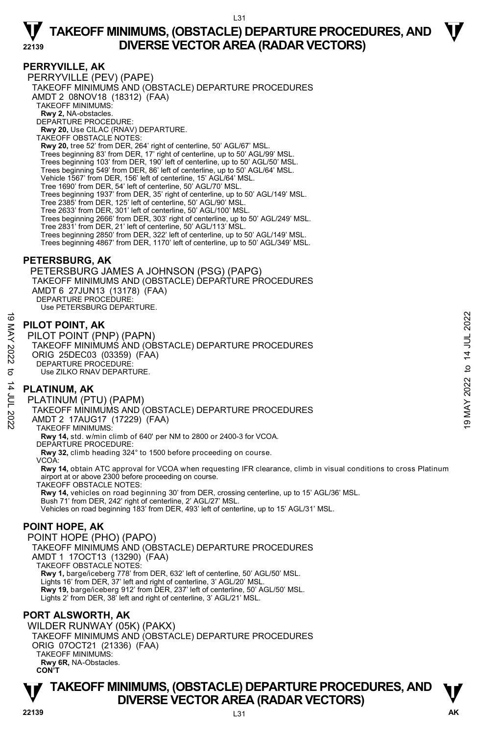#### **PERRYVILLE, AK**

PERRYVILLE (PEV) (PAPE) TAKEOFF MINIMUMS AND (OBSTACLE) DEPARTURE PROCEDURES AMDT 2 08NOV18 (18312) (FAA) TAKEOFF MINIMUMS: **Rwy 2,** NA-obstacles. DEPARTURE PROCEDURE: **Rwy 20,** Use CILAC (RNAV) DEPARTURE. TAKEOFF OBSTACLE NOTES: **Rwy 20,** tree 52' from DER, 264' right of centerline, 50' AGL/67' MSL. Trees beginning 83' from DER, 17' right of centerline, up to 50' AGL/99' MSL. Trees beginning 103' from DER, 190' left of centerline, up to 50' AGL/50' MSL. Trees beginning 549' from DER, 86' left of centerline, up to 50' AGL/64' MSL. Vehicle 1567' from DER, 156' left of centerline, 15' AGL/64' MSL. Tree 1690' from DER, 54' left of centerline, 50' AGL/70' MSL. Trees beginning 1937' from DER, 35' right of centerline, up to 50' AGL/149' MSL. Tree 2385' from DER, 125' left of centerline, 50' AGL/90' MSL. Tree 2633' from DER, 301' left of centerline, 50' AGL/100' MSL. Trees beginning 2666' from DER, 303' right of centerline, up to 50' AGL/249' MSL. Tree 2831' from DER, 21' left of centerline, 50' AGL/113' MSL. Trees beginning 2850' from DER, 322' left of centerline, up to 50' AGL/149' MSL. Trees beginning 4867' from DER, 1170' left of centerline, up to 50' AGL/349' MSL.

#### **PETERSBURG, AK**

 PETERSBURG JAMES A JOHNSON (PSG) (PAPG) TAKEOFF MINIMUMS AND (OBSTACLE) DEPARTURE PROCEDURES AMDT 6 27JUN13 (13178) (FAA) DEPARTURE PROCEDURE: Use PETERSBURG DEPARTURE.

#### **PILOT POINT, AK**

PILOT POINT (PNP) (PAPN) TAKEOFF MINIMUMS AND (OBSTACLE) DEPARTURE PROCEDURES ORIG 25DEC03 (03359) (FAA) DEPARTURE PROCEDURE Use ZILKO RNAV DEPARTURE. e<br>
MEX PILOT POINT (PNP) (PAPN)<br>
TAKEOFF MINIMUMS AND (OBSTACLE) DEPARTURE PROCEDURES<br>
ORIG 25DEC03 (03359) (FAA)<br>
DEPARTURE PROCEDURE:<br>
S ORIG 25DEC03 (03359) (FAA)<br>
DEPARTURE PROCEDURE:<br>
S PLATINUM, AK<br>
PLATINUM, AK<br>
P

#### **PLATINUM, AK**

PLATINUM (PTU) (PAPM)

TAKEOFF MINIMUMS AND (OBSTACLE) DEPARTURE PROCEDURES

AMDT 2 17AUG17 (17229) (FAA)

TAKEOFF MINIMUMS:

**Rwy 14,** std. w/min climb of 640' per NM to 2800 or 2400-3 for VCOA.

- DEPARTURE PROCEDURE
- **Rwy 32,** climb heading 324° to 1500 before proceeding on course.
- VCOA:

**Rwy 14,** obtain ATC approval for VCOA when requesting IFR clearance, climb in visual conditions to cross Platinum airport at or above 2300 before proceeding on course.

TAKEOFF OBSTACLE NOTES:

**Rwy 14,** vehicles on road beginning 30' from DER, crossing centerline, up to 15' AGL/36' MSL. Bush 71' from DER, 242' right of centerline, 2' AGL/27' MSL. Vehicles on road beginning 183' from DER, 493' left of centerline, up to 15' AGL/31' MSL.

#### **POINT HOPE, AK**

POINT HOPE (PHO) (PAPO) TAKEOFF MINIMUMS AND (OBSTACLE) DEPARTURE PROCEDURES AMDT 1 17OCT13 (13290) (FAA) TAKEOFF OBSTACLE NOTES: **Rwy 1,** barge/iceberg 778' from DER, 632' left of centerline, 50' AGL/50' MSL. Lights 16' from DER, 37' left and right of centerline, 3' AGL/20' MSL.<br>**Rwy 19,** barge/iceberg 912' from DER, 237' left of centerline, 50' AGL/50' MSL. Lights 2' from DER, 38' left and right of centerline, 3' AGL/21' MSL.

#### **PORT ALSWORTH, AK**

WILDER RUNWAY (05K) (PAKX) TAKEOFF MINIMUMS AND (OBSTACLE) DEPARTURE PROCEDURES ORIG 07OCT21 (21336) (FAA) TAKEOFF MINIMUMS:  **Rwy 6R,** NA-Obstacles. **CON'T** 

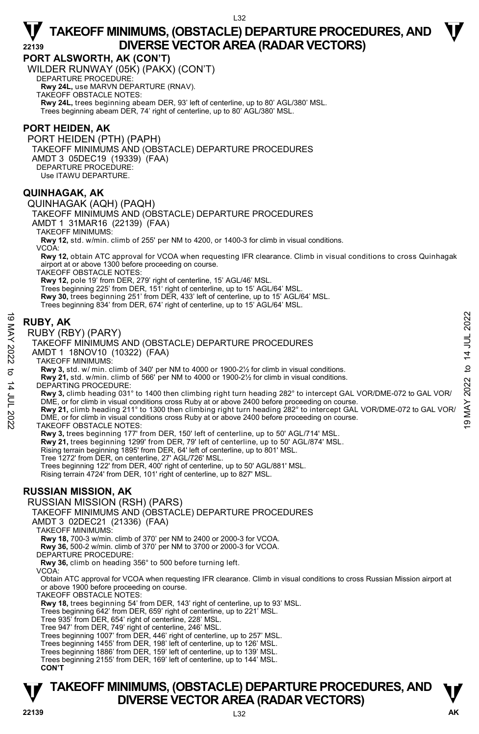**PORT ALSWORTH, AK (CON'T)** 

WILDER RUNWAY (05K) (PAKX) (CON'T) DEPARTURE PROCEDURE:

**Rwy 24L,** use MARVN DEPARTURE (RNAV).

TAKEOFF OBSTACLE NOTES:

**Rwy 24L,** trees beginning abeam DER, 93' left of centerline, up to 80' AGL/380' MSL. Trees beginning abeam DER, 74' right of centerline, up to 80' AGL/380' MSL.

#### **PORT HEIDEN, AK**

PORT HEIDEN (PTH) (PAPH) TAKEOFF MINIMUMS AND (OBSTACLE) DEPARTURE PROCEDURES AMDT 3 05DEC19 (19339) (FAA) DEPARTURE PROCEDURE: Use ITAWU DEPARTURE.

#### **QUINHAGAK, AK**

QUINHAGAK (AQH) (PAQH)

TAKEOFF MINIMUMS AND (OBSTACLE) DEPARTURE PROCEDURES

AMDT 1 31MAR16 (22139) (FAA)

TAKEOFF MINIMUMS:

**Rwy 12,** std. w/min. climb of 255' per NM to 4200, or 1400-3 for climb in visual conditions.

VCOA:

**Rwy 12,** obtain ATC approval for VCOA when requesting IFR clearance. Climb in visual conditions to cross Quinhagak airport at or above 1300 before proceeding on course.

TAKEOFF OBSTACLE NOTES:

**Rwy 12,** pole 19' from DER, 279' right of centerline, 15' AGL/46' MSL.<br>Trees beginning 225' from DER, 151' right of centerline, up to 15' AGL/64' MSL. **Rwy 30,** trees beginning 251' from DER, 433' left of centerline, up to 15' AGL/64' MSL.

Trees beginning 834' from DER, 674' right of centerline, up to 15' AGL/64' MSL.

#### **RUBY, AK**

RUBY (RBY) (PARY)

TAKEOFF MINIMUMS AND (OBSTACLE) DEPARTURE PROCEDURES

AMDT 1 18NOV10 (10322) (FAA)

TAKEOFF MINIMUMS:

**Rwy 3,** std. w/ min. climb of 340' per NM to 4000 or 1900-2½ for climb in visual conditions.

**Rwy 21,** std. w/min. climb of 566' per NM to 4000 or 1900-2½ for climb in visual conditions.

DEPARTING PROCEDURE:

**Rwy 3,** climb heading 031° to 1400 then climbing right turn heading 282° to intercept GAL VOR/DME-072 to GAL VOR/ DME, or for climb in visual conditions cross Ruby at or above 2400 before proceeding on course.

**Rwy 21,** climb heading 211° to 1300 then climbing right turn heading 282° to intercept GAL VOR/DME-072 to GAL VOR/ DME, or for climb in visual conditions cross Ruby at or above 2400 before proceeding on course. **RUBY, AK**<br> **EVALUSY** (PARY)<br> **EVALUSY** (PARY)<br>
TAKEOFF MINIMUMS AND (OBSTACLE) DEPARTURE PROCEDURES<br>
AMDT 1 18NOV10 (10322) (FAA)<br>
TAKEOFF MINIMUMS:<br>
TAKEOFF MINIMUMS:<br> **EVALUSY** 3.6d. W/min. climb of 340' per NM to 4000

TAKEOFF OBSTACLE NOTES:

**Rwy 3,** trees beginning 177' from DER, 150' left of centerline, up to 50' AGL/714' MSL.

**Rwy 21,** trees beginning 1299' from DER, 79' left of centerline, up to 50' AGL/874' MSL.

Rising terrain beginning 1895' from DER, 64' left of centerline, up to 801' MSL.

Tree 1272' from DER, on centerline, 27' AGL/726' MSL.

Trees beginning 122' from DER, 400' right of centerline, up to 50' AGL/881' MSL. Rising terrain 4724' from DER, 101' right of centerline, up to 827' MSL.

#### **RUSSIAN MISSION, AK**

RUSSIAN MISSION (RSH) (PARS)

TAKEOFF MINIMUMS AND (OBSTACLE) DEPARTURE PROCEDURES

AMDT 3 02DEC21 (21336) (FAA)

TAKEOFF MINIMUMS:

**Rwy 18,** 700-3 w/min. climb of 370' per NM to 2400 or 2000-3 for VCOA.

**Rwy 36,** 500-2 w/min. climb of 370' per NM to 3700 or 2000-3 for VCOA.

DEPARTURE PROCEDURE

 **Rwy 36,** climb on heading 356° to 500 before turning left.

VCOA:

 Obtain ATC approval for VCOA when requesting IFR clearance. Climb in visual conditions to cross Russian Mission airport at or above 1900 before proceeding on course.

TAKEOFF OBSTACLE NOTES:

**Rwy 18,** trees beginning 54' from DER, 143' right of centerline, up to 93' MSL.

Trees beginning 642' from DER, 659' right of centerline, up to 221' MSL.

Tree 935' from DER, 654' right of centerline, 228' MSL.

Tree 947' from DER, 749' right of centerline, 246' MSL.

Trees beginning 1007' from DER, 446' right of centerline, up to 257' MSL. Trees beginning 1455' from DER, 198' left of centerline, up to 126' MSL.

Trees beginning 1886' from DER, 159' left of centerline, up to 139' MSL.

Trees beginning 2155' from DER, 169' left of centerline, up to 144' MSL.

**CON'T** 

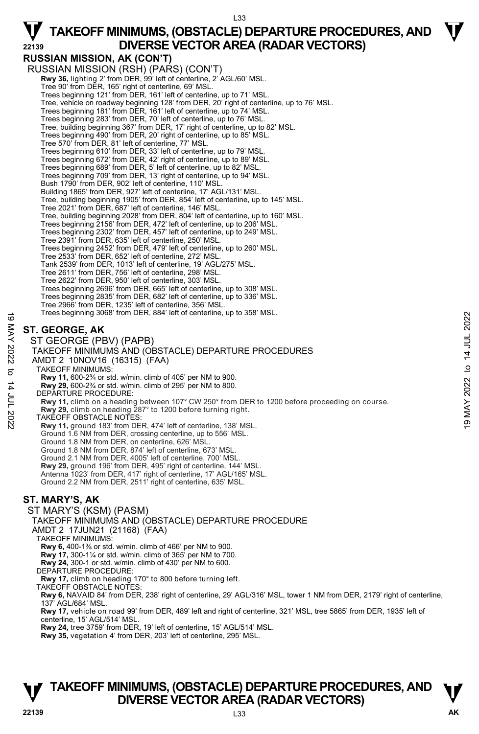**RUSSIAN MISSION, AK (CON'T)** 

RUSSIAN MISSION (RSH) (PARS) (CON'T) **Rwy 36,** lighting 2' from DER, 99' left of centerline, 2' AGL/60' MSL. Tree 90' from DER, 165' right of centerline, 69' MSL. Trees beginning 121' from DER, 161' left of centerline, up to 71' MSL. Tree, vehicle on roadway beginning 128' from DER, 20' right of centerline, up to 76' MSL. Trees beginning 181' from DER, 161' left of centerline, up to 74' MSL. Trees beginning 283' from DER, 70' left of centerline, up to 76' MSL. Tree, building beginning 367' from DER, 17' right of centerline, up to 82' MSL. Trees beginning 490' from DER, 20' right of centerline, up to 85' MSL. Tree 570' from DER, 81' left of centerline, 77' MSL. Trees beginning 610' from DER, 33' left of centerline, up to 79' MSL. Trees beginning 672' from DER, 42' right of centerline, up to 89' MSL. Trees beginning 689' from DER, 5' left of centerline, up to 82' MSL. Trees beginning 709' from DER, 13' right of centerline, up to 94' MSL. Bush 1790' from DER, 902' left of centerline, 110' MSL. Building 1865' from DER, 927' left of centerline, 17' AGL/131' MSL. Tree, building beginning 1905' from DER, 854' left of centerline, up to 145' MSL. Tree 2021' from DER, 687' left of centerline, 146' MSL. Tree, building beginning 2028' from DER, 804' left of centerline, up to 160' MSL. Trees beginning 2156' from DER, 472' left of centerline, up to 206' MSL. Trees beginning 2302' from DER, 457' left of centerline, up to 249' MSL. Tree 2391' from DER, 635' left of centerline, 250' MSL. Trees beginning 2452' from DER, 479' left of centerline, up to 260' MSL. Tree 2533' from DER, 652' left of centerline, 272' MSL. Tank 2539' from DER, 1013' left of centerline, 19' AGL/275' MSL. Tree 2611' from DER, 756' left of centerline, 298' MSL. Tree 2622' from DER, 950' left of centerline, 303' MSL. Trees beginning 2696' from DER, 665' left of centerline, up to 308' MSL. Trees beginning 2835' from DER, 682' left of centerline, up to 336' MSL. Tree 2966' from DER, 1235' left of centerline, 356' MSL. Trees beginning 3068' from DER, 884' left of centerline, up to 358' MSL. **ST. GEORGE, AK**  ST GEORGE (PBV) (PAPB) TAKEOFF MINIMUMS AND (OBSTACLE) DEPARTURE PROCEDURES AMDT 2 10NOV16 (16315) (FAA) TAKEOFF MINIMUMS: **Rwy 11,** 600-2¾ or std. w/min. climb of 405' per NM to 900. **Rwy 29,** 600-2¾ or std. w/min. climb of 295' per NM to 800. DEPARTURE PROCEDURE: **Rwy 11,** climb on a heading between 107° CW 250° from DER to 1200 before proceeding on course. **Rwy 29,** climb on heading 287° to 1200 before turning right. TAKEOFF OBSTACLE NOTES: **Rwy 11,** ground 183' from DER, 474' left of centerline, 138' MSL. Ground 1.6 NM from DER, crossing centerline, up to 556' MSL. Ground 1.8 NM from DER, on centerline, 626' MSL. Ground 1.8 NM from DER, 874' left of centerline, 673' MSL. Ground 2.1 NM from DER, 4005' left of centerline, 700' MSL. **Rwy 29,** ground 196' from DER, 495' right of centerline, 144' MSL. Antenna 1023' from DER, 417' right of centerline, 17' AGL/165' MSL. Ground 2.2 NM from DER, 2511' right of centerline, 635' MSL. Trees beginning 3068 from DER, 884 left of centerline, up to 358 MSL.<br>  $\leq$  **ST. GEORGE, AK**<br>  $\leq$  **ST. GEORGE (PBV) (PAPB)**<br>
TAKEOFF MINIMUMS AND (OBSTACLE) DEPARTURE PROCEDURES<br>
AMDIT 2 10NOV16 (16315) (FAA)<br>  $\leq$  TA

#### **ST. MARY'S, AK**

ST MARY'S (KSM) (PASM) TAKEOFF MINIMUMS AND (OBSTACLE) DEPARTURE PROCEDURE AMDT 2 17JUN21 (21168) (FAA) TAKEOFF MINIMUMS: **Rwy 6,** 400-1⅜ or std. w/min. climb of 466' per NM to 900. **Rwy 17,** 300-1¼ or std. w/min. climb of 365' per NM to 700. **Rwy 24,** 300-1 or std. w/min. climb of 430' per NM to 600. DEPARTURE PROCEDURE: **Rwy 17,** climb on heading 170° to 800 before turning left. TAKEOFF OBSTACLE NOTES:  **Rwy 6,** NAVAID 84' from DER, 238' right of centerline, 29' AGL/316' MSL, tower 1 NM from DER, 2179' right of centerline, 137' AGL/684' MSL. **Rwy 17,** vehicle on road 99' from DER, 489' left and right of centerline, 321' MSL, tree 5865' from DER, 1935' left of centerline, 15' AGL/514' MSL.

**Rwy 24,** tree 3759' from DER, 19' left of centerline, 15' AGL/514' MSL. **Rwy 35,** vegetation 4' from DER, 203' left of centerline, 295' MSL.

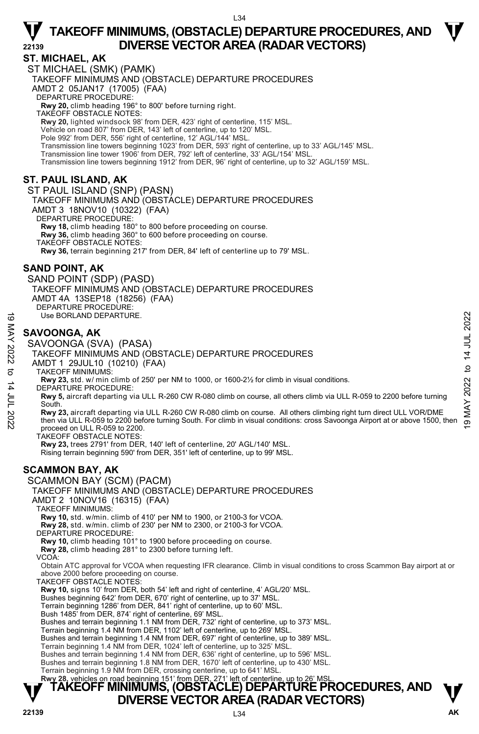#### **ST. MICHAEL, AK**

ST MICHAEL (SMK) (PAMK) TAKEOFF MINIMUMS AND (OBSTACLE) DEPARTURE PROCEDURES AMDT 2 05JAN17 (17005) (FAA) DEPARTURE PROCEDURE: **Rwy 20,** climb heading 196° to 800' before turning right. TAKEOFF OBSTACLE NOTES: **Rwy 20,** lighted windsock 98' from DER, 423' right of centerline, 115' MSL. Vehicle on road 807' from DER, 143' left of centerline, up to 120' MSL. Pole 992' from DER, 556' right of centerline, 12' AGL/144' MSL. Transmission line towers beginning 1023' from DER, 593' right of centerline, up to 33' AGL/145' MSL. Transmission line tower 1906' from DER, 792' left of centerline, 33' AGL/154' MSL. Transmission line towers beginning 1912' from DER, 96' right of centerline, up to 32' AGL/159' MSL.

#### **ST. PAUL ISLAND, AK**

ST PAUL ISLAND (SNP) (PASN) TAKEOFF MINIMUMS AND (OBSTACLE) DEPARTURE PROCEDURES AMDT 3 18NOV10 (10322) (FAA) DEPARTURE PROCEDURE **Rwy 18,** climb heading 180° to 800 before proceeding on course. **Rwy 36,** climb heading 360° to 600 before proceeding on course. TAKEOFF OBSTACLE NOTES: **Rwy 36,** terrain beginning 217' from DER, 84' left of centerline up to 79' MSL.

#### **SAND POINT, AK**

SAND POINT (SDP) (PASD) TAKEOFF MINIMUMS AND (OBSTACLE) DEPARTURE PROCEDURES AMDT 4A 13SEP18 (18256) (FAA) DEPARTURE PROCEDURE: Use BORLAND DEPARTURE.

#### **SAVOONGA, AK**

SAVOONGA (SVA) (PASA) TAKEOFF MINIMUMS AND (OBSTACLE) DEPARTURE PROCEDURES AMDT 1 29JUL10 (10210) (FAA) TAKEOFF MINIMUMS: **Rwy 23,** std. w/ min climb of 250' per NM to 1000, or 1600-2½ for climb in visual conditions. DEPARTURE PROCEDURE: **Rwy 5,** aircraft departing via ULL R-260 CW R-080 climb on course, all others climb via ULL R-059 to 2200 before turning South. Use BORLAND DEPARTURE.<br>
SAVOONGA, AK<br>
SAVOONGA, AK<br>
SAVOONGA (SVA) (PASA)<br>
TAKEOFF MINIMUMS AND (OBSTACLE) DEPARTURE PROCEDURES<br>
TAKEOFF MINIMUMS AND (OBSTACLE) DEPARTURE PROCEDURES<br>
AMDT 1 29JUL10 (10210) (FAA)<br>
TAKEOFF

proceed on ULL R-059 to 2200.

TAKEOFF OBSTACLE NOTES:

**Rwy 23,** trees 2791' from DER, 140' left of centerline, 20' AGL/140' MSL. Rising terrain beginning 590' from DER, 351' left of centerline, up to 99' MSL.

### **SCAMMON BAY, AK**

SCAMMON BAY (SCM) (PACM) TAKEOFF MINIMUMS AND (OBSTACLE) DEPARTURE PROCEDURES AMDT 2 10NOV16 (16315) (FAA) TAKEOFF MINIMUMS: **Rwy 10,** std. w/min. climb of 410' per NM to 1900, or 2100-3 for VCOA. **Rwy 28,** std. w/min. climb of 230' per NM to 2300, or 2100-3 for VCOA. DEPARTURE PROCEDURE:

**Rwy 10,** climb heading 101° to 1900 before proceeding on course.

**Rwy 28,** climb heading 281° to 2300 before turning left.

VCOA:

Obtain ATC approval for VCOA when requesting IFR clearance. Climb in visual conditions to cross Scammon Bay airport at or above 2000 before proceeding on course.

TAKEOFF OBSTACLE NOTES:

**Rwy 10,** signs 10' from DER, both 54' left and right of centerline, 4' AGL/20' MSL.

Bushes beginning 642' from DER, 670' right of centerline, up to 37' MSL.

Terrain beginning 1286' from DER, 841' right of centerline, up to 60' MSL. Bush 1485' from DER, 874' right of centerline, 69' MSL.

Bushes and terrain beginning 1.1 NM from DER, 732' right of centerline, up to 373' MSL.

Terrain beginning 1.4 NM from DER, 1102' left of centerline, up to 269' MSL.

Bushes and terrain beginning 1.4 NM from DER, 697' right of centerline, up to 389' MSL.

Terrain beginning 1.4 NM from DER, 1024' left of centerline, up to 325' MSL.

Bushes and terrain beginning 1.4 NM from DER, 636' right of centerline, up to 596' MSL.

Bushes and terrain beginning 1.8 NM from DER, 1670' left of centerline, up to 430' MSL.

Terrain beginning 1.9 NM from DER, crossing centerline, up to 641' MSL.<br>**Rwy 28,** vehicles on road beginning 151' from DER, 271' left of centerline, up to 26' MSL.

### **TAKEOFF MINIMUMS, (OBSTACLE) DEPARTURE PROCEDURES, AND**  $\Psi$ **DIVERSE VECTOR AREA (RADAR VECTORS)**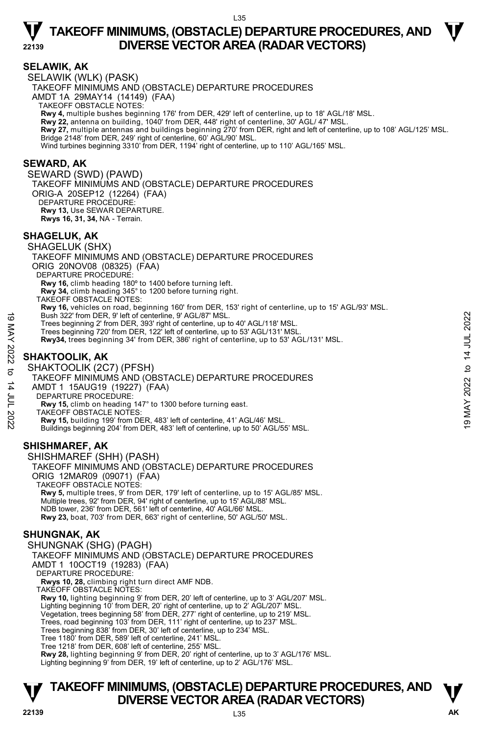#### **SELAWIK, AK**

SELAWIK (WLK) (PASK) TAKEOFF MINIMUMS AND (OBSTACLE) DEPARTURE PROCEDURES AMDT 1A 29MAY14 (14149) (FAA) TAKEOFF OBSTACLE NOTES: **Rwy 4,** multiple bushes beginning 176' from DER, 429' left of centerline, up to 18' AGL/18' MSL.<br>**Rwy 22,** antenna on building, 1040' from DER, 448' right of centerline, 30' AGL/ 47' MSL. **Rwy 27,** multiple antennas and buildings beginning 270' from DER, right and left of centerline, up to 108' AGL/125' MSL. Bridge 2148' from DER, 249' right of centerline, 60' AGL/90' MSL. Wind turbines beginning 3310' from DER, 1194' right of centerline, up to 110' AGL/165' MSL.

#### **SEWARD, AK**

SEWARD (SWD) (PAWD) TAKEOFF MINIMUMS AND (OBSTACLE) DEPARTURE PROCEDURES ORIG-A 20SEP12 (12264) (FAA) DEPARTURE PROCEDURE: **Rwy 13,** Use SEWAR DEPARTURE. **Rwys 16, 31, 34,** NA - Terrain.

#### **SHAGELUK, AK**

SHAGELUK (SHX) TAKEOFF MINIMUMS AND (OBSTACLE) DEPARTURE PROCEDURES ORIG 20NOV08 (08325) (FAA) DEPARTURE PROCEDURE: **Rwy 16,** climb heading 180º to 1400 before turning left. **Rwy 34,** climb heading 345° to 1200 before turning right. TAKEOFF OBSTACLE NOTES: **Rwy 16,** vehicles on road, beginning 160' from DER, 153' right of centerline, up to 15' AGL/93' MSL. Bush 322' from DER, 9' left of centerline, 9' AGL/87' MSL. Trees beginning 2' from DER, 393' right of centerline, up to 40' AGL/118' MSL. Trees beginning 720' from DER, 122' left of centerline, up to 53' AGL/131' MSL. **Rwy34,** trees beginning 34' from DER, 386' right of centerline, up to 53' AGL/131' MSL. SHAKTOOLIK (2C7) (PFSH) Bush 322' from DER, 9' left of centerline, 9' AGL/87' MSL.<br>
Trees beginning 2' from DER, 122' left of centerline, up to 53' AGL/118' MSL.<br>
Trees beginning 20' from DER, 122' left of centerline, up to 53' AGL/131' MSL.<br> **E** 

#### **SHAKTOOLIK, AK**

#### TAKEOFF MINIMUMS AND (OBSTACLE) DEPARTURE PROCEDURES AMDT 1 15AUG19 (19227) (FAA) DEPARTURE PROCEDURE: **Rwy 15,** climb on heading 147° to 1300 before turning east. TAKEOFF OBSTACLE NOTES:

- **Rwy 15,** building 199' from DER, 483' left of centerline, 41' AGL/46' MSL.
- Buildings beginning 204' from DER, 483' left of centerline, up to 50' AGL/55' MSL.

#### **SHISHMAREF, AK**

SHISHMAREF (SHH) (PASH) TAKEOFF MINIMUMS AND (OBSTACLE) DEPARTURE PROCEDURES ORIG 12MAR09 (09071) (FAA) TAKEOFF OBSTACLE NOTES: **Rwy 5,** multiple trees, 9' from DER, 179' left of centerline, up to 15' AGL/85' MSL. Multiple trees, 92' from DER, 94' right of centerline, up to 15' AGL/88' MSL. NDB tower, 236' from DER, 561' left of centerline, 40' AGL/66' MSL. **Rwy 23,** boat, 703' from DER, 663' right of centerline, 50' AGL/50' MSL.

#### **SHUNGNAK, AK**

SHUNGNAK (SHG) (PAGH) TAKEOFF MINIMUMS AND (OBSTACLE) DEPARTURE PROCEDURES AMDT 1 10OCT19 (19283) (FAA) DEPARTURE PROCEDURE: **Rwys 10, 28,** climbing right turn direct AMF NDB. TAKEOFF OBSTACLE NOTES: **Rwy 10,** lighting beginning 9' from DER, 20' left of centerline, up to 3' AGL/207' MSL. Lighting beginning 10' from DER, 20' right of centerline, up to 2' AGL/207' MSL. Vegetation, trees beginning 58' from DER, 277' right of centerline, up to 219' MSL. Trees, road beginning 103' from DER, 111' right of centerline, up to 237' MSL. Trees beginning 838' from DER, 30' left of centerline, up to 234' MSL. Tree 1180' from DER, 589' left of centerline, 241' MSL. Tree 1218' from DER, 608' left of centerline, 255' MSL.

**Rwy 28,** lighting beginning 9' from DER, 20' right of centerline, up to 3' AGL/176' MSL.

Lighting beginning 9' from DER, 19' left of centerline, up to 2' AGL/176' MSL.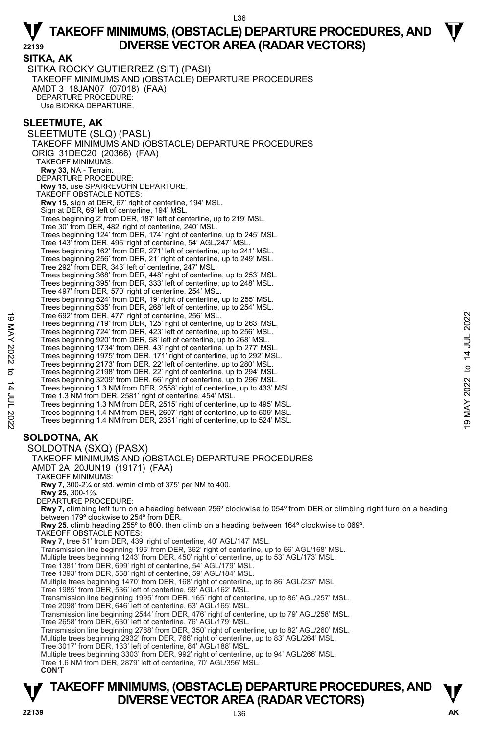**SITKA, AK**  SITKA ROCKY GUTIERREZ (SIT) (PASI) TAKEOFF MINIMUMS AND (OBSTACLE) DEPARTURE PROCEDURES AMDT 3 18JAN07 (07018) (FAA) DEPARTURE PROCEDURE: Use BIORKA DEPARTURE.

#### **SLEETMUTE, AK**

SLEETMUTE (SLQ) (PASL) TAKEOFF MINIMUMS AND (OBSTACLE) DEPARTURE PROCEDURES ORIG 31DEC20 (20366) (FAA) TAKEOFF MINIMUMS: **Rwy 33,** NA - Terrain. DEPARTURE PROCEDURE: **Rwy 15,** use SPARREVOHN DEPARTURE. TAKEOFF OBSTACLE NOTES: **Rwy 15,** sign at DER, 67' right of centerline, 194' MSL. Sign at DER, 69' left of centerline, 194' MSL. Trees beginning 2' from DER, 187' left of centerline, up to 219' MSL. Tree 30' from DER, 482' right of centerline, 240' MSL. Trees beginning 124' from DER, 174' right of centerline, up to 245' MSL. Tree 143' from DER, 496' right of centerline, 54' AGL/247' MSL. Trees beginning 162' from DER, 271' left of centerline, up to 241' MSL. Trees beginning 256' from DER, 21' right of centerline, up to 249' MSL. Tree 292' from DER, 343' left of centerline, 247' MSL. Trees beginning 368' from DER, 448' right of centerline, up to 253' MSL. Trees beginning 395' from DER, 333' left of centerline, up to 248' MSL. Tree 497' from DER, 570' right of centerline, 254' MSL. Trees beginning 524' from DER, 19' right of centerline, up to 255' MSL. Trees beginning 535' from DER, 268' left of centerline, up to 254' MSL. Tree 692' from DER, 477' right of centerline, 256' MSL. Trees beginning 719' from DER, 125' right of centerline, up to 263' MSL. Trees beginning 724' from DER, 423' left of centerline, up to 256' MSL. Trees beginning 920' from DER, 58' left of centerline, up to 268' MSL. Trees beginning 1734' from DER, 43' right of centerline, up to 277' MSL. Trees beginning 1975' from DER, 171' right of centerline, up to 292' MSL. Trees beginning 2173' from DER, 22' left of centerline, up to 280' MSL.<br>Trees beginning 2198' from DER, 22' right of centerline, up to 296' MSL.<br>Trees beginning 3209' from DER, 66' right of centerline, up to 296' MSL. Trees beginning 1.3 NM from DER, 2558' right of centerline, up to 433' MSL. Tree 1.3 NM from DER, 2581' right of centerline, 454' MSL. Trees beginning 1.3 NM from DER, 2515' right of centerline, up to 495' MSL. Trees beginning 1.4 NM from DER, 2607' right of centerline, up to 509' MSL. Trees beginning 1.4 NM from DER, 2351' right of centerline, up to 524' MSL. **SOLDOTNA, AK**  SOLDOTNA (SXQ) (PASX) TAKEOFF MINIMUMS AND (OBSTACLE) DEPARTURE PROCEDURES AMDT 2A 20JUN19 (19171) (FAA) TAKEOFF MINIMUMS: Tree 692' from DER, 477' right of centerline, 256' MSL.<br>
Trees beginning 719' from DER, 423' left of centerline, up to 263' MSL.<br>
Trees beginning 724' from DER, 423' left of centerline, up to 266' MSL.<br>
Trees beginning 172

**Rwy 7,** 300-2¼ or std. w/min climb of 375' per NM to 400.

**Rwy 25,** 300-1⅞.

DEPARTURE PROCEDURE:

**Rwy 7,** climbing left turn on a heading between 256º clockwise to 054º from DER or climbing right turn on a heading between 179º clockwise to 254º from DER.

**Rwy 25,** climb heading 255º to 800, then climb on a heading between 164º clockwise to 069º. TAKEOFF OBSTACLE NOTES:

**Rwy 7,** tree 51' from DER, 439' right of centerline, 40' AGL/147' MSL.

Transmission line beginning 195' from DER, 362' right of centerline, up to 66' AGL/168' MSL. Multiple trees beginning 1243' from DER, 450' right of centerline, up to 53' AGL/173' MSL.

Tree 1381' from DER, 699' right of centerline, 54' AGL/179' MSL.

Tree 1393' from DER, 558' right of centerline, 59' AGL/184' MSL.

Multiple trees beginning 1470' from DER, 168' right of centerline, up to 86' AGL/237' MSL. Tree 1985' from DER, 536' left of centerline, 59' AGL/162' MSL.

Transmission line beginning 1995' from DER, 165' right of centerline, up to 86' AGL/257' MSL.

Tree 2098' from DER, 646' left of centerline, 63' AGL/165' MSL.

Transmission line beginning 2544' from DER, 476' right of centerline, up to 79' AGL/258' MSL. Tree 2658' from DER, 630' left of centerline, 76' AGL/179' MSL.

Transmission line beginning 2788' from DER, 350' right of centerline, up to 82' AGL/260' MSL.

Multiple trees beginning 2932' from DER, 766' right of centerline, up to 83' AGL/264' MSL. Tree 3017' from DER, 133' left of centerline, 84' AGL/188' MSL.

Multiple trees beginning 3303' from DER, 992' right of centerline, up to 94' AGL/266' MSL.

Tree 1.6 NM from DER, 2879' left of centerline, 70' AGL/356' MSL.

**CON'T** 

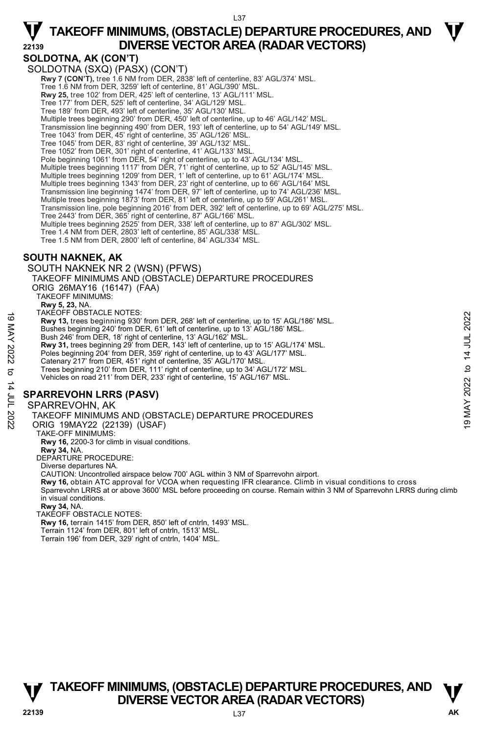#### **SOLDOTNA, AK (CON'T)**

SOLDOTNA (SXQ) (PASX) (CON'T) **Rwy 7 (CON'T),** tree 1.6 NM from DER, 2838' left of centerline, 83' AGL/374' MSL. Tree 1.6 NM from DER, 3259' left of centerline, 81' AGL/390' MSL. **Rwy 25,** tree 102' from DER, 425' left of centerline, 13' AGL/111' MSL. Tree 177' from DER, 525' left of centerline, 34' AGL/129' MSL. Tree 189' from DER, 493' left of centerline, 35' AGL/130' MSL. Multiple trees beginning 290' from DER, 450' left of centerline, up to 46' AGL/142' MSL. Transmission line beginning 490' from DER, 193' left of centerline, up to 54' AGL/149' MSL. Tree 1043' from DER, 45' right of centerline, 35' AGL/126' MSL. Tree 1045' from DER, 83' right of centerline, 39' AGL/132' MSL. Tree 1052' from DER, 301' right of centerline, 41' AGL/133' MSL. Pole beginning 1061' from DER, 54' right of centerline, up to 43' AGL/134' MSL. Multiple trees beginning 1117' from DER, 71' right of centerline, up to 52' AGL/145' MSL.<br>Multiple trees beginning 1209' from DER, 1' left of centerline, up to 61' AGL/174' MSL. Multiple trees beginning 1343' from DER, 23' right of centerline, up to 66' AGL/164' MSL Transmission line beginning 1474' from DER, 97' left of centerline, up to 74' AGL/236' MSL. Multiple trees beginning 1873' from DER, 81' left of centerline, up to 59' AGL/261' MSL. Transmission line, pole beginning 2016' from DER, 392' left of centerline, up to 69' AGL/275' MSL. Tree 2443' from DER, 365' right of centerline, 87' AGL/166' MSL. Multiple trees beginning 2525' from DER, 338' left of centerline, up to 87' AGL/302' MSL. Tree 1.4 NM from DER, 2803' left of centerline, 85' AGL/338' MSL. Tree 1.5 NM from DER, 2800' left of centerline, 84' AGL/334' MSL. **SOUTH NAKNEK, AK** 

### SOUTH NAKNEK NR 2 (WSN) (PFWS) TAKEOFF MINIMUMS AND (OBSTACLE) DEPARTURE PROCEDURES ORIG 26MAY16 (16147) (FAA) TAKEOFF MINIMUMS: **Rwy 5, 23,** NA. TAKEOFF OBSTACLE NOTES: **Rwy 13,** trees beginning 930' from DER, 268' left of centerline, up to 15' AGL/186' MSL. Bushes beginning 240' from DER, 61' left of centerline, up to 13' AGL/186' MSL. Bush 246' from DER, 18' right of centerline, 13' AGL/162' MSL. **Rwy 31,** trees beginning 29' from DER, 143' left of centerline, up to 15' AGL/174' MSL. Poles beginning 204' from DER, 359' right of centerline, up to 43' AGL/177' MSL. Catenary 217' from DER, 451' right of centerline, 35' AGL/170' MSL. Trees beginning 210' from DER, 111' right of centerline, up to 34' AGL/172' MSL. Vehicles on road 211' from DER, 233' right of centerline, 15' AGL/167' MSL. 19 MACU-F UBSINCLE NOTES:<br>
THAT AND 13 (terms) and the DER, 268' left of centerline, up to 15' AGL/186' MSL.<br>
Bushes beginning 20' from DER, 14' left of centerline, up to 13' AGL/186' MSL.<br>
Bushes beginning 20' from DER,

### **SPARREVOHN LRRS (PASV)**

#### SPARREVOHN, AK

TAKEOFF MINIMUMS AND (OBSTACLE) DEPARTURE PROCEDURES

- ORIG 19MAY22 (22139) (USAF)
- TAKE-OFF MINIMUMS:
- **Rwy 16,** 2200-3 for climb in visual conditions. **Rwy 34,** NA.
- 
- DEPARTURE PROCEDURE:
- Diverse departures NA.
- CAUTION: Uncontrolled airspace below 700' AGL within 3 NM of Sparrevohn airport.
- **Rwy 16,** obtain ATC approval for VCOA when requesting IFR clearance. Climb in visual conditions to cross

Sparrevohn LRRS at or above 3600' MSL before proceeding on course. Remain within 3 NM of Sparrevohn LRRS during climb in visual conditions.

**Rwy 34,** NA.

TAKEOFF OBSTACLE NOTES:

**Rwy 16,** terrain 1415' from DER, 850' left of cntrln, 1493' MSL. Terrain 1124' from DER, 801' left of cntrln, 1513' MSL.

Terrain 196' from DER, 329' right of cntrln, 1404' MSL.

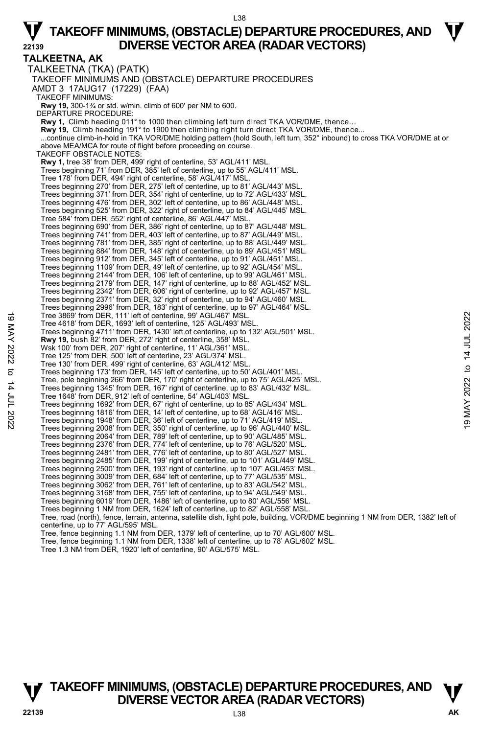#### L38

# $\nabla$  TAKEOFF MINIMUMS, (OBSTACLE) DEPARTURE PROCEDURES, AND  $\nabla$ **22139 DIVERSE VECTOR AREA (RADAR VECTORS)**

**TALKEETNA, AK**  TALKEETNA (TKA) (PATK) TAKEOFF MINIMUMS AND (OBSTACLE) DEPARTURE PROCEDURES AMDT 3 17AUG17 (17229) (FAA) TAKEOFF MINIMUMS: **Rwy 19,** 300-1¾ or std. w/min. climb of 600' per NM to 600. DEPARTURE PROCEDURE: **Rwy 1,** Climb heading 011° to 1000 then climbing left turn direct TKA VOR/DME, thence… **Rwy 19,** Climb heading 191° to 1900 then climbing right turn direct TKA VOR/DME, thence... ...continue climb-in-hold in TKA VOR/DME holding pattern (hold South, left turn, 352° inbound) to cross TKA VOR/DME at or above MEA/MCA for route of flight before proceeding on course. TAKEOFF OBSTACLE NOTES: **Rwy 1,** tree 38' from DER, 499' right of centerline, 53' AGL/411' MSL. Trees beginning 71' from DER, 385' left of centerline, up to 55' AGL/411' MSL. Tree 178' from DER, 494' right of centerline, 58' AGL/417' MSL. Trees beginning 270' from DER, 275' left of centerline, up to 81' AGL/443' MSL. Trees beginning 371' from DER, 354' right of centerline, up to 72' AGL/433' MSL. Trees beginning 476' from DER, 302' left of centerline, up to 86' AGL/448' MSL. Trees beginning 525' from DER, 322' right of centerline, up to 84' AGL/445' MSL. Tree 584' from DER, 552' right of centerline, 86' AGL/447' MSL. Trees beginning 690' from DER, 386' right of centerline, up to 87' AGL/448' MSL. Trees beginning 741' from DER, 403' left of centerline, up to 87' AGL/449' MSL. Trees beginning 781' from DER, 385' right of centerline, up to 88' AGL/449' MSL. Trees beginning 884' from DER, 148' right of centerline, up to 89' AGL/451' MSL. Trees beginning 912' from DER, 345' left of centerline, up to 91' AGL/451' MSL. Trees beginning 1109' from DER, 49' left of centerline, up to 92' AGL/454' MSL. Trees beginning 2144' from DER, 106' left of centerline, up to 99' AGL/461' MSL. Trees beginning 2179' from DER, 147' right of centerline, up to 88' AGL/452' MSL. Trees beginning 2342' from DER, 606' right of centerline, up to 92' AGL/457' MSL. Trees beginning 2371' from DER, 32' right of centerline, up to 94' AGL/460' MSL. Trees beginning 2996' from DER, 183' right of centerline, up to 97' AGL/464' MSL. Tree 3869' from DER, 111' left of centerline, 99' AGL/467' MSL. Tree 4618' from DER, 1693' left of centerline, 125' AGL/493' MSL. Trees beginning 4711' from DER, 1430' left of centerline, up to 132' AGL/501' MSL. **Rwy 19,** bush 82' from DER, 272' right of centerline, 358' MSL. Wsk 100' from DER, 207' right of centerline, 11' AGL/361' MSL. Tree 125' from DER, 500' left of centerline, 23' AGL/374' MSL. Tree 130' from DER, 499' right of centerline, 63' AGL/412' MSI Trees beginning 173' from DER, 145' left of centerline, up to 50' AGL/401' MSL Tree, pole beginning 266' from DER, 170' right of centerline, up to 75' AGL/425' MSL. Trees beginning 1345' from DER, 167' right of centerline, up to 83' AGL/432' MSL. Tree 1648' from DER, 912' left of centerline, 54' AGL/403' MSL. Trees beginning 1692' from DER, 67' right of centerline, up to 85' AGL/434' MSL. Trees beginning 1816' from DER, 14' left of centerline, up to 68' AGL/416' MSL. Trees beginning 1948' from DER, 36' left of centerline, up to 71' AGL/419' MSL. Trees beginning 2008' from DER, 350' right of centerline, up to 96' AGL/440' MSL. Trees beginning 2064' from DER, 789' left of centerline, up to 90' AGL/485' MSL. Trees beginning 2376' from DER, 774' left of centerline, up to 76' AGL/520' MSL. Trees beginning 2481' from DER, 776' left of centerline, up to 80' AGL/527' MSL. Trees beginning 2485' from DER, 199' right of centerline, up to 101' AGL/449' MSL. Trees beginning 2500' from DER, 193' right of centerline, up to 107' AGL/453' MSL. Trees beginning 3009' from DER, 684' left of centerline, up to 77' AGL/535' MSL. Trees beginning 3062' from DER, 761' left of centerline, up to 83' AGL/542' MSL. Trees beginning 3168' from DER, 755' left of centerline, up to 94' AGL/549' MSL. Trees beginning 6019' from DER, 1486' left of centerline, up to 80' AGL/556' MSL. Trees beginning 1 NM from DER, 1624' left of centerline, up to 82' AGL/558' MSL. Tree, road (north), fence, terrain, antenna, satellite dish, light pole, building, VOR/DME beginning 1 NM from DER, 1382' left of centerline, up to 77' AGL/595' MSL. Tree, fence beginning 1.1 NM from DER, 1379' left of centerline, up to 70' AGL/600' MSL. Tree, fence beginning 1.1 NM from DER, 1338' left of centerline, up to 78' AGL/602' MSL. Tree 1.3 NM from DER, 1920' left of centerline, 90' AGL/575' MSL. Tree 3869' from DER, 111' left of centerline, 99' AGL/467' MSL.<br>
Trees beginning 4711' from DER, 1430' left of centerline, up to 132' AGL/501' MSL.<br>
Trees beginning 4711' from DER, 212' right of centerline, 358' MSL.<br>
Way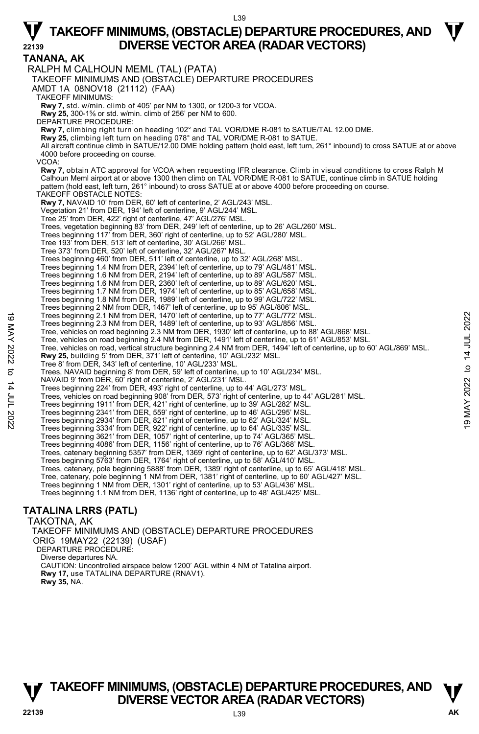**TANANA, AK**  RALPH M CALHOUN MEML (TAL) (PATA) TAKEOFF MINIMUMS AND (OBSTACLE) DEPARTURE PROCEDURES AMDT 1A 08NOV18 (21112) (FAA) TAKEOFF MINIMUMS: **Rwy 7,** std. w/min. climb of 405' per NM to 1300, or 1200-3 for VCOA. **Rwy 25,** 300-1⅝ or std. w/min. climb of 256' per NM to 600. DEPARTURE PROCEDURE: **Rwy 7,** climbing right turn on heading 102° and TAL VOR/DME R-081 to SATUE/TAL 12.00 DME. **Rwy 25,** climbing left turn on heading 078° and TAL VOR/DME R-081 to SATUE. All aircraft continue climb in SATUE/12.00 DME holding pattern (hold east, left turn, 261° inbound) to cross SATUE at or above 4000 before proceeding on course. VCOA: **Rwy 7,** obtain ATC approval for VCOA when requesting IFR clearance. Climb in visual conditions to cross Ralph M<br>Calhoun Meml airport at or above 1300 then climb on TAL VOR/DME R-081 to SATUE, continue climb in SATUE holdi pattern (hold east, left turn, 261° inbound) to cross SATUE at or above 4000 before proceeding on course. TAKEOFF OBSTACLE NOTES: **Rwy 7,** NAVAID 10' from DER, 60' left of centerline, 2' AGL/243' MSL. Vegetation 21' from DER, 194' left of centerline, 9' AGL/244' MSL. Tree 25' from DER, 422' right of centerline, 47' AGL/276' MSL. Trees, vegetation beginning 83' from DER, 249' left of centerline, up to 26' AGL/260' MSL. Trees beginning 117' from DER, 360' right of centerline, up to 52' AGL/280' MSL. Tree 193' from DER, 513' left of centerline, 30' AGL/266' MSL. Tree 373' from DER, 520' left of centerline, 32' AGL/267' MSL. Trees beginning 460' from DER, 511' left of centerline, up to 32' AGL/268' MSL. Trees beginning 1.4 NM from DER, 2394' left of centerline, up to 79' AGL/481' MSL. Trees beginning 1.6 NM from DER, 2194' left of centerline, up to 89' AGL/587' MSL. Trees beginning 1.6 NM from DER, 2360' left of centerline, up to 89' AGL/620' MSL. Trees beginning 1.7 NM from DER, 1974' left of centerline, up to 85' AGL/658' MSL. Trees beginning 1.8 NM from DER, 1989' left of centerline, up to 99' AGL/722' MSL. Trees beginning 2 NM from DER, 1467' left of centerline, up to 95' AGL/806' MSL. Trees beginning 2.1 NM from DER, 1470' left of centerline, up to 77' AGL/772' MSL. Trees beginning 2.3 NM from DER, 1489' left of centerline, up to 93' AGL/856' MSL. Tree, vehicles on road beginning 2.3 NM from DER, 1930' left of centerline, up to 88' AGL/868' MSL. Tree, vehicles on road beginning 2.4 NM from DER, 1491' left of centerline, up to 61' AGL/853' MSL. Tree, vehicles on road, vertical structure beginning 2.4 NM from DER, 1494' left of centerline, up to 60' AGL/869' MSL. **Rwy 25,** building 5' from DER, 371' left of centerline, 10' AGL/232' MSL. Tree 8' from DER, 343' left of centerline, 10' AGL/233' MSL. Trees, NAVAID beginning 8' from DER, 59' left of centerline, up to 10' AGL/234' MSL. NAVAID 9' from DER, 60' right of centerline, 2' AGL/231' MSL. Trees beginning 224' from DER, 493' right of centerline, up to 44' AGL/273' MSL.<br>Trees, vehicles on road beginning 908' from DER, 573' right of centerline, up to 44' AGL/281' MSL. Trees beginning 1911' from DER, 421' right of centerline, up to 39' AGL/282' MSL. Trees beginning 2341' from DER, 559' right of centerline, up to 46' AGL/295' MSL. Trees beginning 2934' from DER, 821' right of centerline, up to 62' AGL/324' MSL. Trees beginning 3334' from DER, 922' right of centerline, up to 64' AGL/335' MSL. Trees beginning 3621' from DER, 1057' right of centerline, up to 74' AGL/365' MSL. Trees beginning 4086' from DER, 1156' right of centerline, up to 76' AGL/368' MSL.<br>Trees, catenary beginning 5357' from DER, 1369' right of centerline, up to 62' AGL/373' MSL. Trees beginning 5763' from DER, 1764' right of centerline, up to 58' AGL/410' MSL. Trees, catenary, pole beginning 5888' from DER, 1389' right of centerline, up to 65' AGL/418' MSL. Tree, catenary, pole beginning 1 NM from DER, 1381' right of centerline, up to 60' AGL/427' MSL. Trees beginning 1 NM from DER, 1301' right of centerline, up to 53' AGL/436' MSL Trees beginning 1.1 NM from DER, 1136' right of centerline, up to 48' AGL/425' MSL. Trees beginning 2.1 NM from DER, 1470' left of centerline, up to 77' AGL/772' MSL.<br>
Tree, vehicles on road beginning 2.3 NM from DER, 1930' left of centerline, up to 88' AGL/868' MSL.<br>
Tree, vehicles on road verticing 2.4

### **TATALINA LRRS (PATL)**

TAKOTNA, AK TAKEOFF MINIMUMS AND (OBSTACLE) DEPARTURE PROCEDURES ORIG 19MAY22 (22139) (USAF) DEPARTURE PROCEDURE: Diverse departures NA. CAUTION: Uncontrolled airspace below 1200' AGL within 4 NM of Tatalina airport.  **Rwy 17,** use TATALINA DEPARTURE (RNAV1). **Rwy 35,** NA.

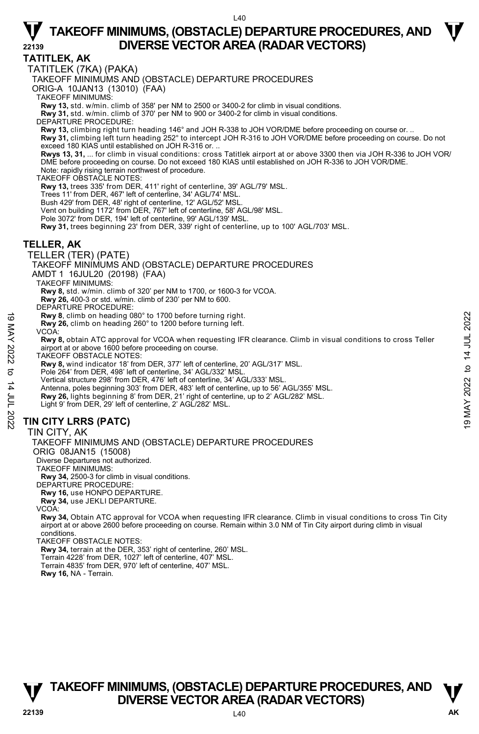#### **TATITLEK, AK**

TATITLEK (7KA) (PAKA)

TAKEOFF MINIMUMS AND (OBSTACLE) DEPARTURE PROCEDURES

ORIG-A 10JAN13 (13010) (FAA)

TAKEOFF MINIMUMS:

**Rwy 13,** std. w/min. climb of 358' per NM to 2500 or 3400-2 for climb in visual conditions.

**Rwy 31,** std. w/min. climb of 370' per NM to 900 or 3400-2 for climb in visual conditions. DEPARTURE PROCEDURE:

**Rwy 13,** climbing right turn heading 146° and JOH R-338 to JOH VOR/DME before proceeding on course or. ..

**Rwy 31,** climbing left turn heading 252° to intercept JOH R-316 to JOH VOR/DME before proceeding on course. Do not<br>exceed 180 KIAS until established on JOH R-316 or. ..

**Rwys 13, 31,** ... for climb in visual conditions: cross Tatitlek airport at or above 3300 then via JOH R-336 to JOH VOR/ DME before proceeding on course. Do not exceed 180 KIAS until established on JOH R-336 to JOH VOR/DME.

Note: rapidly rising terrain northwest of procedure. TAKEOFF OBSTACLE NOTES:

**Rwy 13,** trees 335' from DER, 411' right of centerline, 39' AGL/79' MSL.

Trees 11' from DER, 467' left of centerline, 34' AGL/74' MSL.

Bush 429' from DER, 48' right of centerline, 12' AGL/52' MSL.

Vent on building 1172' from DER, 767' left of centerline, 58' AGL/98' MSL.

Pole 3072' from DER, 194' left of centerline, 99' AGL/139' MSL.

**Rwy 31,** trees beginning 23' from DER, 339' right of centerline, up to 100' AGL/703' MSL.

#### **TELLER, AK**

TELLER (TER) (PATE)

TAKEOFF MINIMUMS AND (OBSTACLE) DEPARTURE PROCEDURES

AMDT 1 16JUL20 (20198) (FAA)

TAKEOFF MINIMUMS:

**Rwy 8,** std. w/min. climb of 320' per NM to 1700, or 1600-3 for VCOA.

**Rwy 26,** 400-3 or std. w/min. climb of 230' per NM to 600.

DEPARTURE PROCEDURE

**Rwy 8**, climb on heading 080° to 1700 before turning right.

**Rwy 26,** climb on heading 260° to 1200 before turning left.

VCOA: **Rwy 8,** obtain ATC approval for VCOA when requesting IFR clearance. Climb in visual conditions to cross Teller airport at or above 1600 before proceeding on course. Now **3.** climb on heading 080° to 1700 before turning right.<br>
The wy 26, climb on heading 260° to 1200 before turning left.<br>
VCOA:<br>
Now **3.** obtain ATC approval for VCOA when requesting IFR clearance. Climb in visual cond

TAKEOFF OBSTACLE NOTES:

**Rwy 8,** wind indicator 18' from DER, 377' left of centerline, 20' AGL/317' MSL.

Pole 264' from DER, 498' left of centerline, 34' AGL/332' MSL.

Vertical structure 298' from DER, 476' left of centerline, 34' AGL/333' MSL.

Antenna, poles beginning 303' from DER, 483' left of centerline, up to 56' AGL/355' MSL.

- **Rwy 26,** lights beginning 8' from DER, 21' right of centerline, up to 2' AGL/282' MSL.
- Light 9' from DER, 29' left of centerline, 2' AGL/282' MSL.

#### **TIN CITY LRRS (PATC)**

TIN CITY, AK

TAKEOFF MINIMUMS AND (OBSTACLE) DEPARTURE PROCEDURES

ORIG 08JAN15 (15008)

Diverse Departures not authorized.

TAKEOFF MINIMUMS:

**Rwy 34,** 2500-3 for climb in visual conditions.

DEPARTURE PROCEDURE:

**Rwy 16,** use HONPO DEPARTURE. **Rwy 34,** use JEKLI DEPARTURE. VCOA:

**Rwy 34,** Obtain ATC approval for VCOA when requesting IFR clearance. Climb in visual conditions to cross Tin City airport at or above 2600 before proceeding on course. Remain within 3.0 NM of Tin City airport during climb in visual conditions.

TAKEOFF OBSTACLE NOTES:

**Rwy 34,** terrain at the DER, 353' right of centerline, 260' MSL. Terrain 4228' from DER, 1027' left of centerline, 407' MSL. Terrain 4835' from DER, 970' left of centerline, 407' MSL. **Rwy 16,** NA - Terrain.

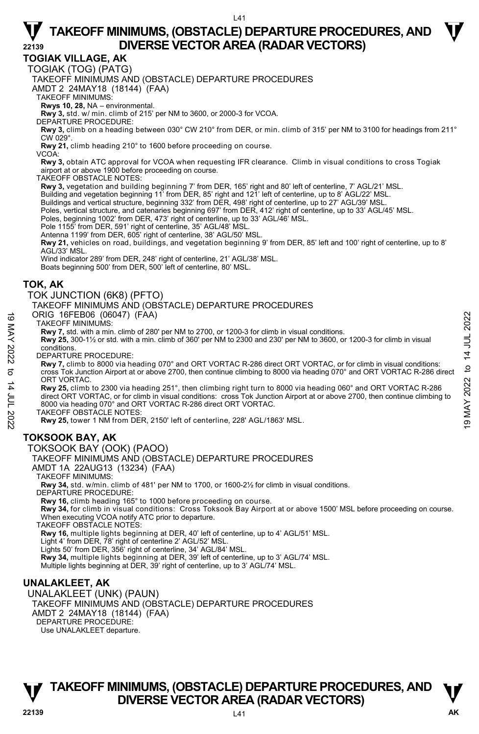**TOGIAK VILLAGE, AK** 

TOGIAK (TOG) (PATG)

TAKEOFF MINIMUMS AND (OBSTACLE) DEPARTURE PROCEDURES

AMDT 2 24MAY18 (18144) (FAA)

TAKEOFF MINIMUMS:

**Rwys 10, 28,** NA – environmental.

**Rwy 3,** std. w/ min. climb of 215' per NM to 3600, or 2000-3 for VCOA. DEPARTURE PROCEDURE:

**Rwy 3,** climb on a heading between 030° CW 210° from DER, or min. climb of 315' per NM to 3100 for headings from 211° CW 029°.

**Rwy 21,** climb heading 210° to 1600 before proceeding on course.

VCOA:

**Rwy 3,** obtain ATC approval for VCOA when requesting IFR clearance. Climb in visual conditions to cross Togiak airport at or above 1900 before proceeding on course.

TAKEOFF OBSTACLE NOTES:

**Rwy 3,** vegetation and building beginning 7' from DER, 165' right and 80' left of centerline, 7' AGL/21' MSL.

Building and vegetation beginning 11' from DER, 85' right and 121' left of centerline, up to 8' AGL/22' MSL.

Buildings and vertical structure, beginning 332' from DER, 498' right of centerline, up to 27' AGL/39' MSL.

Poles, vertical structure, and catenaries beginning 697' from DER, 412' right of centerline, up to 33' AGL/45' MSL.

Poles, beginning 1002' from DER, 473' right of centerline, up to 33' AGL/46' MSL.

Pole 1155' from DER, 591' right of centerline, 35' AGL/48' MSL.

Antenna 1199' from DER, 605' right of centerline, 38' AGL/50' MSL.

**Rwy 21,** vehicles on road, buildings, and vegetation beginning 9' from DER, 85' left and 100' right of centerline, up to 8' AGL/33' MSL.

Wind indicator 289' from DER, 248' right of centerline, 21' AGL/38' MSL.

Boats beginning 500' from DER, 500' left of centerline, 80' MSL.

#### **TOK, AK**

TOK JUNCTION (6K8) (PFTO)

TAKEOFF MINIMUMS AND (OBSTACLE) DEPARTURE PROCEDURES

ORIG 16FEB06 (06047) (FAA)

TAKEOFF MINIMUMS:

**Rwy 7,** std. with a min. climb of 280' per NM to 2700, or 1200-3 for climb in visual conditions.

**Rwy 25,** 300-1½ or std. with a min. climb of 360' per NM to 2300 and 230' per NM to 3600, or 1200-3 for climb in visual conditions.

DEPARTURE PROCEDURE:

**Rwy 7,** climb to 8000 via heading 070° and ORT VORTAC R-286 direct ORT VORTAC, or for climb in visual conditions: cross Tok Junction Airport at or above 2700, then continue climbing to 8000 via heading 070° and ORT VORTAC R-286 direct ORT VORTAC. ORIG 16FEB06 (060:47) (FAA)<br>
TAKEOFF MINIMUMS:<br>
TRAVENCE TMINIMUMS:<br>
Rwy 7, std. with a min. climb of 280' per NM to 2700, or 1200-3 for climb in visual conditions.<br>
Rwy 75, 300-1½ or std. with a min. climb of 360' per NM

**Rwy 25,** climb to 2300 via heading 251°, then climbing right turn to 8000 via heading 060° and ORT VORTAC R-286 direct ORT VORTAC, or for climb in visual conditions: cross Tok Junction Airport at or above 2700, then continue climbing to 8000 via heading 070° and ORT VORTAC R-286 direct ORT VORTAC.

TAKEOFF OBSTACLE NOTES:

**Rwy 25,** tower 1 NM from DER, 2150' left of centerline, 228' AGL/1863' MSL.

#### **TOKSOOK BAY, AK**

TOKSOOK BAY (OOK) (PAOO)

TAKEOFF MINIMUMS AND (OBSTACLE) DEPARTURE PROCEDURES

AMDT 1A 22AUG13 (13234) (FAA)

TAKEOFF MINIMUMS:

**Rwy 34,** std. w/min. climb of 481' per NM to 1700, or 1600-2½ for climb in visual conditions.

DEPARTURE PROCEDURE:

**Rwy 16,** climb heading 165° to 1000 before proceeding on course.<br>**Rwy 34,** for climb in visual conditions: Cross Toksook Bay Airport at or above 1500' MSL before proceeding on course. When executing VCOA notify ATC prior to departure.

TAKEOFF OBSTACLE NOTES:

**Rwy 16,** multiple lights beginning at DER, 40' left of centerline, up to 4' AGL/51' MSL.

Light 4' from DER, 78' right of centerline 2' AGL/52' MSL.

Lights 50' from DER, 356' right of centerline, 34' AGL/84' MSL. **Rwy 34,** multiple lights beginning at DER, 39' left of centerline, up to 3' AGL/74' MSL.

Multiple lights beginning at DER, 39' right of centerline, up to 3' AGL/74' MSL.

#### **UNALAKLEET, AK**

UNALAKLEET (UNK) (PAUN) TAKEOFF MINIMUMS AND (OBSTACLE) DEPARTURE PROCEDURES AMDT 2 24MAY18 (18144) (FAA) DEPARTURE PROCEDURE: Use UNALAKLEET departure.

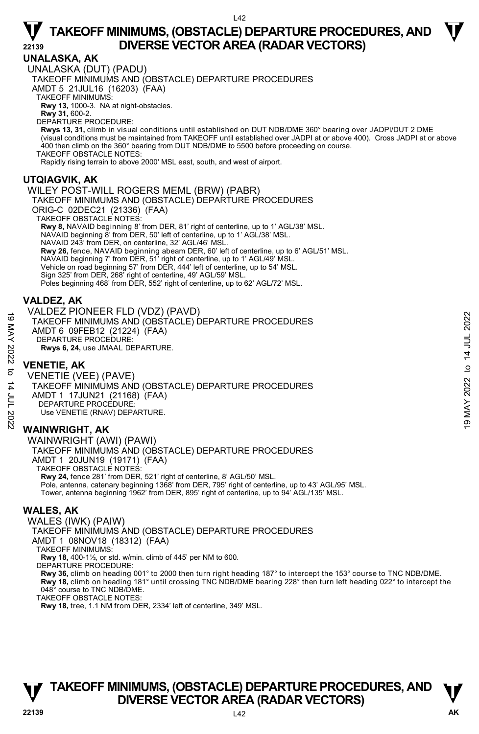### **UNALASKA, AK**

UNALASKA (DUT) (PADU) TAKEOFF MINIMUMS AND (OBSTACLE) DEPARTURE PROCEDURES AMDT 5 21JUL16 (16203) (FAA) TAKEOFF MINIMUMS: **Rwy 13,** 1000-3. NA at night-obstacles. **Rwy 31,** 600-2. DEPARTURE PROCEDURE:

**Rwys 13, 31,** climb in visual conditions until established on DUT NDB/DME 360° bearing over JADPI/DUT 2 DME (visual conditions must be maintained from TAKEOFF until established over JADPI at or above 400). Cross JADPI at or above 400 then climb on the 360° bearing from DUT NDB/DME to 5500 before proceeding on course. TAKEOFF OBSTACLE NOTES:

Rapidly rising terrain to above 2000' MSL east, south, and west of airport.

#### **UTQIAGVIK, AK**

#### WILEY POST-WILL ROGERS MEML (BRW) (PABR) TAKEOFF MINIMUMS AND (OBSTACLE) DEPARTURE PROCEDURES ORIG-C 02DEC21 (21336) (FAA) TAKEOFF OBSTACLE NOTES: **Rwy 8,** NAVAID beginning 8' from DER, 81' right of centerline, up to 1' AGL/38' MSL. NAVAID beginning 8' from DER, 50' left of centerline, up to 1' AGL/38' MSL. NAVAID 243' from DER, on centerline, 32' AGL/46' MSL. **Rwy 26,** fence, NAVAID beginning abeam DER, 60' left of centerline, up to 6' AGL/51' MSL.<br>NAVAID beginning 7' from DER, 51' right of centerline, up to 1' AGL/49' MSL. Vehicle on road beginning 57' from DER, 444' left of centerline, up to 54' MSL. Sign 325' from DER, 268' right of centerline, 49' AGL/59' MSL. Poles beginning 468' from DER, 552' right of centerline, up to 62' AGL/72' MSL.

#### **VALDEZ, AK**

VALDEZ PIONEER FLD (VDZ) (PAVD) TAKEOFF MINIMUMS AND (OBSTACLE) DEPARTURE PROCEDURES AMDT 6 09FEB12 (21224) (FAA) DEPARTURE PROCEDURE **Rwys 6, 24,** use JMAAL DEPARTURE.

#### **VENETIE, AK**

VENETIE (VEE) (PAVE) TAKEOFF MINIMUMS AND (OBSTACLE) DEPARTURE PROCEDURES AMDT 1 17JUN21 (21168) (FAA) DEPARTURE PROCEDURE: Use VENETIE (RNAV) DEPARTURE. ANDER FROGEDURES<br>
TAKEOFF MINIMUMS AND (OBSTACLE) DEPARTURE PROCEDURES<br>
AMDT 6 09FEB12 (21224) (FAA)<br>
DEPARTURE PROCEDURE:<br>
RWS 6, 24, use JMAAL DEPARTURE.<br>
NO VENETIE, AK<br>
VENETIE (VEE) (PAVE)<br>
TAKEOFF MINIMUMS AND (OBS

### **WAINWRIGHT, AK**

WAINWRIGHT (AWI) (PAWI) TAKEOFF MINIMUMS AND (OBSTACLE) DEPARTURE PROCEDURES AMDT 1 20JUN19 (19171) (FAA) TAKEOFF OBSTACLE NOTES: **Rwy 24,** fence 281' from DER, 521' right of centerline, 8' AGL/50' MSL. Pole, antenna, catenary beginning 1368' from DER, 795' right of centerline, up to 43' AGL/95' MSL. Tower, antenna beginning 1962' from DER, 895' right of centerline, up to 94' AGL/135' MSL.

### **WALES, AK**

WALES (IWK) (PAIW) TAKEOFF MINIMUMS AND (OBSTACLE) DEPARTURE PROCEDURES AMDT 1 08NOV18 (18312) (FAA) TAKEOFF MINIMUMS: **Rwy 18,** 400-1½, or std. w/min. climb of 445' per NM to 600. DEPARTURE PROCEDURE: **Rwy 36,** climb on heading 001° to 2000 then turn right heading 187° to intercept the 153° course to TNC NDB/DME. **Rwy 18,** climb on heading 181° until crossing TNC NDB/DME bearing 228° then turn left heading 022° to intercept the<br>048° course to TNC NDB/DME. TAKEOFF OBSTACLE NOTES: **Rwy 18,** tree, 1.1 NM from DER, 2334' left of centerline, 349' MSL.